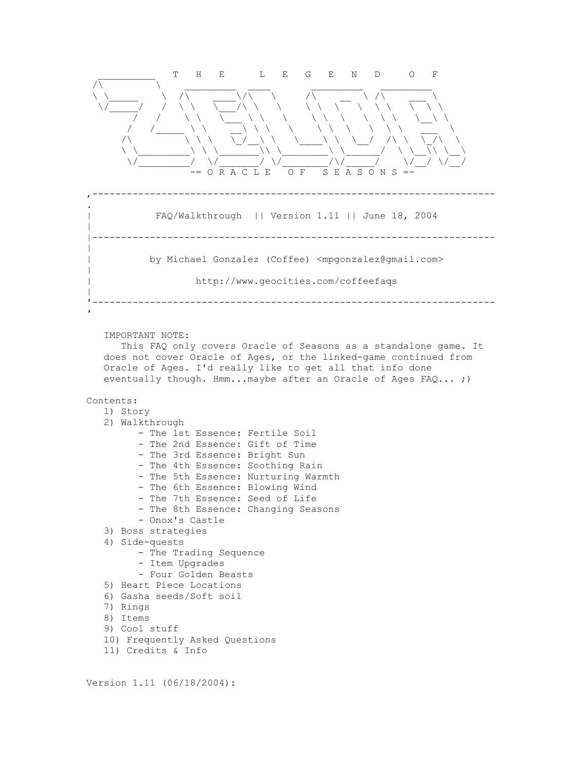

Version 1.11 (06/18/2004):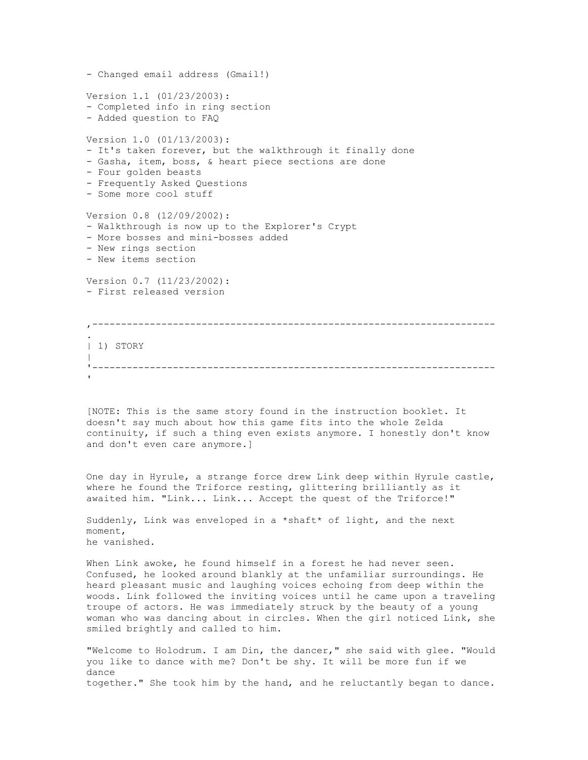```
- Changed email address (Gmail!) 
Version 1.1 (01/23/2003): 
- Completed info in ring section 
- Added question to FAQ 
Version 1.0 (01/13/2003): 
- It's taken forever, but the walkthrough it finally done 
- Gasha, item, boss, & heart piece sections are done 
- Four golden beasts 
- Frequently Asked Questions 
- Some more cool stuff 
Version 0.8 (12/09/2002): 
- Walkthrough is now up to the Explorer's Crypt 
- More bosses and mini-bosses added 
- New rings section 
- New items section 
Version 0.7 (11/23/2002): 
- First released version 
,----------------------------------------------------------------------
. 
| 1) STORY 
| 
'----------------------------------------------------------------------
\blacksquare
```
[NOTE: This is the same story found in the instruction booklet. It doesn't say much about how this game fits into the whole Zelda continuity, if such a thing even exists anymore. I honestly don't know and don't even care anymore.]

One day in Hyrule, a strange force drew Link deep within Hyrule castle, where he found the Triforce resting, glittering brilliantly as it awaited him. "Link... Link... Accept the quest of the Triforce!"

Suddenly, Link was enveloped in a \*shaft\* of light, and the next moment, he vanished.

When Link awoke, he found himself in a forest he had never seen. Confused, he looked around blankly at the unfamiliar surroundings. He heard pleasant music and laughing voices echoing from deep within the woods. Link followed the inviting voices until he came upon a traveling troupe of actors. He was immediately struck by the beauty of a young woman who was dancing about in circles. When the girl noticed Link, she smiled brightly and called to him.

"Welcome to Holodrum. I am Din, the dancer," she said with glee. "Would you like to dance with me? Don't be shy. It will be more fun if we dance together." She took him by the hand, and he reluctantly began to dance.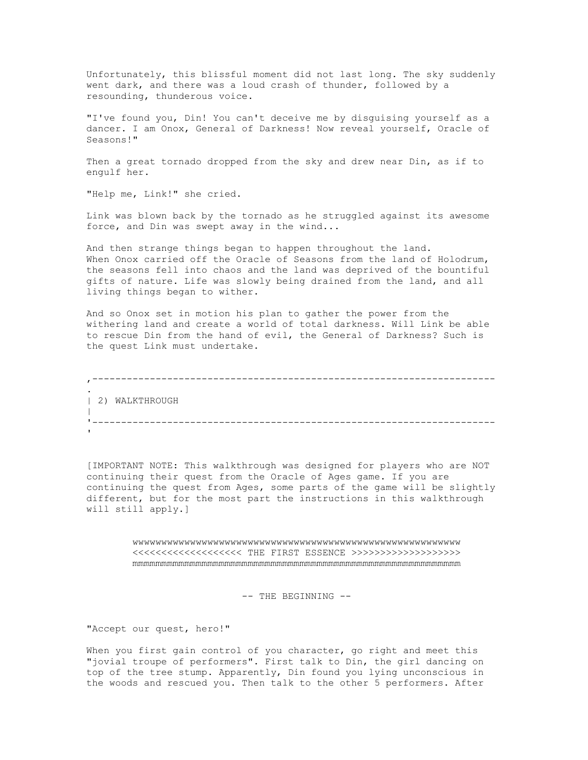Unfortunately, this blissful moment did not last long. The sky suddenly went dark, and there was a loud crash of thunder, followed by a resounding, thunderous voice.

"I've found you, Din! You can't deceive me by disguising yourself as a dancer. I am Onox, General of Darkness! Now reveal yourself, Oracle of Seasons!"

Then a great tornado dropped from the sky and drew near Din, as if to engulf her.

"Help me, Link!" she cried.

Link was blown back by the tornado as he struggled against its awesome force, and Din was swept away in the wind...

And then strange things began to happen throughout the land. When Onox carried off the Oracle of Seasons from the land of Holodrum, the seasons fell into chaos and the land was deprived of the bountiful gifts of nature. Life was slowly being drained from the land, and all living things began to wither.

And so Onox set in motion his plan to gather the power from the withering land and create a world of total darkness. Will Link be able to rescue Din from the hand of evil, the General of Darkness? Such is the quest Link must undertake.

,---------------------------------------------------------------------- . | 2) WALKTHROUGH | '----------------------------------------------------------------------  $\mathbf{r}$ 

[IMPORTANT NOTE: This walkthrough was designed for players who are NOT continuing their quest from the Oracle of Ages game. If you are continuing the quest from Ages, some parts of the game will be slightly different, but for the most part the instructions in this walkthrough will still apply.]

> wwwwwwwwwwwwwwwwwwwwwwwwwwwwwwwwwwwwwwwwwwwwwwwwwwwwwwwww <<<<<<<<<<<<<<<<<<< THE FIRST ESSENCE >>>>>>>>>>>>>>>>>>> mmmmmmmmmmmmmmmmmmmmmmmmmmmmmmmmmmmmmmmmmmmmmmmmmmmmmmmmm

> > -- THE BEGINNING --

"Accept our quest, hero!"

When you first gain control of you character, go right and meet this "jovial troupe of performers". First talk to Din, the girl dancing on top of the tree stump. Apparently, Din found you lying unconscious in the woods and rescued you. Then talk to the other 5 performers. After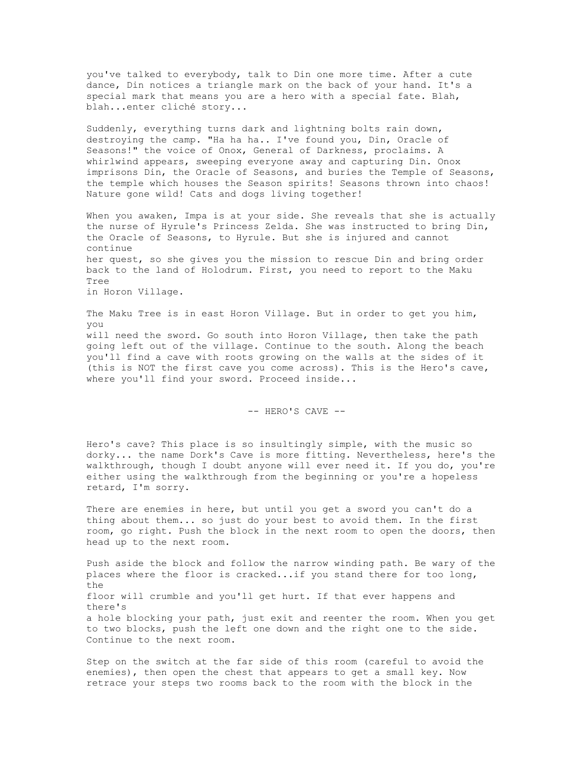you've talked to everybody, talk to Din one more time. After a cute dance, Din notices a triangle mark on the back of your hand. It's a special mark that means you are a hero with a special fate. Blah, blah...enter cliché story...

Suddenly, everything turns dark and lightning bolts rain down, destroying the camp. "Ha ha ha.. I've found you, Din, Oracle of Seasons!" the voice of Onox, General of Darkness, proclaims. A whirlwind appears, sweeping everyone away and capturing Din. Onox imprisons Din, the Oracle of Seasons, and buries the Temple of Seasons, the temple which houses the Season spirits! Seasons thrown into chaos! Nature gone wild! Cats and dogs living together!

When you awaken, Impa is at your side. She reveals that she is actually the nurse of Hyrule's Princess Zelda. She was instructed to bring Din, the Oracle of Seasons, to Hyrule. But she is injured and cannot continue her quest, so she gives you the mission to rescue Din and bring order back to the land of Holodrum. First, you need to report to the Maku Tree in Horon Village.

The Maku Tree is in east Horon Village. But in order to get you him, you will need the sword. Go south into Horon Village, then take the path going left out of the village. Continue to the south. Along the beach you'll find a cave with roots growing on the walls at the sides of it (this is NOT the first cave you come across). This is the Hero's cave, where you'll find your sword. Proceed inside...

-- HERO'S CAVE --

Hero's cave? This place is so insultingly simple, with the music so dorky... the name Dork's Cave is more fitting. Nevertheless, here's the walkthrough, though I doubt anyone will ever need it. If you do, you're either using the walkthrough from the beginning or you're a hopeless retard, I'm sorry.

There are enemies in here, but until you get a sword you can't do a thing about them... so just do your best to avoid them. In the first room, go right. Push the block in the next room to open the doors, then head up to the next room.

Push aside the block and follow the narrow winding path. Be wary of the places where the floor is cracked...if you stand there for too long, the floor will crumble and you'll get hurt. If that ever happens and there's a hole blocking your path, just exit and reenter the room. When you get to two blocks, push the left one down and the right one to the side. Continue to the next room.

Step on the switch at the far side of this room (careful to avoid the enemies), then open the chest that appears to get a small key. Now retrace your steps two rooms back to the room with the block in the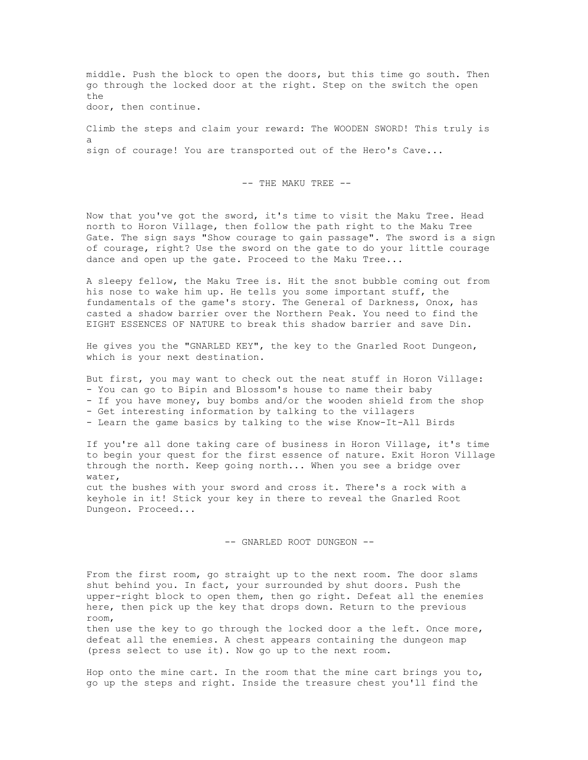middle. Push the block to open the doors, but this time go south. Then go through the locked door at the right. Step on the switch the open the door, then continue.

Climb the steps and claim your reward: The WOODEN SWORD! This truly is a sign of courage! You are transported out of the Hero's Cave...

-- THE MAKU TREE --

Now that you've got the sword, it's time to visit the Maku Tree. Head north to Horon Village, then follow the path right to the Maku Tree Gate. The sign says "Show courage to gain passage". The sword is a sign of courage, right? Use the sword on the gate to do your little courage dance and open up the gate. Proceed to the Maku Tree...

A sleepy fellow, the Maku Tree is. Hit the snot bubble coming out from his nose to wake him up. He tells you some important stuff, the fundamentals of the game's story. The General of Darkness, Onox, has casted a shadow barrier over the Northern Peak. You need to find the EIGHT ESSENCES OF NATURE to break this shadow barrier and save Din.

He gives you the "GNARLED KEY", the key to the Gnarled Root Dungeon, which is your next destination.

But first, you may want to check out the neat stuff in Horon Village: - You can go to Bipin and Blossom's house to name their baby - If you have money, buy bombs and/or the wooden shield from the shop - Get interesting information by talking to the villagers - Learn the game basics by talking to the wise Know-It-All Birds

If you're all done taking care of business in Horon Village, it's time to begin your quest for the first essence of nature. Exit Horon Village through the north. Keep going north... When you see a bridge over water, cut the bushes with your sword and cross it. There's a rock with a keyhole in it! Stick your key in there to reveal the Gnarled Root Dungeon. Proceed...

-- GNARLED ROOT DUNGEON --

From the first room, go straight up to the next room. The door slams shut behind you. In fact, your surrounded by shut doors. Push the upper-right block to open them, then go right. Defeat all the enemies here, then pick up the key that drops down. Return to the previous room,

then use the key to go through the locked door a the left. Once more, defeat all the enemies. A chest appears containing the dungeon map (press select to use it). Now go up to the next room.

Hop onto the mine cart. In the room that the mine cart brings you to, go up the steps and right. Inside the treasure chest you'll find the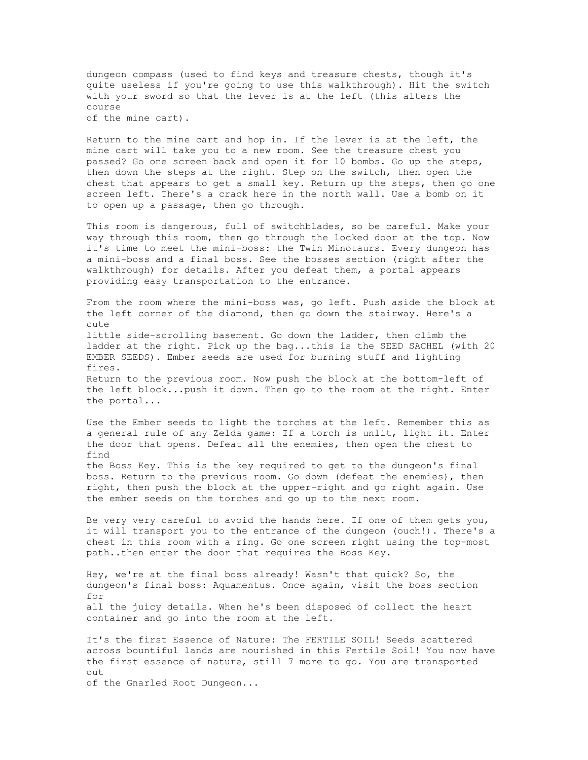dungeon compass (used to find keys and treasure chests, though it's quite useless if you're going to use this walkthrough). Hit the switch with your sword so that the lever is at the left (this alters the course

of the mine cart).

Return to the mine cart and hop in. If the lever is at the left, the mine cart will take you to a new room. See the treasure chest you passed? Go one screen back and open it for 10 bombs. Go up the steps, then down the steps at the right. Step on the switch, then open the chest that appears to get a small key. Return up the steps, then go one screen left. There's a crack here in the north wall. Use a bomb on it to open up a passage, then go through.

This room is dangerous, full of switchblades, so be careful. Make your way through this room, then go through the locked door at the top. Now it's time to meet the mini-boss: the Twin Minotaurs. Every dungeon has a mini-boss and a final boss. See the bosses section (right after the walkthrough) for details. After you defeat them, a portal appears providing easy transportation to the entrance.

From the room where the mini-boss was, go left. Push aside the block at the left corner of the diamond, then go down the stairway. Here's a cute little side-scrolling basement. Go down the ladder, then climb the ladder at the right. Pick up the bag...this is the SEED SACHEL (with 20 EMBER SEEDS). Ember seeds are used for burning stuff and lighting fires. Return to the previous room. Now push the block at the bottom-left of the left block...push it down. Then go to the room at the right. Enter the portal...

Use the Ember seeds to light the torches at the left. Remember this as a general rule of any Zelda game: If a torch is unlit, light it. Enter the door that opens. Defeat all the enemies, then open the chest to find

the Boss Key. This is the key required to get to the dungeon's final boss. Return to the previous room. Go down (defeat the enemies), then right, then push the block at the upper-right and go right again. Use the ember seeds on the torches and go up to the next room.

Be very very careful to avoid the hands here. If one of them gets you, it will transport you to the entrance of the dungeon (ouch!). There's a chest in this room with a ring. Go one screen right using the top-most path..then enter the door that requires the Boss Key.

Hey, we're at the final boss already! Wasn't that quick? So, the dungeon's final boss: Aquamentus. Once again, visit the boss section for all the juicy details. When he's been disposed of collect the heart container and go into the room at the left.

It's the first Essence of Nature: The FERTILE SOIL! Seeds scattered across bountiful lands are nourished in this Fertile Soil! You now have the first essence of nature, still 7 more to go. You are transported out of the Gnarled Root Dungeon...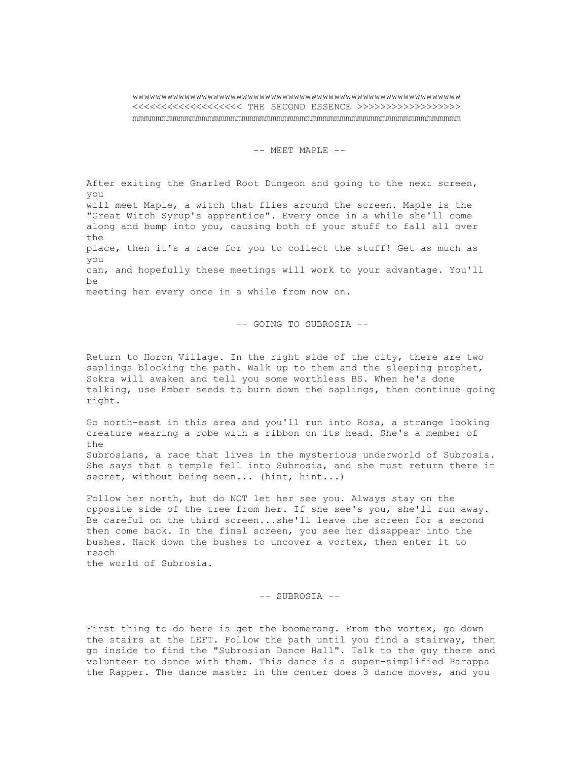wwwwwwwwwwwwwwwwwwwwwwwwwwwwwwwwwwwwwwwwwwwwwwwwwwwwwwwww <<<<<<<<<<<<<<<<<<< THE SECOND ESSENCE >>>>>>>>>>>>>>>>>> mmmmmmmmmmmmmmmmmmmmmmmmmmmmmmmmmmmmmmmmmmmmmmmmmmmmmmmmm

-- MEET MAPLE --

After exiting the Gnarled Root Dungeon and going to the next screen, you will meet Maple, a witch that flies around the screen. Maple is the "Great Witch Syrup's apprentice". Every once in a while she'll come along and bump into you, causing both of your stuff to fall all over the place, then it's a race for you to collect the stuff! Get as much as you can, and hopefully these meetings will work to your advantage. You'll be meeting her every once in a while from now on.

-- GOING TO SUBROSIA --

Return to Horon Village. In the right side of the city, there are two saplings blocking the path. Walk up to them and the sleeping prophet, Sokra will awaken and tell you some worthless BS. When he's done talking, use Ember seeds to burn down the saplings, then continue going right.

Go north-east in this area and you'll run into Rosa, a strange looking creature wearing a robe with a ribbon on its head. She's a member of the Subrosians, a race that lives in the mysterious underworld of Subrosia. She says that a temple fell into Subrosia, and she must return there in secret, without being seen... (hint, hint...)

Follow her north, but do NOT let her see you. Always stay on the opposite side of the tree from her. If she see's you, she'll run away. Be careful on the third screen...she'll leave the screen for a second then come back. In the final screen, you see her disappear into the bushes. Hack down the bushes to uncover a vortex, then enter it to reach

the world of Subrosia.

-- SUBROSIA --

First thing to do here is get the boomerang. From the vortex, go down the stairs at the LEFT. Follow the path until you find a stairway, then go inside to find the "Subrosian Dance Hall". Talk to the guy there and volunteer to dance with them. This dance is a super-simplified Parappa the Rapper. The dance master in the center does 3 dance moves, and you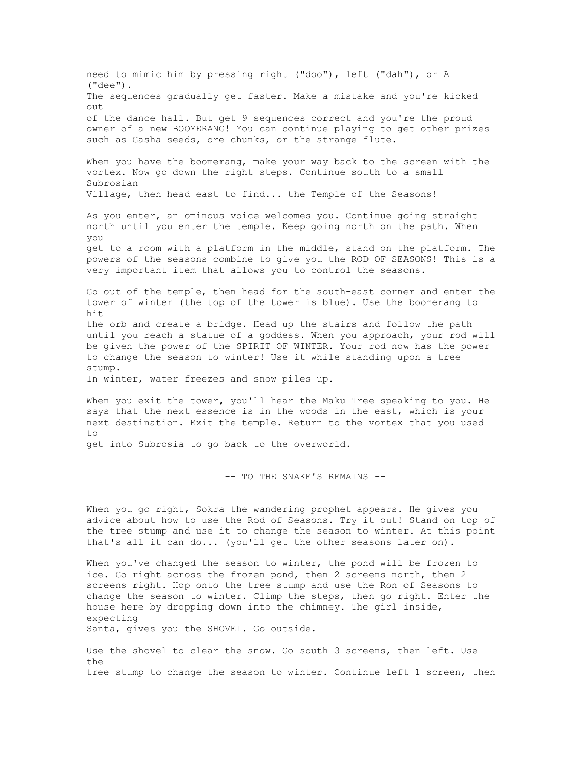need to mimic him by pressing right ("doo"), left ("dah"), or A ("dee"). The sequences gradually get faster. Make a mistake and you're kicked out of the dance hall. But get 9 sequences correct and you're the proud owner of a new BOOMERANG! You can continue playing to get other prizes such as Gasha seeds, ore chunks, or the strange flute. When you have the boomerang, make your way back to the screen with the vortex. Now go down the right steps. Continue south to a small Subrosian Village, then head east to find... the Temple of the Seasons! As you enter, an ominous voice welcomes you. Continue going straight north until you enter the temple. Keep going north on the path. When you get to a room with a platform in the middle, stand on the platform. The powers of the seasons combine to give you the ROD OF SEASONS! This is a very important item that allows you to control the seasons. Go out of the temple, then head for the south-east corner and enter the tower of winter (the top of the tower is blue). Use the boomerang to hit the orb and create a bridge. Head up the stairs and follow the path until you reach a statue of a goddess. When you approach, your rod will be given the power of the SPIRIT OF WINTER. Your rod now has the power to change the season to winter! Use it while standing upon a tree stump. In winter, water freezes and snow piles up. When you exit the tower, you'll hear the Maku Tree speaking to you. He says that the next essence is in the woods in the east, which is your next destination. Exit the temple. Return to the vortex that you used to get into Subrosia to go back to the overworld. -- TO THE SNAKE'S REMAINS -- When you go right, Sokra the wandering prophet appears. He gives you advice about how to use the Rod of Seasons. Try it out! Stand on top of the tree stump and use it to change the season to winter. At this point that's all it can do... (you'll get the other seasons later on). When you've changed the season to winter, the pond will be frozen to ice. Go right across the frozen pond, then 2 screens north, then 2 screens right. Hop onto the tree stump and use the Ron of Seasons to change the season to winter. Climp the steps, then go right. Enter the house here by dropping down into the chimney. The girl inside, expecting Santa, gives you the SHOVEL. Go outside.

Use the shovel to clear the snow. Go south 3 screens, then left. Use the tree stump to change the season to winter. Continue left 1 screen, then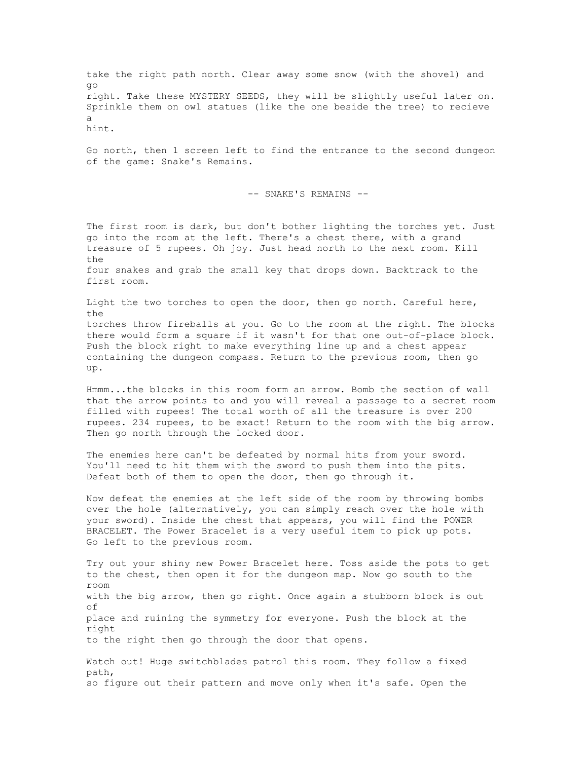take the right path north. Clear away some snow (with the shovel) and go right. Take these MYSTERY SEEDS, they will be slightly useful later on. Sprinkle them on owl statues (like the one beside the tree) to recieve a hint. Go north, then 1 screen left to find the entrance to the second dungeon of the game: Snake's Remains. -- SNAKE'S REMAINS -- The first room is dark, but don't bother lighting the torches yet. Just go into the room at the left. There's a chest there, with a grand treasure of 5 rupees. Oh joy. Just head north to the next room. Kill the four snakes and grab the small key that drops down. Backtrack to the first room. Light the two torches to open the door, then go north. Careful here, the torches throw fireballs at you. Go to the room at the right. The blocks there would form a square if it wasn't for that one out-of-place block. Push the block right to make everything line up and a chest appear containing the dungeon compass. Return to the previous room, then go up. Hmmm...the blocks in this room form an arrow. Bomb the section of wall that the arrow points to and you will reveal a passage to a secret room filled with rupees! The total worth of all the treasure is over 200 rupees. 234 rupees, to be exact! Return to the room with the big arrow. Then go north through the locked door. The enemies here can't be defeated by normal hits from your sword. You'll need to hit them with the sword to push them into the pits. Defeat both of them to open the door, then go through it. Now defeat the enemies at the left side of the room by throwing bombs over the hole (alternatively, you can simply reach over the hole with your sword). Inside the chest that appears, you will find the POWER BRACELET. The Power Bracelet is a very useful item to pick up pots. Go left to the previous room. Try out your shiny new Power Bracelet here. Toss aside the pots to get to the chest, then open it for the dungeon map. Now go south to the room with the big arrow, then go right. Once again a stubborn block is out of place and ruining the symmetry for everyone. Push the block at the right to the right then go through the door that opens. Watch out! Huge switchblades patrol this room. They follow a fixed path, so figure out their pattern and move only when it's safe. Open the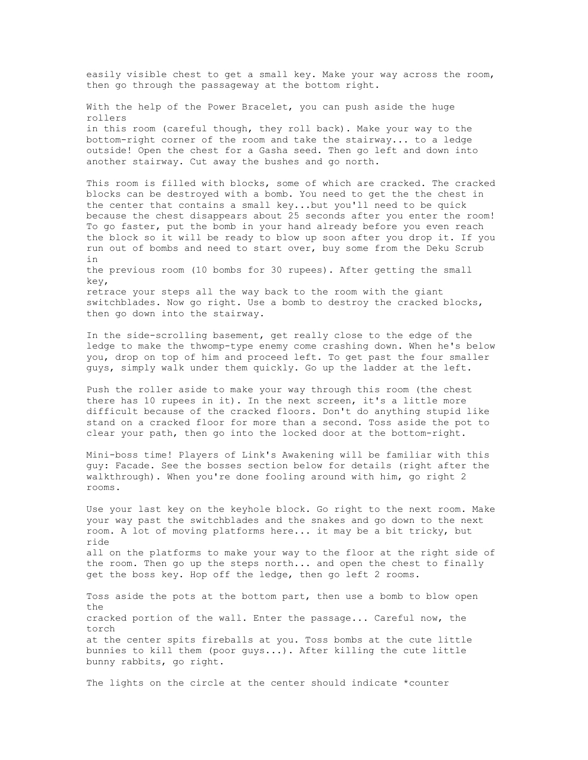easily visible chest to get a small key. Make your way across the room, then go through the passageway at the bottom right. With the help of the Power Bracelet, you can push aside the huge rollers in this room (careful though, they roll back). Make your way to the bottom-right corner of the room and take the stairway... to a ledge outside! Open the chest for a Gasha seed. Then go left and down into another stairway. Cut away the bushes and go north. This room is filled with blocks, some of which are cracked. The cracked blocks can be destroyed with a bomb. You need to get the the chest in the center that contains a small key...but you'll need to be quick because the chest disappears about 25 seconds after you enter the room! To go faster, put the bomb in your hand already before you even reach the block so it will be ready to blow up soon after you drop it. If you run out of bombs and need to start over, buy some from the Deku Scrub in the previous room (10 bombs for 30 rupees). After getting the small key,

retrace your steps all the way back to the room with the giant switchblades. Now go right. Use a bomb to destroy the cracked blocks, then go down into the stairway.

In the side-scrolling basement, get really close to the edge of the ledge to make the thwomp-type enemy come crashing down. When he's below you, drop on top of him and proceed left. To get past the four smaller guys, simply walk under them quickly. Go up the ladder at the left.

Push the roller aside to make your way through this room (the chest there has 10 rupees in it). In the next screen, it's a little more difficult because of the cracked floors. Don't do anything stupid like stand on a cracked floor for more than a second. Toss aside the pot to clear your path, then go into the locked door at the bottom-right.

Mini-boss time! Players of Link's Awakening will be familiar with this guy: Facade. See the bosses section below for details (right after the walkthrough). When you're done fooling around with him, go right 2 rooms.

Use your last key on the keyhole block. Go right to the next room. Make your way past the switchblades and the snakes and go down to the next room. A lot of moving platforms here... it may be a bit tricky, but ride all on the platforms to make your way to the floor at the right side of the room. Then go up the steps north... and open the chest to finally get the boss key. Hop off the ledge, then go left 2 rooms.

Toss aside the pots at the bottom part, then use a bomb to blow open the cracked portion of the wall. Enter the passage... Careful now, the torch at the center spits fireballs at you. Toss bombs at the cute little bunnies to kill them (poor guys...). After killing the cute little bunny rabbits, go right.

The lights on the circle at the center should indicate \*counter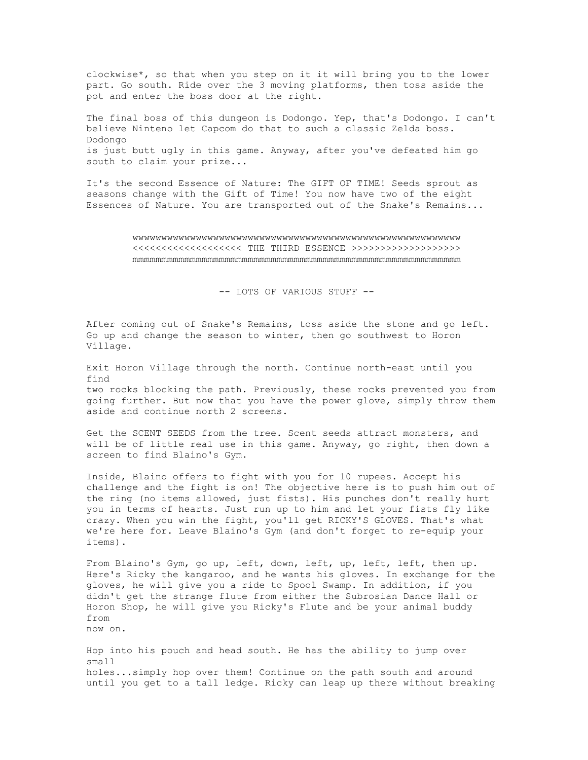clockwise\*, so that when you step on it it will bring you to the lower part. Go south. Ride over the 3 moving platforms, then toss aside the pot and enter the boss door at the right.

The final boss of this dungeon is Dodongo. Yep, that's Dodongo. I can't believe Ninteno let Capcom do that to such a classic Zelda boss. Dodongo is just butt ugly in this game. Anyway, after you've defeated him go south to claim your prize...

It's the second Essence of Nature: The GIFT OF TIME! Seeds sprout as seasons change with the Gift of Time! You now have two of the eight Essences of Nature. You are transported out of the Snake's Remains...

> wwwwwwwwwwwwwwwwwwwwwwwwwwwwwwwwwwwwwwwwwwwwwwwwwwwwwwwww <<<<<<<<<<<<<<<<<<< THE THIRD ESSENCE >>>>>>>>>>>>>>>>>>> mmmmmmmmmmmmmmmmmmmmmmmmmmmmmmmmmmmmmmmmmmmmmmmmmmmmmmmmm

> > -- LOTS OF VARIOUS STUFF --

After coming out of Snake's Remains, toss aside the stone and go left. Go up and change the season to winter, then go southwest to Horon Village.

Exit Horon Village through the north. Continue north-east until you find two rocks blocking the path. Previously, these rocks prevented you from going further. But now that you have the power glove, simply throw them aside and continue north 2 screens.

Get the SCENT SEEDS from the tree. Scent seeds attract monsters, and will be of little real use in this game. Anyway, go right, then down a screen to find Blaino's Gym.

Inside, Blaino offers to fight with you for 10 rupees. Accept his challenge and the fight is on! The objective here is to push him out of the ring (no items allowed, just fists). His punches don't really hurt you in terms of hearts. Just run up to him and let your fists fly like crazy. When you win the fight, you'll get RICKY'S GLOVES. That's what we're here for. Leave Blaino's Gym (and don't forget to re-equip your items).

From Blaino's Gym, go up, left, down, left, up, left, left, then up. Here's Ricky the kangaroo, and he wants his gloves. In exchange for the gloves, he will give you a ride to Spool Swamp. In addition, if you didn't get the strange flute from either the Subrosian Dance Hall or Horon Shop, he will give you Ricky's Flute and be your animal buddy from now on.

Hop into his pouch and head south. He has the ability to jump over small holes...simply hop over them! Continue on the path south and around until you get to a tall ledge. Ricky can leap up there without breaking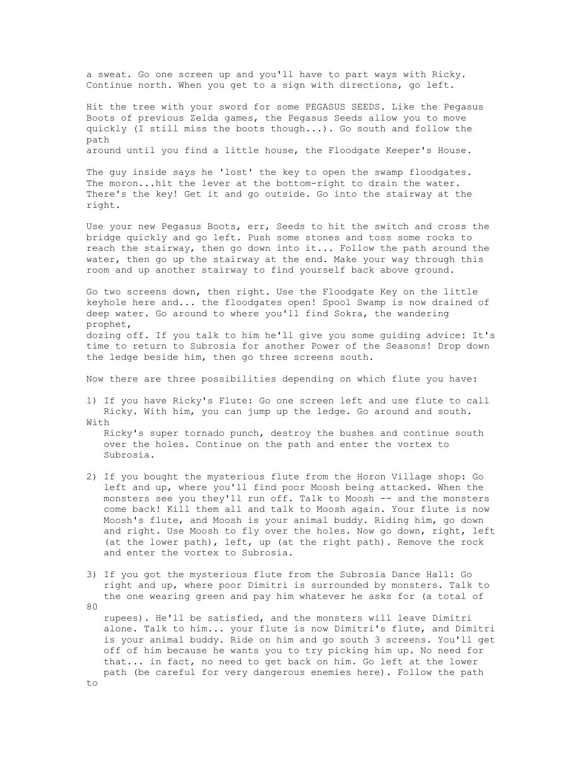a sweat. Go one screen up and you'll have to part ways with Ricky. Continue north. When you get to a sign with directions, go left.

Hit the tree with your sword for some PEGASUS SEEDS. Like the Pegasus Boots of previous Zelda games, the Pegasus Seeds allow you to move quickly (I still miss the boots though...). Go south and follow the path around until you find a little house, the Floodgate Keeper's House.

The guy inside says he 'lost' the key to open the swamp floodgates. The moron...hit the lever at the bottom-right to drain the water. There's the key! Get it and go outside. Go into the stairway at the right.

Use your new Pegasus Boots, err, Seeds to hit the switch and cross the bridge quickly and go left. Push some stones and toss some rocks to reach the stairway, then go down into it... Follow the path around the water, then go up the stairway at the end. Make your way through this room and up another stairway to find yourself back above ground.

Go two screens down, then right. Use the Floodgate Key on the little keyhole here and... the floodgates open! Spool Swamp is now drained of deep water. Go around to where you'll find Sokra, the wandering prophet, dozing off. If you talk to him he'll give you some guiding advice: It's

time to return to Subrosia for another Power of the Seasons! Drop down the ledge beside him, then go three screens south.

Now there are three possibilities depending on which flute you have:

1) If you have Ricky's Flute: Go one screen left and use flute to call Ricky. With him, you can jump up the ledge. Go around and south. With

 Ricky's super tornado punch, destroy the bushes and continue south over the holes. Continue on the path and enter the vortex to Subrosia.

- 2) If you bought the mysterious flute from the Horon Village shop: Go left and up, where you'll find poor Moosh being attacked. When the monsters see you they'll run off. Talk to Moosh -- and the monsters come back! Kill them all and talk to Moosh again. Your flute is now Moosh's flute, and Moosh is your animal buddy. Riding him, go down and right. Use Moosh to fly over the holes. Now go down, right, left (at the lower path), left, up (at the right path). Remove the rock and enter the vortex to Subrosia.
- 3) If you got the mysterious flute from the Subrosia Dance Hall: Go right and up, where poor Dimitri is surrounded by monsters. Talk to the one wearing green and pay him whatever he asks for (a total of 80

 rupees). He'll be satisfied, and the monsters will leave Dimitri alone. Talk to him... your flute is now Dimitri's flute, and Dimitri is your animal buddy. Ride on him and go south 3 screens. You'll get off of him because he wants you to try picking him up. No need for that... in fact, no need to get back on him. Go left at the lower path (be careful for very dangerous enemies here). Follow the path to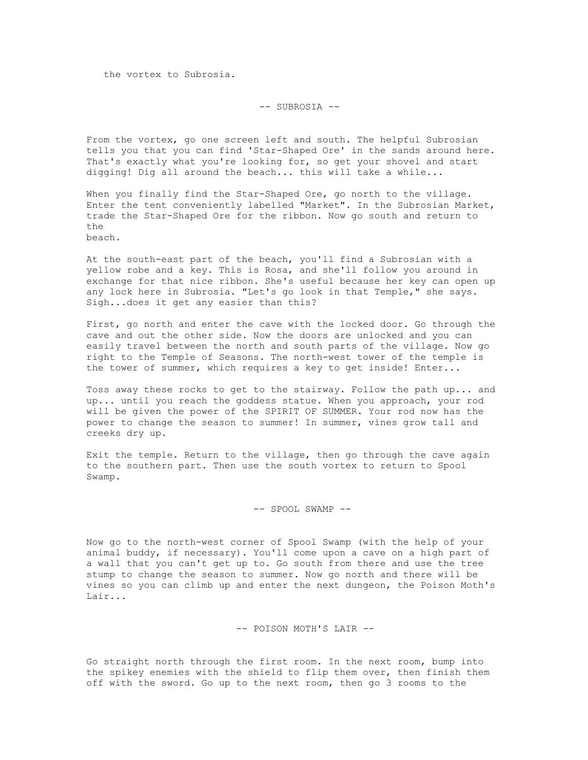the vortex to Subrosia.

### -- SUBROSIA --

From the vortex, go one screen left and south. The helpful Subrosian tells you that you can find 'Star-Shaped Ore' in the sands around here. That's exactly what you're looking for, so get your shovel and start digging! Dig all around the beach... this will take a while...

When you finally find the Star-Shaped Ore, go north to the village. Enter the tent conveniently labelled "Market". In the Subrosian Market, trade the Star-Shaped Ore for the ribbon. Now go south and return to  $th$  $\alpha$ 

beach.

At the south-east part of the beach, you'll find a Subrosian with a yellow robe and a key. This is Rosa, and she'll follow you around in exchange for that nice ribbon. She's useful because her key can open up any lock here in Subrosia. "Let's go look in that Temple," she says. Sigh...does it get any easier than this?

First, go north and enter the cave with the locked door. Go through the cave and out the other side. Now the doors are unlocked and you can easily travel between the north and south parts of the village. Now go right to the Temple of Seasons. The north-west tower of the temple is the tower of summer, which requires a key to get inside! Enter...

Toss away these rocks to get to the stairway. Follow the path up... and up... until you reach the goddess statue. When you approach, your rod will be given the power of the SPIRIT OF SUMMER. Your rod now has the power to change the season to summer! In summer, vines grow tall and creeks dry up.

Exit the temple. Return to the village, then go through the cave again to the southern part. Then use the south vortex to return to Spool Swamp.

# -- SPOOL SWAMP --

Now go to the north-west corner of Spool Swamp (with the help of your animal buddy, if necessary). You'll come upon a cave on a high part of a wall that you can't get up to. Go south from there and use the tree stump to change the season to summer. Now go north and there will be vines so you can climb up and enter the next dungeon, the Poison Moth's Lair...

# -- POISON MOTH'S LAIR --

Go straight north through the first room. In the next room, bump into the spikey enemies with the shield to flip them over, then finish them off with the sword. Go up to the next room, then go 3 rooms to the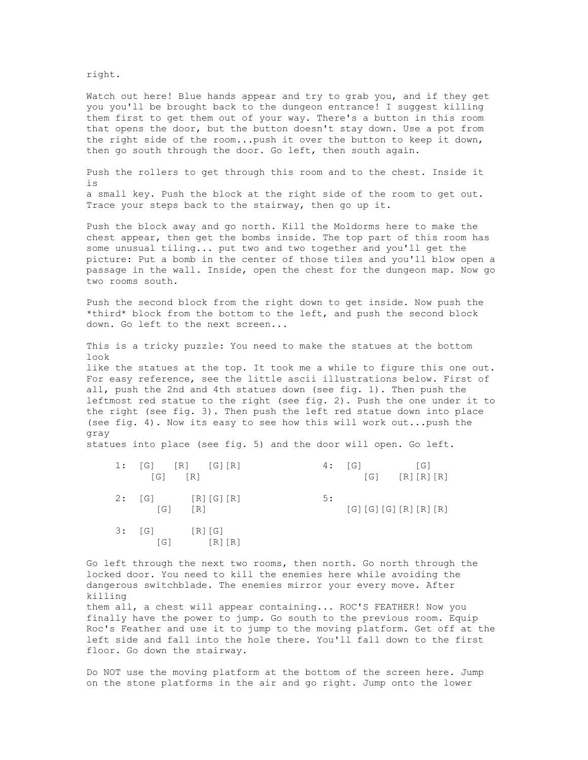right.

Watch out here! Blue hands appear and try to grab you, and if they get you you'll be brought back to the dungeon entrance! I suggest killing them first to get them out of your way. There's a button in this room that opens the door, but the button doesn't stay down. Use a pot from the right side of the room...push it over the button to keep it down, then go south through the door. Go left, then south again.

Push the rollers to get through this room and to the chest. Inside it is a small key. Push the block at the right side of the room to get out. Trace your steps back to the stairway, then go up it.

Push the block away and go north. Kill the Moldorms here to make the chest appear, then get the bombs inside. The top part of this room has some unusual tiling... put two and two together and you'll get the picture: Put a bomb in the center of those tiles and you'll blow open a passage in the wall. Inside, open the chest for the dungeon map. Now go two rooms south.

Push the second block from the right down to get inside. Now push the \*third\* block from the bottom to the left, and push the second block down. Go left to the next screen...

This is a tricky puzzle: You need to make the statues at the bottom look like the statues at the top. It took me a while to figure this one out. For easy reference, see the little ascii illustrations below. First of all, push the 2nd and 4th statues down (see fig. 1). Then push the leftmost red statue to the right (see fig. 2). Push the one under it to the right (see fig. 3). Then push the left red statue down into place (see fig. 4). Now its easy to see how this will work out...push the gray

statues into place (see fig. 5) and the door will open. Go left.

|  | $[G]$ $[R]$              | 1: $[G]$ $[R]$ $[G][R]$ |     | $4:$ [G] | $\lceil G \rceil$<br>$[G]$ $[R][R][R]$ |
|--|--------------------------|-------------------------|-----|----------|----------------------------------------|
|  | $[G]$ $[R]$              | 2: [G] [R] [G] [R]      | 5 : |          | $[G] [G] [G] [R] [R] [R]$              |
|  | $3: [G]$ $[R][G]$<br>[G] | $[R] [R]$               |     |          |                                        |

Go left through the next two rooms, then north. Go north through the locked door. You need to kill the enemies here while avoiding the dangerous switchblade. The enemies mirror your every move. After killing

them all, a chest will appear containing... ROC'S FEATHER! Now you finally have the power to jump. Go south to the previous room. Equip Roc's Feather and use it to jump to the moving platform. Get off at the left side and fall into the hole there. You'll fall down to the first floor. Go down the stairway.

Do NOT use the moving platform at the bottom of the screen here. Jump on the stone platforms in the air and go right. Jump onto the lower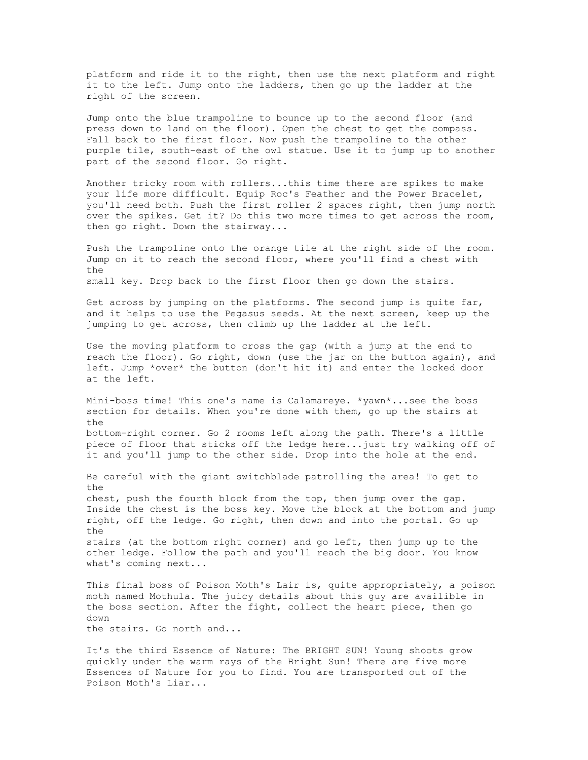platform and ride it to the right, then use the next platform and right it to the left. Jump onto the ladders, then go up the ladder at the right of the screen.

Jump onto the blue trampoline to bounce up to the second floor (and press down to land on the floor). Open the chest to get the compass. Fall back to the first floor. Now push the trampoline to the other purple tile, south-east of the owl statue. Use it to jump up to another part of the second floor. Go right.

Another tricky room with rollers...this time there are spikes to make your life more difficult. Equip Roc's Feather and the Power Bracelet, you'll need both. Push the first roller 2 spaces right, then jump north over the spikes. Get it? Do this two more times to get across the room, then go right. Down the stairway...

Push the trampoline onto the orange tile at the right side of the room. Jump on it to reach the second floor, where you'll find a chest with the small key. Drop back to the first floor then go down the stairs.

Get across by jumping on the platforms. The second jump is quite far, and it helps to use the Pegasus seeds. At the next screen, keep up the jumping to get across, then climb up the ladder at the left.

Use the moving platform to cross the gap (with a jump at the end to reach the floor). Go right, down (use the jar on the button again), and left. Jump \*over\* the button (don't hit it) and enter the locked door at the left.

Mini-boss time! This one's name is Calamareye. \*yawn\*...see the boss section for details. When you're done with them, go up the stairs at the bottom-right corner. Go 2 rooms left along the path. There's a little piece of floor that sticks off the ledge here...just try walking off of it and you'll jump to the other side. Drop into the hole at the end.

Be careful with the giant switchblade patrolling the area! To get to the chest, push the fourth block from the top, then jump over the gap. Inside the chest is the boss key. Move the block at the bottom and jump right, off the ledge. Go right, then down and into the portal. Go up the stairs (at the bottom right corner) and go left, then jump up to the other ledge. Follow the path and you'll reach the big door. You know what's coming next...

This final boss of Poison Moth's Lair is, quite appropriately, a poison moth named Mothula. The juicy details about this guy are availible in the boss section. After the fight, collect the heart piece, then go down the stairs. Go north and...

It's the third Essence of Nature: The BRIGHT SUN! Young shoots grow quickly under the warm rays of the Bright Sun! There are five more Essences of Nature for you to find. You are transported out of the Poison Moth's Liar...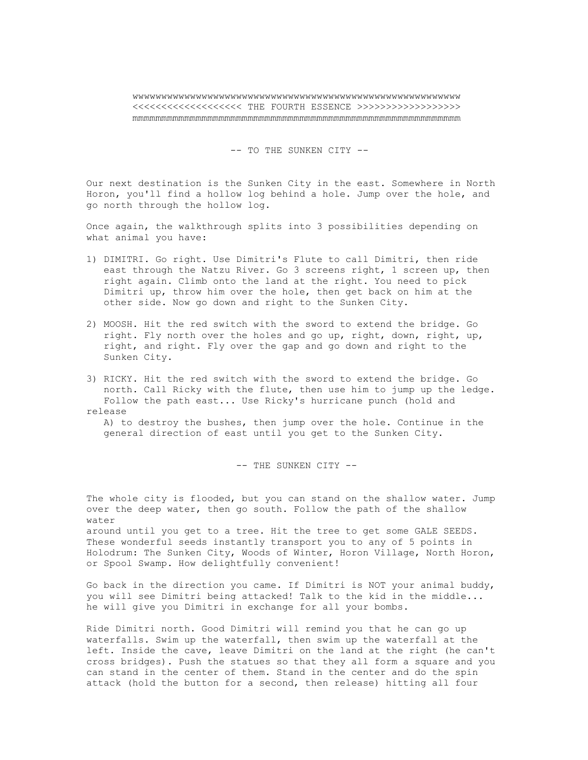wwwwwwwwwwwwwwwwwwwwwwwwwwwwwwwwwwwwwwwwwwwwwwwwwwwwwwwww <<<<<<<<<<<<<<<<<<< THE FOURTH ESSENCE >>>>>>>>>>>>>>>>>> mmmmmmmmmmmmmmmmmmmmmmmmmmmmmmmmmmmmmmmmmmmmmmmmmmmmmmmmm

-- TO THE SUNKEN CITY --

Our next destination is the Sunken City in the east. Somewhere in North Horon, you'll find a hollow log behind a hole. Jump over the hole, and go north through the hollow log.

Once again, the walkthrough splits into 3 possibilities depending on what animal you have:

- 1) DIMITRI. Go right. Use Dimitri's Flute to call Dimitri, then ride east through the Natzu River. Go 3 screens right, 1 screen up, then right again. Climb onto the land at the right. You need to pick Dimitri up, throw him over the hole, then get back on him at the other side. Now go down and right to the Sunken City.
- 2) MOOSH. Hit the red switch with the sword to extend the bridge. Go right. Fly north over the holes and go up, right, down, right, up, right, and right. Fly over the gap and go down and right to the Sunken City.
- 3) RICKY. Hit the red switch with the sword to extend the bridge. Go north. Call Ricky with the flute, then use him to jump up the ledge. Follow the path east... Use Ricky's hurricane punch (hold and release

 A) to destroy the bushes, then jump over the hole. Continue in the general direction of east until you get to the Sunken City.

-- THE SUNKEN CITY --

The whole city is flooded, but you can stand on the shallow water. Jump over the deep water, then go south. Follow the path of the shallow water around until you get to a tree. Hit the tree to get some GALE SEEDS. These wonderful seeds instantly transport you to any of 5 points in Holodrum: The Sunken City, Woods of Winter, Horon Village, North Horon, or Spool Swamp. How delightfully convenient!

Go back in the direction you came. If Dimitri is NOT your animal buddy, you will see Dimitri being attacked! Talk to the kid in the middle... he will give you Dimitri in exchange for all your bombs.

Ride Dimitri north. Good Dimitri will remind you that he can go up waterfalls. Swim up the waterfall, then swim up the waterfall at the left. Inside the cave, leave Dimitri on the land at the right (he can't cross bridges). Push the statues so that they all form a square and you can stand in the center of them. Stand in the center and do the spin attack (hold the button for a second, then release) hitting all four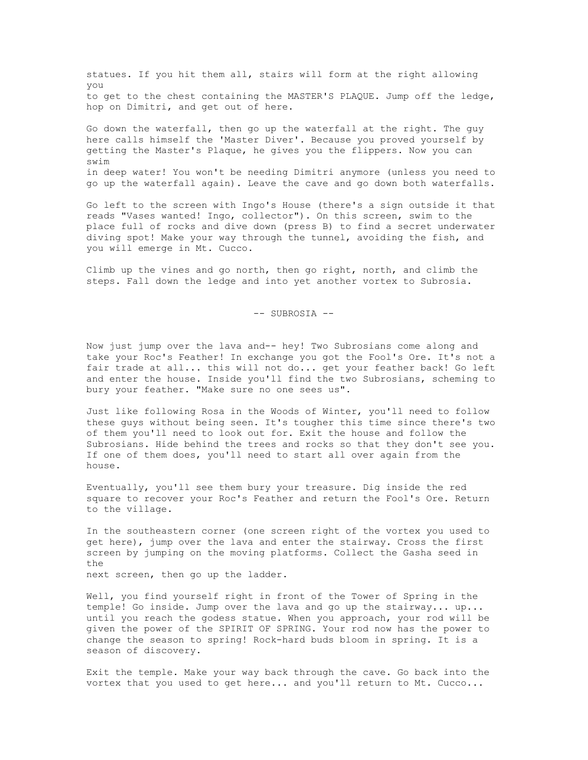statues. If you hit them all, stairs will form at the right allowing you to get to the chest containing the MASTER'S PLAQUE. Jump off the ledge, hop on Dimitri, and get out of here.

Go down the waterfall, then go up the waterfall at the right. The guy here calls himself the 'Master Diver'. Because you proved yourself by getting the Master's Plaque, he gives you the flippers. Now you can swim in deep water! You won't be needing Dimitri anymore (unless you need to go up the waterfall again). Leave the cave and go down both waterfalls.

Go left to the screen with Ingo's House (there's a sign outside it that reads "Vases wanted! Ingo, collector"). On this screen, swim to the place full of rocks and dive down (press B) to find a secret underwater diving spot! Make your way through the tunnel, avoiding the fish, and you will emerge in Mt. Cucco.

Climb up the vines and go north, then go right, north, and climb the steps. Fall down the ledge and into yet another vortex to Subrosia.

-- SUBROSIA --

Now just jump over the lava and-- hey! Two Subrosians come along and take your Roc's Feather! In exchange you got the Fool's Ore. It's not a fair trade at all... this will not do... get your feather back! Go left and enter the house. Inside you'll find the two Subrosians, scheming to bury your feather. "Make sure no one sees us".

Just like following Rosa in the Woods of Winter, you'll need to follow these guys without being seen. It's tougher this time since there's two of them you'll need to look out for. Exit the house and follow the Subrosians. Hide behind the trees and rocks so that they don't see you. If one of them does, you'll need to start all over again from the house.

Eventually, you'll see them bury your treasure. Dig inside the red square to recover your Roc's Feather and return the Fool's Ore. Return to the village.

In the southeastern corner (one screen right of the vortex you used to get here), jump over the lava and enter the stairway. Cross the first screen by jumping on the moving platforms. Collect the Gasha seed in the next screen, then go up the ladder.

Well, you find yourself right in front of the Tower of Spring in the temple! Go inside. Jump over the lava and go up the stairway... up... until you reach the godess statue. When you approach, your rod will be given the power of the SPIRIT OF SPRING. Your rod now has the power to change the season to spring! Rock-hard buds bloom in spring. It is a season of discovery.

Exit the temple. Make your way back through the cave. Go back into the vortex that you used to get here... and you'll return to Mt. Cucco...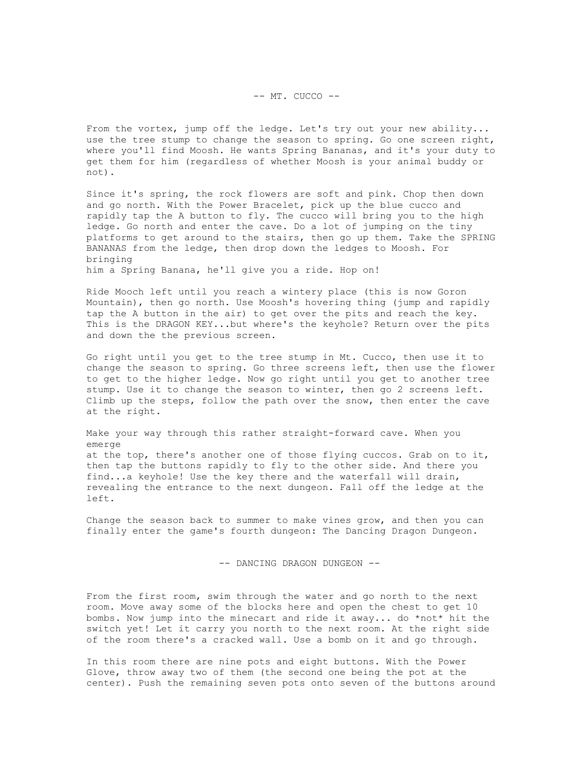### -- MT. CUCCO --

From the vortex, jump off the ledge. Let's try out your new ability... use the tree stump to change the season to spring. Go one screen right, where you'll find Moosh. He wants Spring Bananas, and it's your duty to get them for him (regardless of whether Moosh is your animal buddy or not).

Since it's spring, the rock flowers are soft and pink. Chop then down and go north. With the Power Bracelet, pick up the blue cucco and rapidly tap the A button to fly. The cucco will bring you to the high ledge. Go north and enter the cave. Do a lot of jumping on the tiny platforms to get around to the stairs, then go up them. Take the SPRING BANANAS from the ledge, then drop down the ledges to Moosh. For bringing him a Spring Banana, he'll give you a ride. Hop on!

Ride Mooch left until you reach a wintery place (this is now Goron Mountain), then go north. Use Moosh's hovering thing (jump and rapidly tap the A button in the air) to get over the pits and reach the key. This is the DRAGON KEY...but where's the keyhole? Return over the pits and down the the previous screen.

Go right until you get to the tree stump in Mt. Cucco, then use it to change the season to spring. Go three screens left, then use the flower to get to the higher ledge. Now go right until you get to another tree stump. Use it to change the season to winter, then go 2 screens left. Climb up the steps, follow the path over the snow, then enter the cave at the right.

Make your way through this rather straight-forward cave. When you emerge at the top, there's another one of those flying cuccos. Grab on to it, then tap the buttons rapidly to fly to the other side. And there you find...a keyhole! Use the key there and the waterfall will drain, revealing the entrance to the next dungeon. Fall off the ledge at the left.

Change the season back to summer to make vines grow, and then you can finally enter the game's fourth dungeon: The Dancing Dragon Dungeon.

-- DANCING DRAGON DUNGEON --

From the first room, swim through the water and go north to the next room. Move away some of the blocks here and open the chest to get 10 bombs. Now jump into the minecart and ride it away... do \*not\* hit the switch yet! Let it carry you north to the next room. At the right side of the room there's a cracked wall. Use a bomb on it and go through.

In this room there are nine pots and eight buttons. With the Power Glove, throw away two of them (the second one being the pot at the center). Push the remaining seven pots onto seven of the buttons around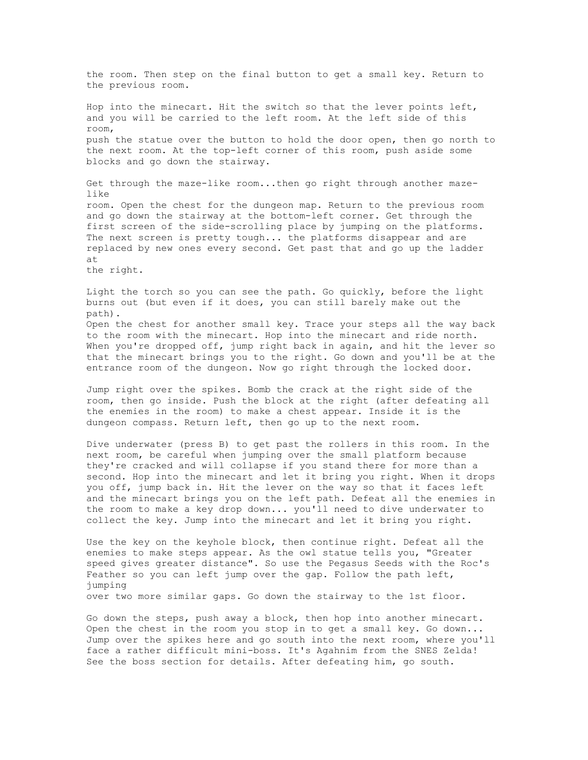the room. Then step on the final button to get a small key. Return to the previous room. Hop into the minecart. Hit the switch so that the lever points left, and you will be carried to the left room. At the left side of this room, push the statue over the button to hold the door open, then go north to the next room. At the top-left corner of this room, push aside some blocks and go down the stairway. Get through the maze-like room...then go right through another mazelike room. Open the chest for the dungeon map. Return to the previous room and go down the stairway at the bottom-left corner. Get through the first screen of the side-scrolling place by jumping on the platforms. The next screen is pretty tough... the platforms disappear and are replaced by new ones every second. Get past that and go up the ladder at the right.

Light the torch so you can see the path. Go quickly, before the light burns out (but even if it does, you can still barely make out the path). Open the chest for another small key. Trace your steps all the way back to the room with the minecart. Hop into the minecart and ride north. When you're dropped off, jump right back in again, and hit the lever so that the minecart brings you to the right. Go down and you'll be at the entrance room of the dungeon. Now go right through the locked door.

Jump right over the spikes. Bomb the crack at the right side of the room, then go inside. Push the block at the right (after defeating all the enemies in the room) to make a chest appear. Inside it is the dungeon compass. Return left, then go up to the next room.

Dive underwater (press B) to get past the rollers in this room. In the next room, be careful when jumping over the small platform because they're cracked and will collapse if you stand there for more than a second. Hop into the minecart and let it bring you right. When it drops you off, jump back in. Hit the lever on the way so that it faces left and the minecart brings you on the left path. Defeat all the enemies in the room to make a key drop down... you'll need to dive underwater to collect the key. Jump into the minecart and let it bring you right.

Use the key on the keyhole block, then continue right. Defeat all the enemies to make steps appear. As the owl statue tells you, "Greater speed gives greater distance". So use the Pegasus Seeds with the Roc's Feather so you can left jump over the gap. Follow the path left, jumping

over two more similar gaps. Go down the stairway to the 1st floor.

Go down the steps, push away a block, then hop into another minecart. Open the chest in the room you stop in to get a small key. Go down... Jump over the spikes here and go south into the next room, where you'll face a rather difficult mini-boss. It's Agahnim from the SNES Zelda! See the boss section for details. After defeating him, go south.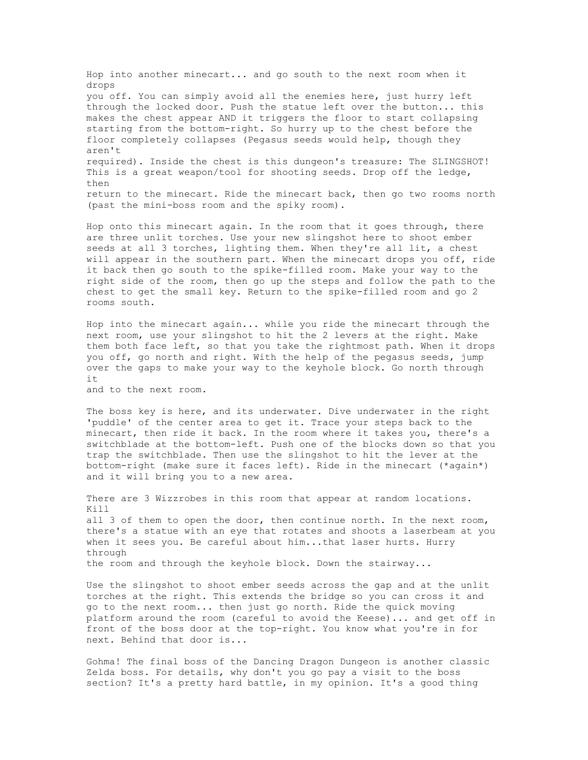Hop into another minecart... and go south to the next room when it drops you off. You can simply avoid all the enemies here, just hurry left through the locked door. Push the statue left over the button... this makes the chest appear AND it triggers the floor to start collapsing starting from the bottom-right. So hurry up to the chest before the floor completely collapses (Pegasus seeds would help, though they aren't required). Inside the chest is this dungeon's treasure: The SLINGSHOT! This is a great weapon/tool for shooting seeds. Drop off the ledge, then return to the minecart. Ride the minecart back, then go two rooms north (past the mini-boss room and the spiky room).

Hop onto this minecart again. In the room that it goes through, there are three unlit torches. Use your new slingshot here to shoot ember seeds at all 3 torches, lighting them. When they're all lit, a chest will appear in the southern part. When the minecart drops you off, ride it back then go south to the spike-filled room. Make your way to the right side of the room, then go up the steps and follow the path to the chest to get the small key. Return to the spike-filled room and go 2 rooms south.

Hop into the minecart again... while you ride the minecart through the next room, use your slingshot to hit the 2 levers at the right. Make them both face left, so that you take the rightmost path. When it drops you off, go north and right. With the help of the pegasus seeds, jump over the gaps to make your way to the keyhole block. Go north through i<sup>+</sup>

and to the next room.

The boss key is here, and its underwater. Dive underwater in the right 'puddle' of the center area to get it. Trace your steps back to the minecart, then ride it back. In the room where it takes you, there's a switchblade at the bottom-left. Push one of the blocks down so that you trap the switchblade. Then use the slingshot to hit the lever at the bottom-right (make sure it faces left). Ride in the minecart (\*again\*) and it will bring you to a new area.

There are 3 Wizzrobes in this room that appear at random locations. Kill all 3 of them to open the door, then continue north. In the next room, there's a statue with an eye that rotates and shoots a laserbeam at you when it sees you. Be careful about him...that laser hurts. Hurry through the room and through the keyhole block. Down the stairway...

Use the slingshot to shoot ember seeds across the gap and at the unlit torches at the right. This extends the bridge so you can cross it and go to the next room... then just go north. Ride the quick moving platform around the room (careful to avoid the Keese)... and get off in front of the boss door at the top-right. You know what you're in for next. Behind that door is...

Gohma! The final boss of the Dancing Dragon Dungeon is another classic Zelda boss. For details, why don't you go pay a visit to the boss section? It's a pretty hard battle, in my opinion. It's a good thing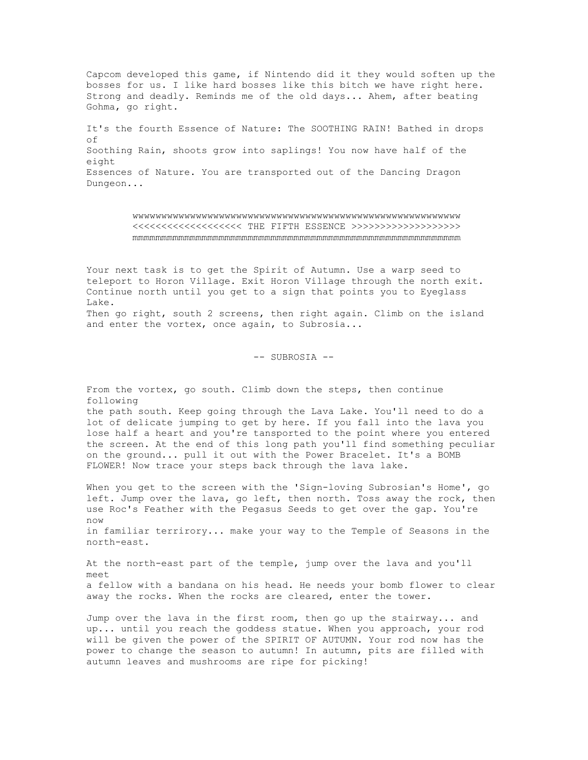Capcom developed this game, if Nintendo did it they would soften up the bosses for us. I like hard bosses like this bitch we have right here. Strong and deadly. Reminds me of the old days... Ahem, after beating Gohma, go right.

It's the fourth Essence of Nature: The SOOTHING RAIN! Bathed in drops of Soothing Rain, shoots grow into saplings! You now have half of the eight Essences of Nature. You are transported out of the Dancing Dragon Dungeon...

> wwwwwwwwwwwwwwwwwwwwwwwwwwwwwwwwwwwwwwwwwwwwwwwwwwwwwwwww <<<<<<<<<<<<<<<<<<< THE FIFTH ESSENCE >>>>>>>>>>>>>>>>>>> mmmmmmmmmmmmmmmmmmmmmmmmmmmmmmmmmmmmmmmmmmmmmmmmmmmmmmmmm

Your next task is to get the Spirit of Autumn. Use a warp seed to teleport to Horon Village. Exit Horon Village through the north exit. Continue north until you get to a sign that points you to Eyeglass Lake.

Then go right, south 2 screens, then right again. Climb on the island and enter the vortex, once again, to Subrosia...

-- SUBROSIA --

From the vortex, go south. Climb down the steps, then continue following

the path south. Keep going through the Lava Lake. You'll need to do a lot of delicate jumping to get by here. If you fall into the lava you lose half a heart and you're tansported to the point where you entered the screen. At the end of this long path you'll find something peculiar on the ground... pull it out with the Power Bracelet. It's a BOMB FLOWER! Now trace your steps back through the lava lake.

When you get to the screen with the 'Sign-loving Subrosian's Home', go left. Jump over the lava, go left, then north. Toss away the rock, then use Roc's Feather with the Pegasus Seeds to get over the gap. You're now in familiar terrirory... make your way to the Temple of Seasons in the north-east.

At the north-east part of the temple, jump over the lava and you'll meet a fellow with a bandana on his head. He needs your bomb flower to clear away the rocks. When the rocks are cleared, enter the tower.

Jump over the lava in the first room, then go up the stairway... and up... until you reach the goddess statue. When you approach, your rod will be given the power of the SPIRIT OF AUTUMN. Your rod now has the power to change the season to autumn! In autumn, pits are filled with autumn leaves and mushrooms are ripe for picking!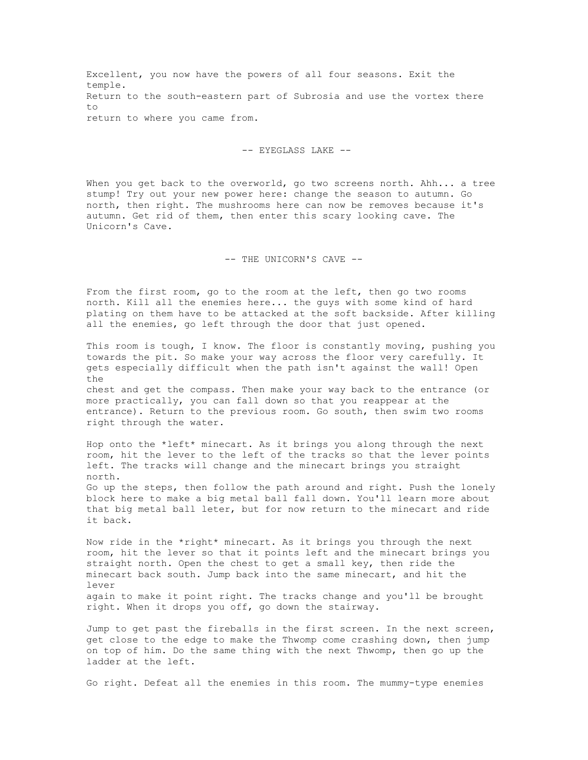Excellent, you now have the powers of all four seasons. Exit the temple. Return to the south-eastern part of Subrosia and use the vortex there to return to where you came from.

-- EYEGLASS LAKE --

When you get back to the overworld, go two screens north. Ahh... a tree stump! Try out your new power here: change the season to autumn. Go north, then right. The mushrooms here can now be removes because it's autumn. Get rid of them, then enter this scary looking cave. The Unicorn's Cave.

-- THE UNICORN'S CAVE --

From the first room, go to the room at the left, then go two rooms north. Kill all the enemies here... the guys with some kind of hard plating on them have to be attacked at the soft backside. After killing all the enemies, go left through the door that just opened.

This room is tough, I know. The floor is constantly moving, pushing you towards the pit. So make your way across the floor very carefully. It gets especially difficult when the path isn't against the wall! Open the chest and get the compass. Then make your way back to the entrance (or more practically, you can fall down so that you reappear at the entrance). Return to the previous room. Go south, then swim two rooms right through the water.

Hop onto the \*left\* minecart. As it brings you along through the next room, hit the lever to the left of the tracks so that the lever points left. The tracks will change and the minecart brings you straight north. Go up the steps, then follow the path around and right. Push the lonely block here to make a big metal ball fall down. You'll learn more about that big metal ball leter, but for now return to the minecart and ride it back.

Now ride in the \*right\* minecart. As it brings you through the next room, hit the lever so that it points left and the minecart brings you straight north. Open the chest to get a small key, then ride the minecart back south. Jump back into the same minecart, and hit the lever again to make it point right. The tracks change and you'll be brought right. When it drops you off, go down the stairway.

Jump to get past the fireballs in the first screen. In the next screen, get close to the edge to make the Thwomp come crashing down, then jump on top of him. Do the same thing with the next Thwomp, then go up the ladder at the left.

Go right. Defeat all the enemies in this room. The mummy-type enemies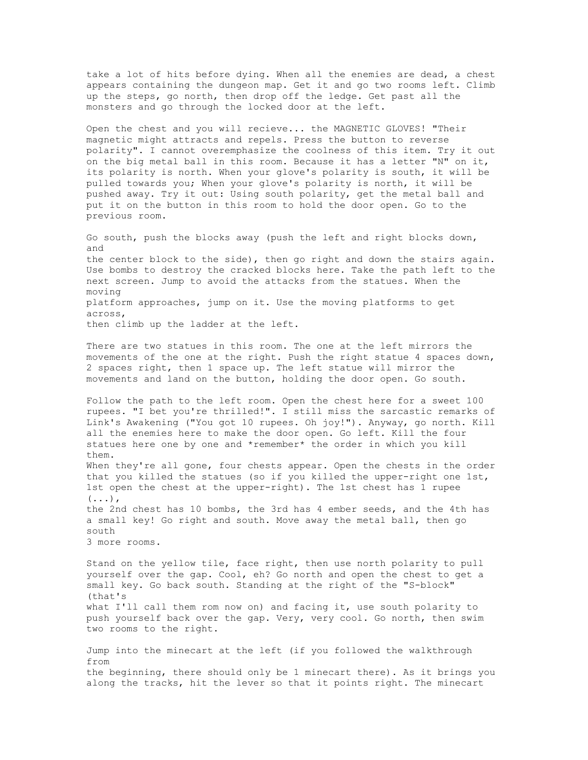take a lot of hits before dying. When all the enemies are dead, a chest appears containing the dungeon map. Get it and go two rooms left. Climb up the steps, go north, then drop off the ledge. Get past all the monsters and go through the locked door at the left.

Open the chest and you will recieve... the MAGNETIC GLOVES! "Their magnetic might attracts and repels. Press the button to reverse polarity". I cannot overemphasize the coolness of this item. Try it out on the big metal ball in this room. Because it has a letter "N" on it, its polarity is north. When your glove's polarity is south, it will be pulled towards you; When your glove's polarity is north, it will be pushed away. Try it out: Using south polarity, get the metal ball and put it on the button in this room to hold the door open. Go to the previous room.

Go south, push the blocks away (push the left and right blocks down, and the center block to the side), then go right and down the stairs again. Use bombs to destroy the cracked blocks here. Take the path left to the next screen. Jump to avoid the attacks from the statues. When the moving platform approaches, jump on it. Use the moving platforms to get across, then climb up the ladder at the left.

There are two statues in this room. The one at the left mirrors the movements of the one at the right. Push the right statue 4 spaces down, 2 spaces right, then 1 space up. The left statue will mirror the movements and land on the button, holding the door open. Go south.

Follow the path to the left room. Open the chest here for a sweet 100 rupees. "I bet you're thrilled!". I still miss the sarcastic remarks of Link's Awakening ("You got 10 rupees. Oh joy!"). Anyway, go north. Kill all the enemies here to make the door open. Go left. Kill the four statues here one by one and \*remember\* the order in which you kill them. When they're all gone, four chests appear. Open the chests in the order that you killed the statues (so if you killed the upper-right one 1st, 1st open the chest at the upper-right). The 1st chest has 1 rupee  $(\ldots)$ , the 2nd chest has 10 bombs, the 3rd has 4 ember seeds, and the 4th has a small key! Go right and south. Move away the metal ball, then go south

3 more rooms.

Stand on the yellow tile, face right, then use north polarity to pull yourself over the gap. Cool, eh? Go north and open the chest to get a small key. Go back south. Standing at the right of the "S-block" (that's what I'll call them rom now on) and facing it, use south polarity to push yourself back over the gap. Very, very cool. Go north, then swim two rooms to the right.

Jump into the minecart at the left (if you followed the walkthrough from the beginning, there should only be 1 minecart there). As it brings you along the tracks, hit the lever so that it points right. The minecart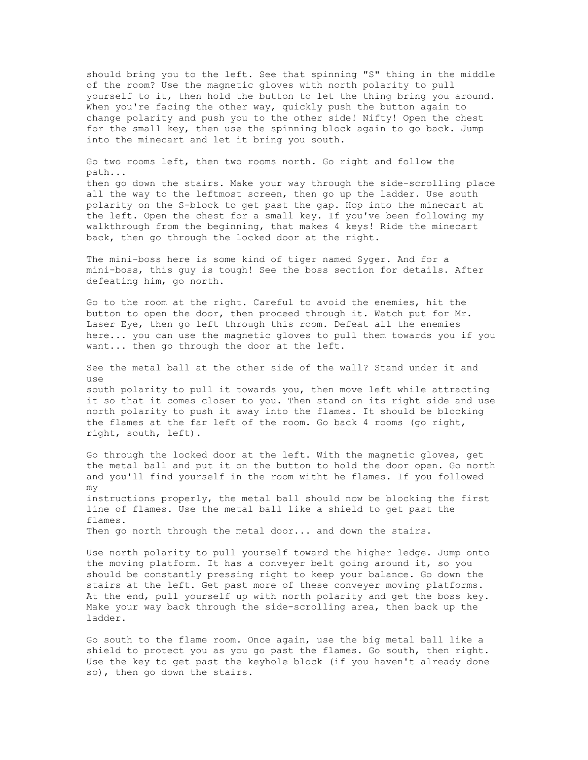should bring you to the left. See that spinning "S" thing in the middle of the room? Use the magnetic gloves with north polarity to pull yourself to it, then hold the button to let the thing bring you around. When you're facing the other way, quickly push the button again to change polarity and push you to the other side! Nifty! Open the chest for the small key, then use the spinning block again to go back. Jump into the minecart and let it bring you south.

Go two rooms left, then two rooms north. Go right and follow the path... then go down the stairs. Make your way through the side-scrolling place all the way to the leftmost screen, then go up the ladder. Use south polarity on the S-block to get past the gap. Hop into the minecart at the left. Open the chest for a small key. If you've been following my walkthrough from the beginning, that makes 4 keys! Ride the minecart back, then go through the locked door at the right.

The mini-boss here is some kind of tiger named Syger. And for a mini-boss, this guy is tough! See the boss section for details. After defeating him, go north.

Go to the room at the right. Careful to avoid the enemies, hit the button to open the door, then proceed through it. Watch put for Mr. Laser Eye, then go left through this room. Defeat all the enemies here... you can use the magnetic gloves to pull them towards you if you want... then go through the door at the left.

See the metal ball at the other side of the wall? Stand under it and  $11S^{\circ}$ south polarity to pull it towards you, then move left while attracting it so that it comes closer to you. Then stand on its right side and use north polarity to push it away into the flames. It should be blocking the flames at the far left of the room. Go back 4 rooms (go right, right, south, left).

Go through the locked door at the left. With the magnetic gloves, get the metal ball and put it on the button to hold the door open. Go north and you'll find yourself in the room witht he flames. If you followed my instructions properly, the metal ball should now be blocking the first line of flames. Use the metal ball like a shield to get past the flames. Then go north through the metal door... and down the stairs.

Use north polarity to pull yourself toward the higher ledge. Jump onto the moving platform. It has a conveyer belt going around it, so you should be constantly pressing right to keep your balance. Go down the stairs at the left. Get past more of these conveyer moving platforms. At the end, pull yourself up with north polarity and get the boss key. Make your way back through the side-scrolling area, then back up the ladder.

Go south to the flame room. Once again, use the big metal ball like a shield to protect you as you go past the flames. Go south, then right. Use the key to get past the keyhole block (if you haven't already done so), then go down the stairs.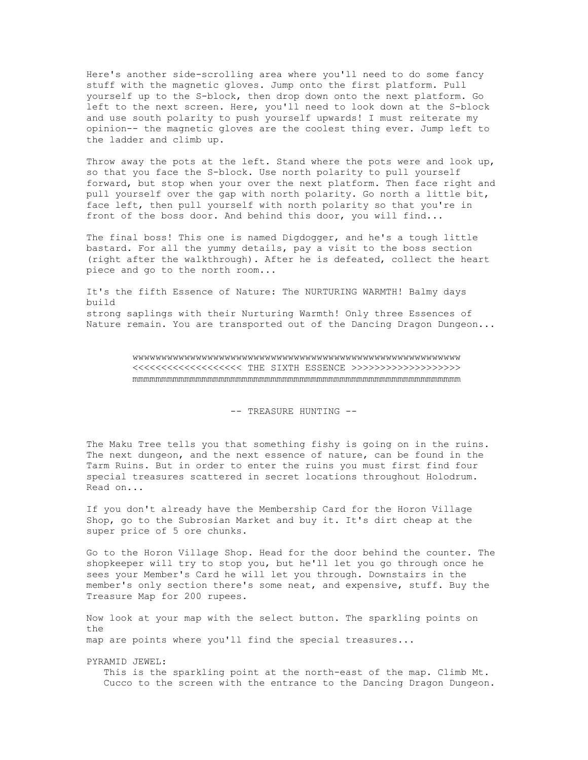Here's another side-scrolling area where you'll need to do some fancy stuff with the magnetic gloves. Jump onto the first platform. Pull yourself up to the S-block, then drop down onto the next platform. Go left to the next screen. Here, you'll need to look down at the S-block and use south polarity to push yourself upwards! I must reiterate my opinion-- the magnetic gloves are the coolest thing ever. Jump left to the ladder and climb up.

Throw away the pots at the left. Stand where the pots were and look up, so that you face the S-block. Use north polarity to pull yourself forward, but stop when your over the next platform. Then face right and pull yourself over the gap with north polarity. Go north a little bit, face left, then pull yourself with north polarity so that you're in front of the boss door. And behind this door, you will find...

The final boss! This one is named Digdogger, and he's a tough little bastard. For all the yummy details, pay a visit to the boss section (right after the walkthrough). After he is defeated, collect the heart piece and go to the north room...

It's the fifth Essence of Nature: The NURTURING WARMTH! Balmy days build strong saplings with their Nurturing Warmth! Only three Essences of Nature remain. You are transported out of the Dancing Dragon Dungeon...

> wwwwwwwwwwwwwwwwwwwwwwwwwwwwwwwwwwwwwwwwwwwwwwwwwwwwwwwww <<<<<<<<<<<<<<<<<<< THE SIXTH ESSENCE >>>>>>>>>>>>>>>>>>> mmmmmmmmmmmmmmmmmmmmmmmmmmmmmmmmmmmmmmmmmmmmmmmmmmmmmmmmm

# -- TREASURE HUNTING --

The Maku Tree tells you that something fishy is going on in the ruins. The next dungeon, and the next essence of nature, can be found in the Tarm Ruins. But in order to enter the ruins you must first find four special treasures scattered in secret locations throughout Holodrum. Read on...

If you don't already have the Membership Card for the Horon Village Shop, go to the Subrosian Market and buy it. It's dirt cheap at the super price of 5 ore chunks.

Go to the Horon Village Shop. Head for the door behind the counter. The shopkeeper will try to stop you, but he'll let you go through once he sees your Member's Card he will let you through. Downstairs in the member's only section there's some neat, and expensive, stuff. Buy the Treasure Map for 200 rupees.

Now look at your map with the select button. The sparkling points on the map are points where you'll find the special treasures...

PYRAMID JEWEL: This is the sparkling point at the north-east of the map. Climb Mt. Cucco to the screen with the entrance to the Dancing Dragon Dungeon.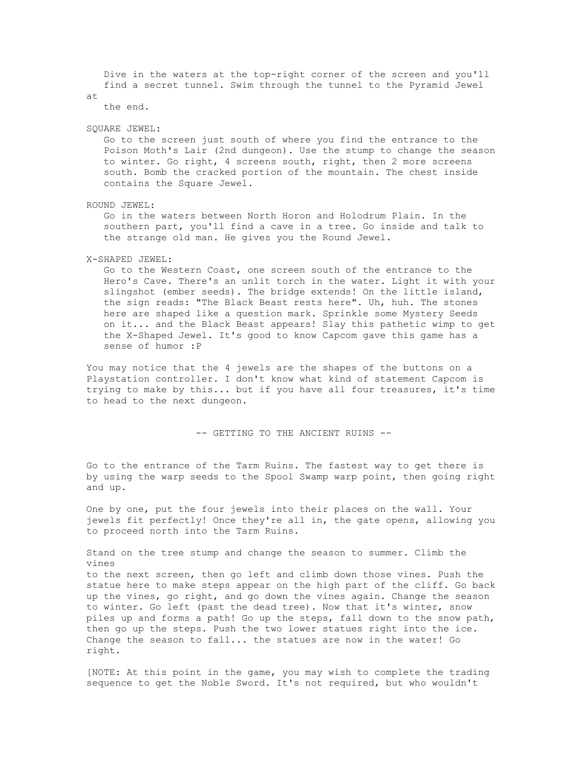Dive in the waters at the top-right corner of the screen and you'll find a secret tunnel. Swim through the tunnel to the Pyramid Jewel

at

the end.

#### SQUARE JEWEL:

 Go to the screen just south of where you find the entrance to the Poison Moth's Lair (2nd dungeon). Use the stump to change the season to winter. Go right, 4 screens south, right, then 2 more screens south. Bomb the cracked portion of the mountain. The chest inside contains the Square Jewel.

ROUND JEWEL:

 Go in the waters between North Horon and Holodrum Plain. In the southern part, you'll find a cave in a tree. Go inside and talk to the strange old man. He gives you the Round Jewel.

# X-SHAPED JEWEL:

 Go to the Western Coast, one screen south of the entrance to the Hero's Cave. There's an unlit torch in the water. Light it with your slingshot (ember seeds). The bridge extends! On the little island, the sign reads: "The Black Beast rests here". Uh, huh. The stones here are shaped like a question mark. Sprinkle some Mystery Seeds on it... and the Black Beast appears! Slay this pathetic wimp to get the X-Shaped Jewel. It's good to know Capcom gave this game has a sense of humor :P

You may notice that the 4 jewels are the shapes of the buttons on a Playstation controller. I don't know what kind of statement Capcom is trying to make by this... but if you have all four treasures, it's time to head to the next dungeon.

-- GETTING TO THE ANCIENT RUINS --

Go to the entrance of the Tarm Ruins. The fastest way to get there is by using the warp seeds to the Spool Swamp warp point, then going right and up.

One by one, put the four jewels into their places on the wall. Your jewels fit perfectly! Once they're all in, the gate opens, allowing you to proceed north into the Tarm Ruins.

Stand on the tree stump and change the season to summer. Climb the vines to the next screen, then go left and climb down those vines. Push the statue here to make steps appear on the high part of the cliff. Go back up the vines, go right, and go down the vines again. Change the season to winter. Go left (past the dead tree). Now that it's winter, snow piles up and forms a path! Go up the steps, fall down to the snow path, then go up the steps. Push the two lower statues right into the ice. Change the season to fall... the statues are now in the water! Go right.

[NOTE: At this point in the game, you may wish to complete the trading sequence to get the Noble Sword. It's not required, but who wouldn't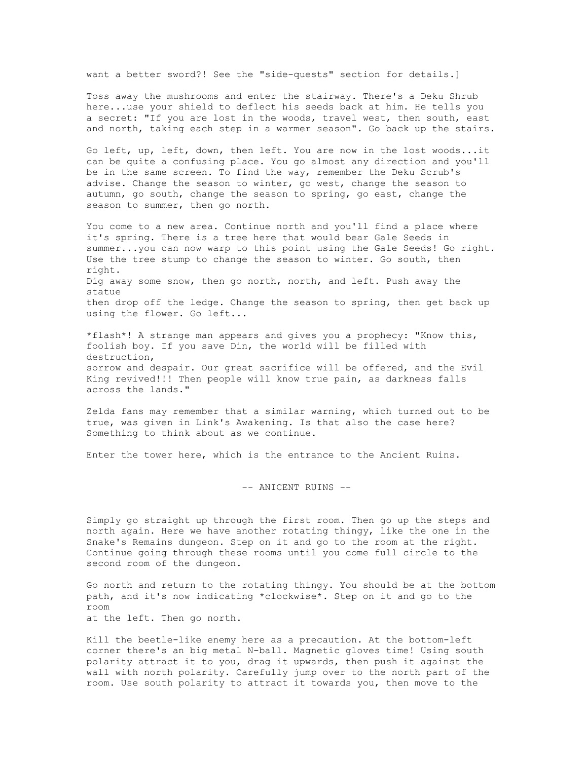want a better sword?! See the "side-quests" section for details.]

Toss away the mushrooms and enter the stairway. There's a Deku Shrub here...use your shield to deflect his seeds back at him. He tells you a secret: "If you are lost in the woods, travel west, then south, east and north, taking each step in a warmer season". Go back up the stairs.

Go left, up, left, down, then left. You are now in the lost woods...it can be quite a confusing place. You go almost any direction and you'll be in the same screen. To find the way, remember the Deku Scrub's advise. Change the season to winter, go west, change the season to autumn, go south, change the season to spring, go east, change the season to summer, then go north.

You come to a new area. Continue north and you'll find a place where it's spring. There is a tree here that would bear Gale Seeds in summer...you can now warp to this point using the Gale Seeds! Go right. Use the tree stump to change the season to winter. Go south, then right. Dig away some snow, then go north, north, and left. Push away the statue then drop off the ledge. Change the season to spring, then get back up using the flower. Go left...

\*flash\*! A strange man appears and gives you a prophecy: "Know this, foolish boy. If you save Din, the world will be filled with destruction, sorrow and despair. Our great sacrifice will be offered, and the Evil King revived!!! Then people will know true pain, as darkness falls across the lands."

Zelda fans may remember that a similar warning, which turned out to be true, was given in Link's Awakening. Is that also the case here? Something to think about as we continue.

Enter the tower here, which is the entrance to the Ancient Ruins.

-- ANICENT RUINS --

Simply go straight up through the first room. Then go up the steps and north again. Here we have another rotating thingy, like the one in the Snake's Remains dungeon. Step on it and go to the room at the right. Continue going through these rooms until you come full circle to the second room of the dungeon.

Go north and return to the rotating thingy. You should be at the bottom path, and it's now indicating \*clockwise\*. Step on it and go to the room at the left. Then go north.

Kill the beetle-like enemy here as a precaution. At the bottom-left corner there's an big metal N-ball. Magnetic gloves time! Using south polarity attract it to you, drag it upwards, then push it against the wall with north polarity. Carefully jump over to the north part of the room. Use south polarity to attract it towards you, then move to the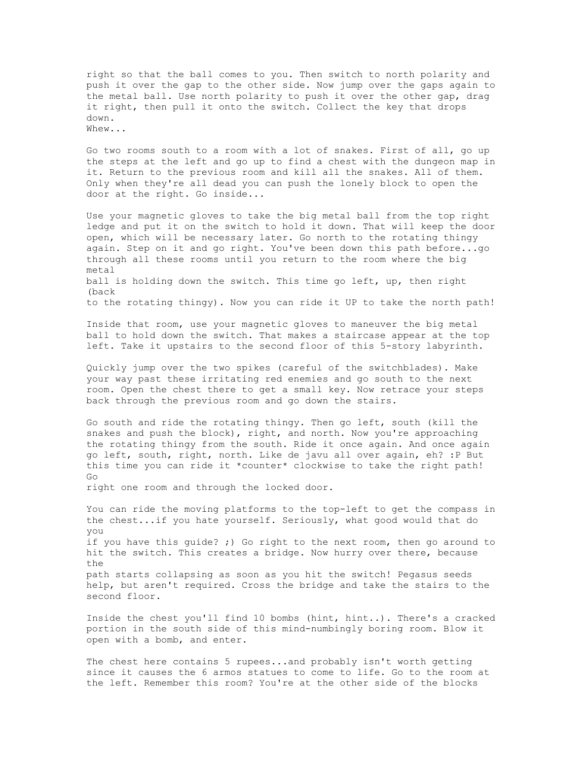right so that the ball comes to you. Then switch to north polarity and push it over the gap to the other side. Now jump over the gaps again to the metal ball. Use north polarity to push it over the other gap, drag it right, then pull it onto the switch. Collect the key that drops down.

Whew...

Go two rooms south to a room with a lot of snakes. First of all, go up the steps at the left and go up to find a chest with the dungeon map in it. Return to the previous room and kill all the snakes. All of them. Only when they're all dead you can push the lonely block to open the door at the right. Go inside...

Use your magnetic gloves to take the big metal ball from the top right ledge and put it on the switch to hold it down. That will keep the door open, which will be necessary later. Go north to the rotating thingy again. Step on it and go right. You've been down this path before...go through all these rooms until you return to the room where the big metal ball is holding down the switch. This time go left, up, then right (back to the rotating thingy). Now you can ride it UP to take the north path!

Inside that room, use your magnetic gloves to maneuver the big metal ball to hold down the switch. That makes a staircase appear at the top left. Take it upstairs to the second floor of this 5-story labyrinth.

Quickly jump over the two spikes (careful of the switchblades). Make your way past these irritating red enemies and go south to the next room. Open the chest there to get a small key. Now retrace your steps back through the previous room and go down the stairs.

Go south and ride the rotating thingy. Then go left, south (kill the snakes and push the block), right, and north. Now you're approaching the rotating thingy from the south. Ride it once again. And once again go left, south, right, north. Like de javu all over again, eh? :P But this time you can ride it \*counter\* clockwise to take the right path! Go

right one room and through the locked door.

You can ride the moving platforms to the top-left to get the compass in the chest...if you hate yourself. Seriously, what good would that do you if you have this guide? ;) Go right to the next room, then go around to hit the switch. This creates a bridge. Now hurry over there, because the path starts collapsing as soon as you hit the switch! Pegasus seeds help, but aren't required. Cross the bridge and take the stairs to the second floor.

Inside the chest you'll find 10 bombs (hint, hint..). There's a cracked portion in the south side of this mind-numbingly boring room. Blow it open with a bomb, and enter.

The chest here contains 5 rupees...and probably isn't worth getting since it causes the 6 armos statues to come to life. Go to the room at the left. Remember this room? You're at the other side of the blocks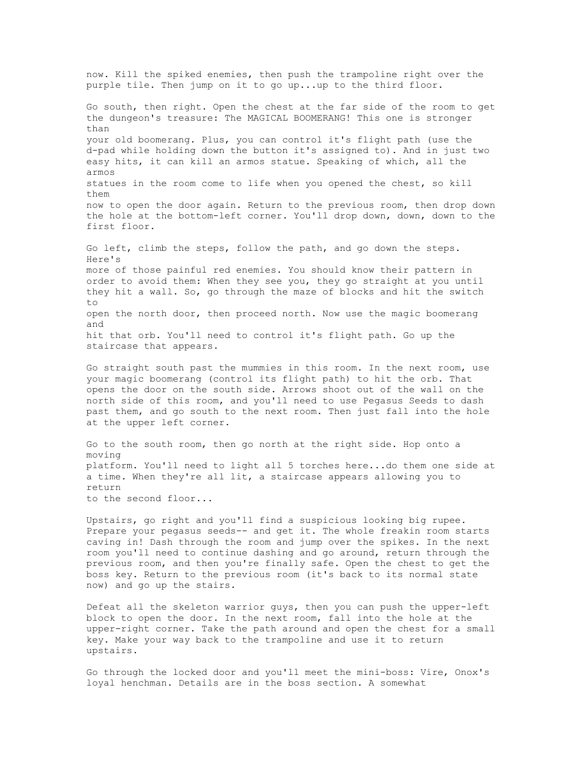now. Kill the spiked enemies, then push the trampoline right over the purple tile. Then jump on it to go up...up to the third floor. Go south, then right. Open the chest at the far side of the room to get the dungeon's treasure: The MAGICAL BOOMERANG! This one is stronger than your old boomerang. Plus, you can control it's flight path (use the d-pad while holding down the button it's assigned to). And in just two easy hits, it can kill an armos statue. Speaking of which, all the armos statues in the room come to life when you opened the chest, so kill them now to open the door again. Return to the previous room, then drop down the hole at the bottom-left corner. You'll drop down, down, down to the first floor. Go left, climb the steps, follow the path, and go down the steps. Here's more of those painful red enemies. You should know their pattern in order to avoid them: When they see you, they go straight at you until they hit a wall. So, go through the maze of blocks and hit the switch to open the north door, then proceed north. Now use the magic boomerang and hit that orb. You'll need to control it's flight path. Go up the staircase that appears. Go straight south past the mummies in this room. In the next room, use your magic boomerang (control its flight path) to hit the orb. That opens the door on the south side. Arrows shoot out of the wall on the north side of this room, and you'll need to use Pegasus Seeds to dash

past them, and go south to the next room. Then just fall into the hole at the upper left corner.

Go to the south room, then go north at the right side. Hop onto a moving platform. You'll need to light all 5 torches here...do them one side at a time. When they're all lit, a staircase appears allowing you to return to the second floor...

Upstairs, go right and you'll find a suspicious looking big rupee. Prepare your pegasus seeds-- and get it. The whole freakin room starts caving in! Dash through the room and jump over the spikes. In the next room you'll need to continue dashing and go around, return through the previous room, and then you're finally safe. Open the chest to get the boss key. Return to the previous room (it's back to its normal state now) and go up the stairs.

Defeat all the skeleton warrior guys, then you can push the upper-left block to open the door. In the next room, fall into the hole at the upper-right corner. Take the path around and open the chest for a small key. Make your way back to the trampoline and use it to return upstairs.

Go through the locked door and you'll meet the mini-boss: Vire, Onox's loyal henchman. Details are in the boss section. A somewhat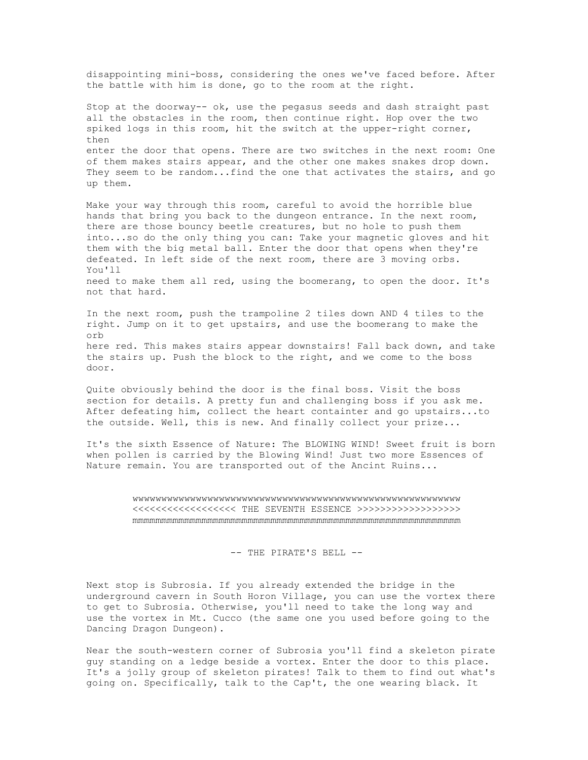disappointing mini-boss, considering the ones we've faced before. After the battle with him is done, go to the room at the right.

Stop at the doorway-- ok, use the pegasus seeds and dash straight past all the obstacles in the room, then continue right. Hop over the two spiked logs in this room, hit the switch at the upper-right corner, then enter the door that opens. There are two switches in the next room: One of them makes stairs appear, and the other one makes snakes drop down. They seem to be random...find the one that activates the stairs, and go up them.

Make your way through this room, careful to avoid the horrible blue hands that bring you back to the dungeon entrance. In the next room, there are those bouncy beetle creatures, but no hole to push them into...so do the only thing you can: Take your magnetic gloves and hit them with the big metal ball. Enter the door that opens when they're defeated. In left side of the next room, there are 3 moving orbs. You'll need to make them all red, using the boomerang, to open the door. It's not that hard.

In the next room, push the trampoline 2 tiles down AND 4 tiles to the right. Jump on it to get upstairs, and use the boomerang to make the orb here red. This makes stairs appear downstairs! Fall back down, and take the stairs up. Push the block to the right, and we come to the boss door.

Quite obviously behind the door is the final boss. Visit the boss section for details. A pretty fun and challenging boss if you ask me. After defeating him, collect the heart containter and go upstairs...to the outside. Well, this is new. And finally collect your prize...

It's the sixth Essence of Nature: The BLOWING WIND! Sweet fruit is born when pollen is carried by the Blowing Wind! Just two more Essences of Nature remain. You are transported out of the Ancint Ruins...

> wwwwwwwwwwwwwwwwwwwwwwwwwwwwwwwwwwwwwwwwwwwwwwwwwwwwwwwww <<<<<<<<<<<<<<<<<< THE SEVENTH ESSENCE >>>>>>>>>>>>>>>>>> mmmmmmmmmmmmmmmmmmmmmmmmmmmmmmmmmmmmmmmmmmmmmmmmmmmmmmmmm

> > -- THE PIRATE'S BELL --

Next stop is Subrosia. If you already extended the bridge in the underground cavern in South Horon Village, you can use the vortex there to get to Subrosia. Otherwise, you'll need to take the long way and use the vortex in Mt. Cucco (the same one you used before going to the Dancing Dragon Dungeon).

Near the south-western corner of Subrosia you'll find a skeleton pirate guy standing on a ledge beside a vortex. Enter the door to this place. It's a jolly group of skeleton pirates! Talk to them to find out what's going on. Specifically, talk to the Cap't, the one wearing black. It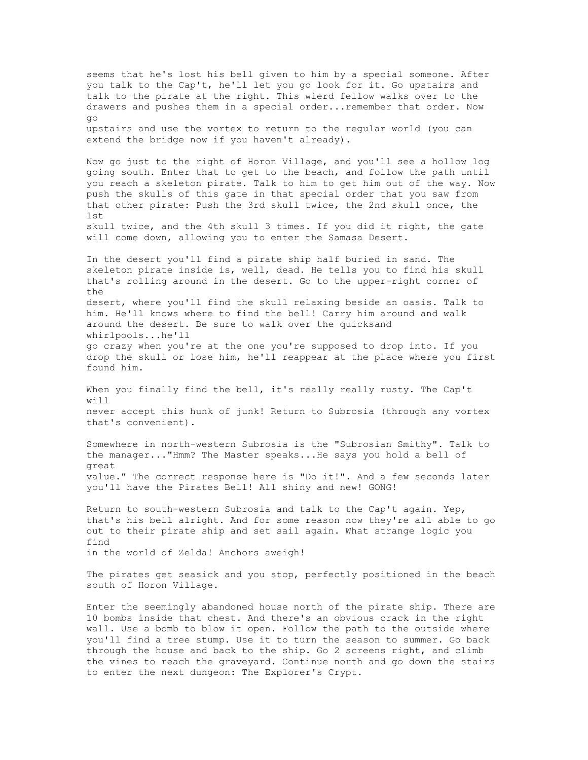seems that he's lost his bell given to him by a special someone. After you talk to the Cap't, he'll let you go look for it. Go upstairs and talk to the pirate at the right. This wierd fellow walks over to the drawers and pushes them in a special order...remember that order. Now go upstairs and use the vortex to return to the regular world (you can extend the bridge now if you haven't already). Now go just to the right of Horon Village, and you'll see a hollow log going south. Enter that to get to the beach, and follow the path until you reach a skeleton pirate. Talk to him to get him out of the way. Now push the skulls of this gate in that special order that you saw from that other pirate: Push the 3rd skull twice, the 2nd skull once, the 1st skull twice, and the 4th skull 3 times. If you did it right, the gate will come down, allowing you to enter the Samasa Desert. In the desert you'll find a pirate ship half buried in sand. The skeleton pirate inside is, well, dead. He tells you to find his skull that's rolling around in the desert. Go to the upper-right corner of  $th$ e desert, where you'll find the skull relaxing beside an oasis. Talk to him. He'll knows where to find the bell! Carry him around and walk around the desert. Be sure to walk over the quicksand whirlpools...he'll go crazy when you're at the one you're supposed to drop into. If you drop the skull or lose him, he'll reappear at the place where you first found him. When you finally find the bell, it's really really rusty. The Cap't will never accept this hunk of junk! Return to Subrosia (through any vortex that's convenient). Somewhere in north-western Subrosia is the "Subrosian Smithy". Talk to the manager..."Hmm? The Master speaks...He says you hold a bell of great value." The correct response here is "Do it!". And a few seconds later you'll have the Pirates Bell! All shiny and new! GONG! Return to south-western Subrosia and talk to the Cap't again. Yep, that's his bell alright. And for some reason now they're all able to go out to their pirate ship and set sail again. What strange logic you find in the world of Zelda! Anchors aweigh! The pirates get seasick and you stop, perfectly positioned in the beach south of Horon Village. Enter the seemingly abandoned house north of the pirate ship. There are 10 bombs inside that chest. And there's an obvious crack in the right wall. Use a bomb to blow it open. Follow the path to the outside where you'll find a tree stump. Use it to turn the season to summer. Go back through the house and back to the ship. Go 2 screens right, and climb the vines to reach the graveyard. Continue north and go down the stairs to enter the next dungeon: The Explorer's Crypt.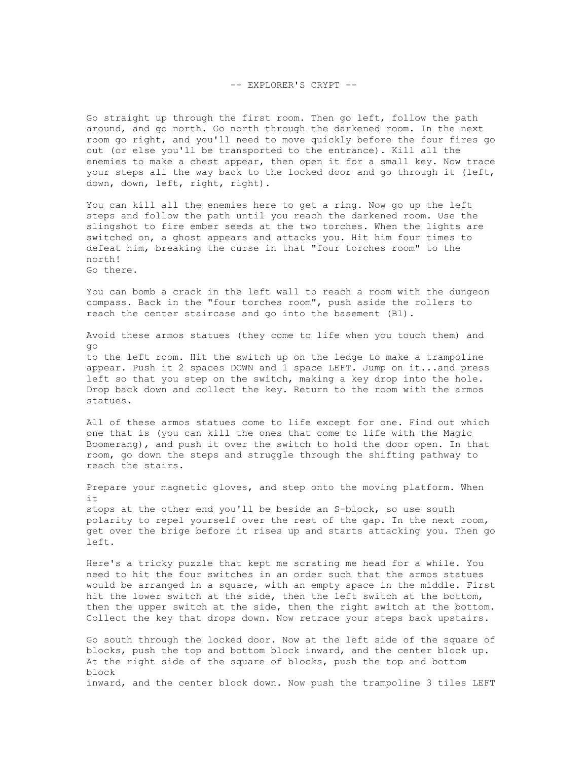# -- EXPLORER'S CRYPT --

Go straight up through the first room. Then go left, follow the path around, and go north. Go north through the darkened room. In the next room go right, and you'll need to move quickly before the four fires go out (or else you'll be transported to the entrance). Kill all the enemies to make a chest appear, then open it for a small key. Now trace your steps all the way back to the locked door and go through it (left, down, down, left, right, right).

You can kill all the enemies here to get a ring. Now go up the left steps and follow the path until you reach the darkened room. Use the slingshot to fire ember seeds at the two torches. When the lights are switched on, a ghost appears and attacks you. Hit him four times to defeat him, breaking the curse in that "four torches room" to the north! Go there.

You can bomb a crack in the left wall to reach a room with the dungeon compass. Back in the "four torches room", push aside the rollers to reach the center staircase and go into the basement (B1).

Avoid these armos statues (they come to life when you touch them) and go to the left room. Hit the switch up on the ledge to make a trampoline appear. Push it 2 spaces DOWN and 1 space LEFT. Jump on it...and press left so that you step on the switch, making a key drop into the hole. Drop back down and collect the key. Return to the room with the armos statues.

All of these armos statues come to life except for one. Find out which one that is (you can kill the ones that come to life with the Magic Boomerang), and push it over the switch to hold the door open. In that room, go down the steps and struggle through the shifting pathway to reach the stairs.

Prepare your magnetic gloves, and step onto the moving platform. When it stops at the other end you'll be beside an S-block, so use south polarity to repel yourself over the rest of the gap. In the next room, get over the brige before it rises up and starts attacking you. Then go left.

Here's a tricky puzzle that kept me scrating me head for a while. You need to hit the four switches in an order such that the armos statues would be arranged in a square, with an empty space in the middle. First hit the lower switch at the side, then the left switch at the bottom, then the upper switch at the side, then the right switch at the bottom. Collect the key that drops down. Now retrace your steps back upstairs.

Go south through the locked door. Now at the left side of the square of blocks, push the top and bottom block inward, and the center block up. At the right side of the square of blocks, push the top and bottom block inward, and the center block down. Now push the trampoline 3 tiles LEFT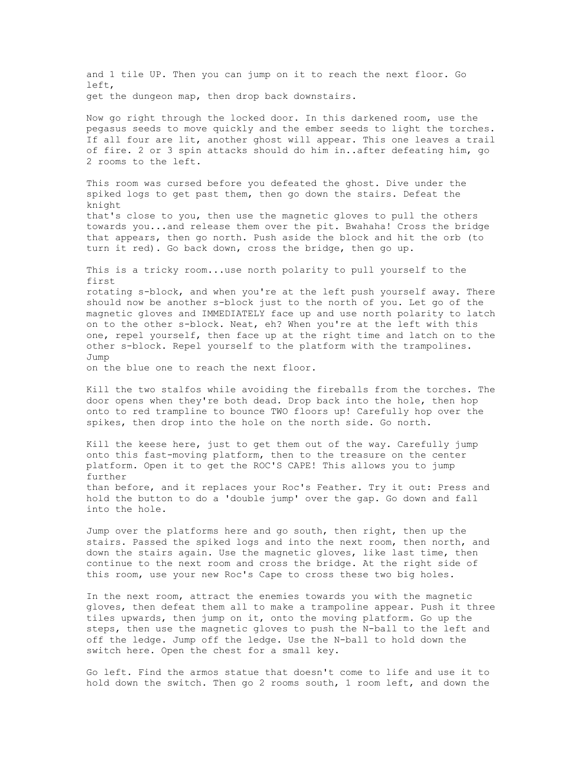and 1 tile UP. Then you can jump on it to reach the next floor. Go left, get the dungeon map, then drop back downstairs. Now go right through the locked door. In this darkened room, use the pegasus seeds to move quickly and the ember seeds to light the torches. If all four are lit, another ghost will appear. This one leaves a trail of fire. 2 or 3 spin attacks should do him in..after defeating him, go 2 rooms to the left. This room was cursed before you defeated the ghost. Dive under the spiked logs to get past them, then go down the stairs. Defeat the knight that's close to you, then use the magnetic gloves to pull the others towards you...and release them over the pit. Bwahaha! Cross the bridge that appears, then go north. Push aside the block and hit the orb (to turn it red). Go back down, cross the bridge, then go up. This is a tricky room...use north polarity to pull yourself to the first rotating s-block, and when you're at the left push yourself away. There should now be another s-block just to the north of you. Let go of the magnetic gloves and IMMEDIATELY face up and use north polarity to latch on to the other s-block. Neat, eh? When you're at the left with this one, repel yourself, then face up at the right time and latch on to the other s-block. Repel yourself to the platform with the trampolines. Jump on the blue one to reach the next floor. Kill the two stalfos while avoiding the fireballs from the torches. The door opens when they're both dead. Drop back into the hole, then hop onto to red trampline to bounce TWO floors up! Carefully hop over the spikes, then drop into the hole on the north side. Go north. Kill the keese here, just to get them out of the way. Carefully jump onto this fast-moving platform, then to the treasure on the center platform. Open it to get the ROC'S CAPE! This allows you to jump further than before, and it replaces your Roc's Feather. Try it out: Press and hold the button to do a 'double jump' over the gap. Go down and fall into the hole. Jump over the platforms here and go south, then right, then up the stairs. Passed the spiked logs and into the next room, then north, and down the stairs again. Use the magnetic gloves, like last time, then continue to the next room and cross the bridge. At the right side of this room, use your new Roc's Cape to cross these two big holes. In the next room, attract the enemies towards you with the magnetic gloves, then defeat them all to make a trampoline appear. Push it three tiles upwards, then jump on it, onto the moving platform. Go up the steps, then use the magnetic gloves to push the N-ball to the left and off the ledge. Jump off the ledge. Use the N-ball to hold down the

Go left. Find the armos statue that doesn't come to life and use it to hold down the switch. Then go 2 rooms south, 1 room left, and down the

switch here. Open the chest for a small key.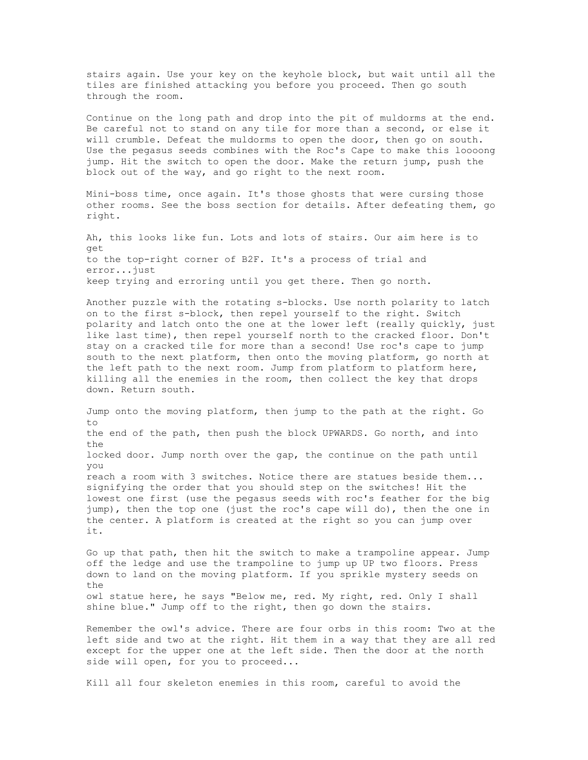stairs again. Use your key on the keyhole block, but wait until all the tiles are finished attacking you before you proceed. Then go south through the room.

Continue on the long path and drop into the pit of muldorms at the end. Be careful not to stand on any tile for more than a second, or else it will crumble. Defeat the muldorms to open the door, then go on south. Use the pegasus seeds combines with the Roc's Cape to make this loooong jump. Hit the switch to open the door. Make the return jump, push the block out of the way, and go right to the next room.

Mini-boss time, once again. It's those ghosts that were cursing those other rooms. See the boss section for details. After defeating them, go right.

Ah, this looks like fun. Lots and lots of stairs. Our aim here is to get to the top-right corner of B2F. It's a process of trial and error...just keep trying and erroring until you get there. Then go north.

Another puzzle with the rotating s-blocks. Use north polarity to latch on to the first s-block, then repel yourself to the right. Switch polarity and latch onto the one at the lower left (really quickly, just like last time), then repel yourself north to the cracked floor. Don't stay on a cracked tile for more than a second! Use roc's cape to jump south to the next platform, then onto the moving platform, go north at the left path to the next room. Jump from platform to platform here, killing all the enemies in the room, then collect the key that drops down. Return south.

Jump onto the moving platform, then jump to the path at the right. Go to the end of the path, then push the block UPWARDS. Go north, and into the locked door. Jump north over the gap, the continue on the path until you reach a room with 3 switches. Notice there are statues beside them... signifying the order that you should step on the switches! Hit the lowest one first (use the pegasus seeds with roc's feather for the big jump), then the top one (just the roc's cape will do), then the one in the center. A platform is created at the right so you can jump over it.

Go up that path, then hit the switch to make a trampoline appear. Jump off the ledge and use the trampoline to jump up UP two floors. Press down to land on the moving platform. If you sprikle mystery seeds on the owl statue here, he says "Below me, red. My right, red. Only I shall shine blue." Jump off to the right, then go down the stairs.

Remember the owl's advice. There are four orbs in this room: Two at the left side and two at the right. Hit them in a way that they are all red except for the upper one at the left side. Then the door at the north side will open, for you to proceed...

Kill all four skeleton enemies in this room, careful to avoid the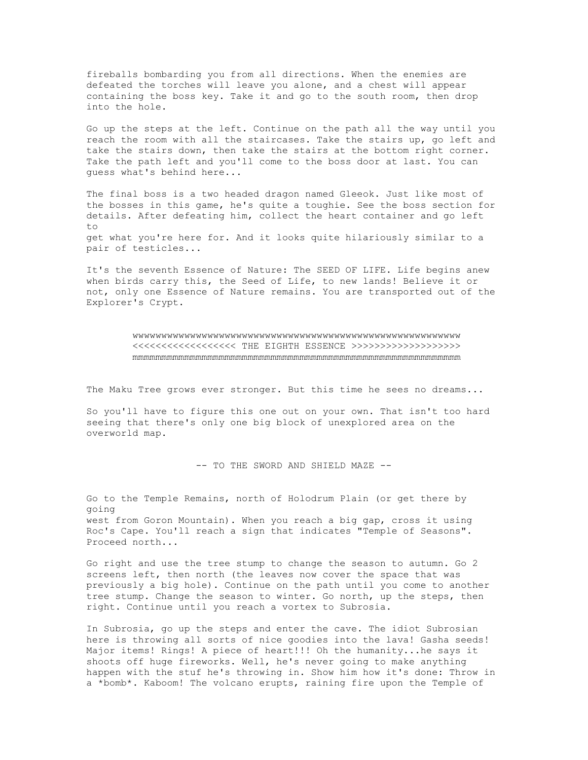fireballs bombarding you from all directions. When the enemies are defeated the torches will leave you alone, and a chest will appear containing the boss key. Take it and go to the south room, then drop into the hole.

Go up the steps at the left. Continue on the path all the way until you reach the room with all the staircases. Take the stairs up, go left and take the stairs down, then take the stairs at the bottom right corner. Take the path left and you'll come to the boss door at last. You can guess what's behind here...

The final boss is a two headed dragon named Gleeok. Just like most of the bosses in this game, he's quite a toughie. See the boss section for details. After defeating him, collect the heart container and go left  $+\circ$ get what you're here for. And it looks quite hilariously similar to a pair of testicles...

It's the seventh Essence of Nature: The SEED OF LIFE. Life begins anew when birds carry this, the Seed of Life, to new lands! Believe it or not, only one Essence of Nature remains. You are transported out of the Explorer's Crypt.

> wwwwwwwwwwwwwwwwwwwwwwwwwwwwwwwwwwwwwwwwwwwwwwwwwwwwwwwww <<<<<<<<<<<<<<<<<< THE EIGHTH ESSENCE >>>>>>>>>>>>>>>>>>> mmmmmmmmmmmmmmmmmmmmmmmmmmmmmmmmmmmmmmmmmmmmmmmmmmmmmmmmm

The Maku Tree grows ever stronger. But this time he sees no dreams...

So you'll have to figure this one out on your own. That isn't too hard seeing that there's only one big block of unexplored area on the overworld map.

-- TO THE SWORD AND SHIELD MAZE --

Go to the Temple Remains, north of Holodrum Plain (or get there by going west from Goron Mountain). When you reach a big gap, cross it using Roc's Cape. You'll reach a sign that indicates "Temple of Seasons". Proceed north...

Go right and use the tree stump to change the season to autumn. Go 2 screens left, then north (the leaves now cover the space that was previously a big hole). Continue on the path until you come to another tree stump. Change the season to winter. Go north, up the steps, then right. Continue until you reach a vortex to Subrosia.

In Subrosia, go up the steps and enter the cave. The idiot Subrosian here is throwing all sorts of nice goodies into the lava! Gasha seeds! Major items! Rings! A piece of heart!!! Oh the humanity...he says it shoots off huge fireworks. Well, he's never going to make anything happen with the stuf he's throwing in. Show him how it's done: Throw in a \*bomb\*. Kaboom! The volcano erupts, raining fire upon the Temple of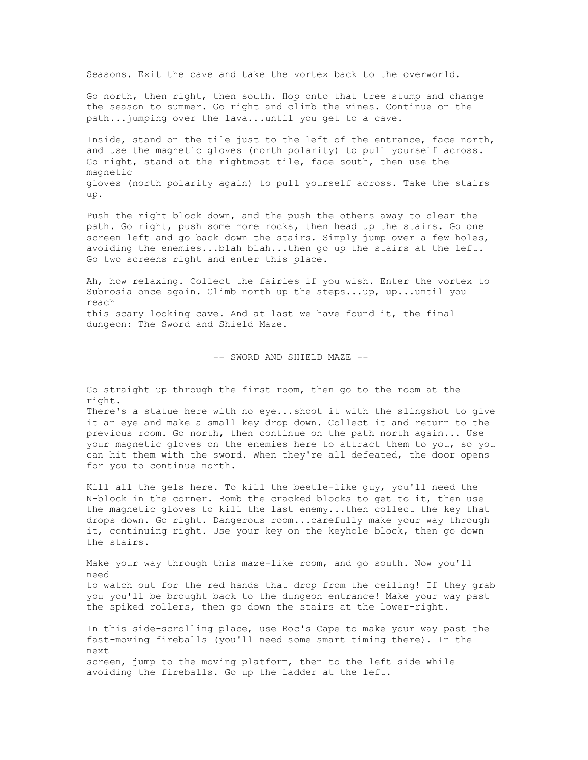Seasons. Exit the cave and take the vortex back to the overworld.

Go north, then right, then south. Hop onto that tree stump and change the season to summer. Go right and climb the vines. Continue on the path...jumping over the lava...until you get to a cave.

Inside, stand on the tile just to the left of the entrance, face north, and use the magnetic gloves (north polarity) to pull yourself across. Go right, stand at the rightmost tile, face south, then use the magnetic gloves (north polarity again) to pull yourself across. Take the stairs up.

Push the right block down, and the push the others away to clear the path. Go right, push some more rocks, then head up the stairs. Go one screen left and go back down the stairs. Simply jump over a few holes, avoiding the enemies...blah blah...then go up the stairs at the left. Go two screens right and enter this place.

Ah, how relaxing. Collect the fairies if you wish. Enter the vortex to Subrosia once again. Climb north up the steps...up, up...until you reach this scary looking cave. And at last we have found it, the final dungeon: The Sword and Shield Maze.

-- SWORD AND SHIELD MAZE --

Go straight up through the first room, then go to the room at the right.

There's a statue here with no eye...shoot it with the slingshot to give it an eye and make a small key drop down. Collect it and return to the previous room. Go north, then continue on the path north again... Use your magnetic gloves on the enemies here to attract them to you, so you can hit them with the sword. When they're all defeated, the door opens for you to continue north.

Kill all the gels here. To kill the beetle-like guy, you'll need the N-block in the corner. Bomb the cracked blocks to get to it, then use the magnetic gloves to kill the last enemy...then collect the key that drops down. Go right. Dangerous room...carefully make your way through it, continuing right. Use your key on the keyhole block, then go down the stairs.

Make your way through this maze-like room, and go south. Now you'll need to watch out for the red hands that drop from the ceiling! If they grab you you'll be brought back to the dungeon entrance! Make your way past the spiked rollers, then go down the stairs at the lower-right.

In this side-scrolling place, use Roc's Cape to make your way past the fast-moving fireballs (you'll need some smart timing there). In the next screen, jump to the moving platform, then to the left side while avoiding the fireballs. Go up the ladder at the left.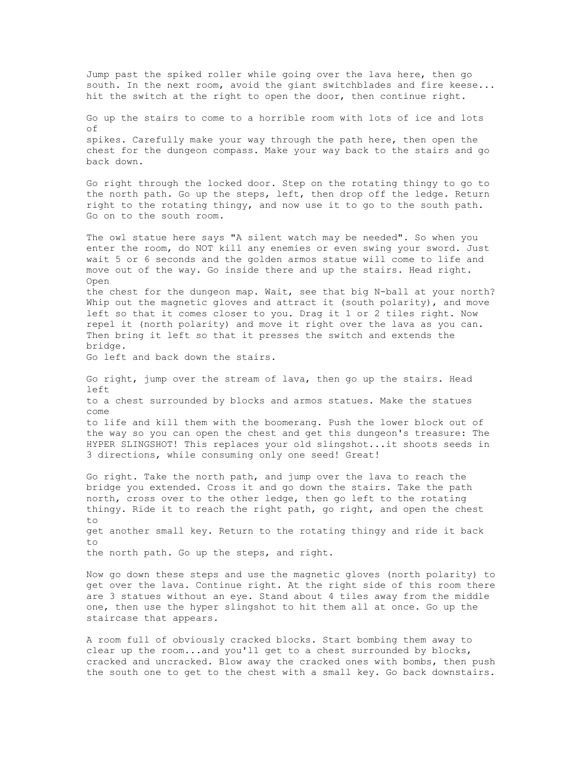Jump past the spiked roller while going over the lava here, then go south. In the next room, avoid the giant switchblades and fire keese... hit the switch at the right to open the door, then continue right. Go up the stairs to come to a horrible room with lots of ice and lots of spikes. Carefully make your way through the path here, then open the chest for the dungeon compass. Make your way back to the stairs and go back down. Go right through the locked door. Step on the rotating thingy to go to the north path. Go up the steps, left, then drop off the ledge. Return right to the rotating thingy, and now use it to go to the south path. Go on to the south room. The owl statue here says "A silent watch may be needed". So when you enter the room, do NOT kill any enemies or even swing your sword. Just wait 5 or 6 seconds and the golden armos statue will come to life and move out of the way. Go inside there and up the stairs. Head right. Open the chest for the dungeon map. Wait, see that big N-ball at your north? Whip out the magnetic gloves and attract it (south polarity), and move left so that it comes closer to you. Drag it 1 or 2 tiles right. Now repel it (north polarity) and move it right over the lava as you can. Then bring it left so that it presses the switch and extends the bridge. Go left and back down the stairs. Go right, jump over the stream of lava, then go up the stairs. Head left to a chest surrounded by blocks and armos statues. Make the statues come to life and kill them with the boomerang. Push the lower block out of the way so you can open the chest and get this dungeon's treasure: The HYPER SLINGSHOT! This replaces your old slingshot...it shoots seeds in 3 directions, while consuming only one seed! Great! Go right. Take the north path, and jump over the lava to reach the bridge you extended. Cross it and go down the stairs. Take the path north, cross over to the other ledge, then go left to the rotating thingy. Ride it to reach the right path, go right, and open the chest to get another small key. Return to the rotating thingy and ride it back to the north path. Go up the steps, and right. Now go down these steps and use the magnetic gloves (north polarity) to get over the lava. Continue right. At the right side of this room there are 3 statues without an eye. Stand about 4 tiles away from the middle one, then use the hyper slingshot to hit them all at once. Go up the staircase that appears. A room full of obviously cracked blocks. Start bombing them away to

clear up the room...and you'll get to a chest surrounded by blocks, cracked and uncracked. Blow away the cracked ones with bombs, then push the south one to get to the chest with a small key. Go back downstairs.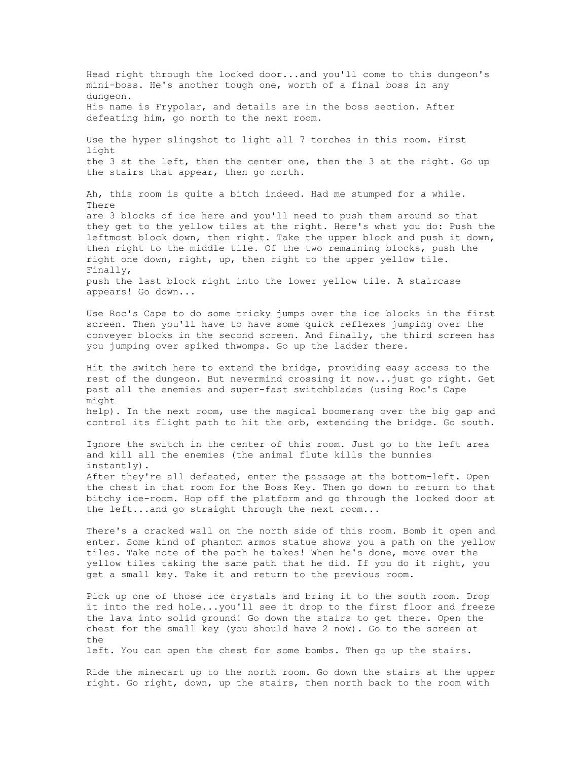Head right through the locked door...and you'll come to this dungeon's mini-boss. He's another tough one, worth of a final boss in any dungeon. His name is Frypolar, and details are in the boss section. After defeating him, go north to the next room. Use the hyper slingshot to light all 7 torches in this room. First light the 3 at the left, then the center one, then the 3 at the right. Go up the stairs that appear, then go north. Ah, this room is quite a bitch indeed. Had me stumped for a while. There are 3 blocks of ice here and you'll need to push them around so that they get to the yellow tiles at the right. Here's what you do: Push the leftmost block down, then right. Take the upper block and push it down, then right to the middle tile. Of the two remaining blocks, push the right one down, right, up, then right to the upper yellow tile. Finally, push the last block right into the lower yellow tile. A staircase appears! Go down... Use Roc's Cape to do some tricky jumps over the ice blocks in the first screen. Then you'll have to have some quick reflexes jumping over the conveyer blocks in the second screen. And finally, the third screen has you jumping over spiked thwomps. Go up the ladder there. Hit the switch here to extend the bridge, providing easy access to the rest of the dungeon. But nevermind crossing it now...just go right. Get past all the enemies and super-fast switchblades (using Roc's Cape might help). In the next room, use the magical boomerang over the big gap and control its flight path to hit the orb, extending the bridge. Go south. Ignore the switch in the center of this room. Just go to the left area and kill all the enemies (the animal flute kills the bunnies instantly). After they're all defeated, enter the passage at the bottom-left. Open the chest in that room for the Boss Key. Then go down to return to that bitchy ice-room. Hop off the platform and go through the locked door at the left...and go straight through the next room... There's a cracked wall on the north side of this room. Bomb it open and enter. Some kind of phantom armos statue shows you a path on the yellow tiles. Take note of the path he takes! When he's done, move over the yellow tiles taking the same path that he did. If you do it right, you get a small key. Take it and return to the previous room. Pick up one of those ice crystals and bring it to the south room. Drop it into the red hole...you'll see it drop to the first floor and freeze the lava into solid ground! Go down the stairs to get there. Open the chest for the small key (you should have 2 now). Go to the screen at the left. You can open the chest for some bombs. Then go up the stairs.

Ride the minecart up to the north room. Go down the stairs at the upper right. Go right, down, up the stairs, then north back to the room with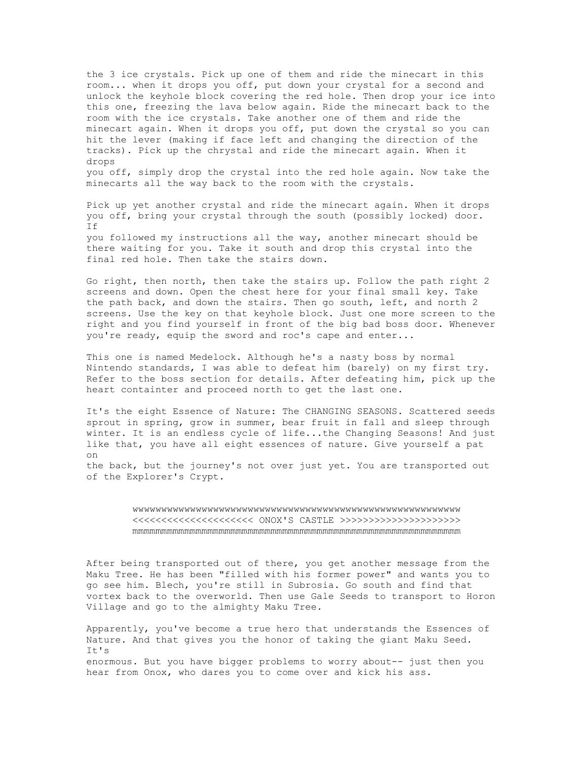the 3 ice crystals. Pick up one of them and ride the minecart in this room... when it drops you off, put down your crystal for a second and unlock the keyhole block covering the red hole. Then drop your ice into this one, freezing the lava below again. Ride the minecart back to the room with the ice crystals. Take another one of them and ride the minecart again. When it drops you off, put down the crystal so you can hit the lever (making if face left and changing the direction of the tracks). Pick up the chrystal and ride the minecart again. When it drops you off, simply drop the crystal into the red hole again. Now take the minecarts all the way back to the room with the crystals.

Pick up yet another crystal and ride the minecart again. When it drops you off, bring your crystal through the south (possibly locked) door.  $T f$ you followed my instructions all the way, another minecart should be there waiting for you. Take it south and drop this crystal into the final red hole. Then take the stairs down.

Go right, then north, then take the stairs up. Follow the path right 2 screens and down. Open the chest here for your final small key. Take the path back, and down the stairs. Then go south, left, and north 2 screens. Use the key on that keyhole block. Just one more screen to the right and you find yourself in front of the big bad boss door. Whenever you're ready, equip the sword and roc's cape and enter...

This one is named Medelock. Although he's a nasty boss by normal Nintendo standards, I was able to defeat him (barely) on my first try. Refer to the boss section for details. After defeating him, pick up the heart containter and proceed north to get the last one.

It's the eight Essence of Nature: The CHANGING SEASONS. Scattered seeds sprout in spring, grow in summer, bear fruit in fall and sleep through winter. It is an endless cycle of life...the Changing Seasons! And just like that, you have all eight essences of nature. Give yourself a pat on

the back, but the journey's not over just yet. You are transported out of the Explorer's Crypt.

> wwwwwwwwwwwwwwwwwwwwwwwwwwwwwwwwwwwwwwwwwwwwwwwwwwwwwwwww <<<<<<<<<<<<<<<<<<<<< ONOX'S CASTLE >>>>>>>>>>>>>>>>>>>>> mmmmmmmmmmmmmmmmmmmmmmmmmmmmmmmmmmmmmmmmmmmmmmmmmmmmmmmmm

After being transported out of there, you get another message from the Maku Tree. He has been "filled with his former power" and wants you to go see him. Blech, you're still in Subrosia. Go south and find that vortex back to the overworld. Then use Gale Seeds to transport to Horon Village and go to the almighty Maku Tree.

Apparently, you've become a true hero that understands the Essences of Nature. And that gives you the honor of taking the giant Maku Seed. It's enormous. But you have bigger problems to worry about-- just then you hear from Onox, who dares you to come over and kick his ass.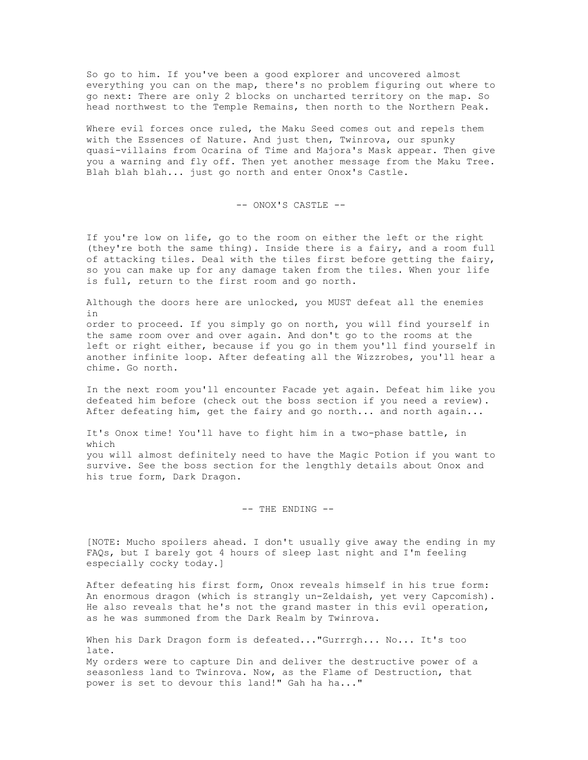So go to him. If you've been a good explorer and uncovered almost everything you can on the map, there's no problem figuring out where to go next: There are only 2 blocks on uncharted territory on the map. So head northwest to the Temple Remains, then north to the Northern Peak.

Where evil forces once ruled, the Maku Seed comes out and repels them with the Essences of Nature. And just then, Twinrova, our spunky quasi-villains from Ocarina of Time and Majora's Mask appear. Then give you a warning and fly off. Then yet another message from the Maku Tree. Blah blah blah... just go north and enter Onox's Castle.

-- ONOX'S CASTLE --

If you're low on life, go to the room on either the left or the right (they're both the same thing). Inside there is a fairy, and a room full of attacking tiles. Deal with the tiles first before getting the fairy, so you can make up for any damage taken from the tiles. When your life is full, return to the first room and go north.

Although the doors here are unlocked, you MUST defeat all the enemies in

order to proceed. If you simply go on north, you will find yourself in the same room over and over again. And don't go to the rooms at the left or right either, because if you go in them you'll find yourself in another infinite loop. After defeating all the Wizzrobes, you'll hear a chime. Go north.

In the next room you'll encounter Facade yet again. Defeat him like you defeated him before (check out the boss section if you need a review). After defeating him, get the fairy and go north... and north again...

It's Onox time! You'll have to fight him in a two-phase battle, in which you will almost definitely need to have the Magic Potion if you want to survive. See the boss section for the lengthly details about Onox and his true form, Dark Dragon.

-- THE ENDING --

[NOTE: Mucho spoilers ahead. I don't usually give away the ending in my FAQs, but I barely got 4 hours of sleep last night and I'm feeling especially cocky today.]

After defeating his first form, Onox reveals himself in his true form: An enormous dragon (which is strangly un-Zeldaish, yet very Capcomish). He also reveals that he's not the grand master in this evil operation, as he was summoned from the Dark Realm by Twinrova.

When his Dark Dragon form is defeated..."Gurrrgh... No... It's too late.

My orders were to capture Din and deliver the destructive power of a seasonless land to Twinrova. Now, as the Flame of Destruction, that power is set to devour this land!" Gah ha ha..."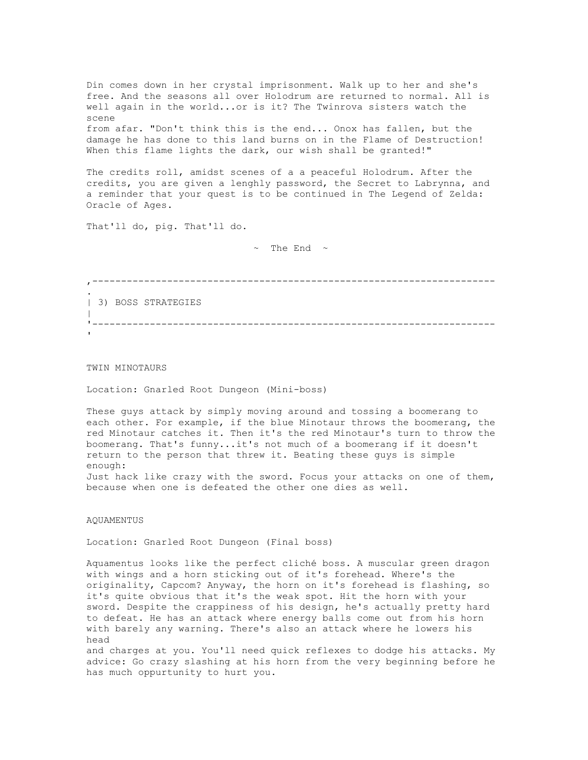Din comes down in her crystal imprisonment. Walk up to her and she's free. And the seasons all over Holodrum are returned to normal. All is well again in the world...or is it? The Twinrova sisters watch the scene from afar. "Don't think this is the end... Onox has fallen, but the damage he has done to this land burns on in the Flame of Destruction! When this flame lights the dark, our wish shall be granted!"

The credits roll, amidst scenes of a a peaceful Holodrum. After the credits, you are given a lenghly password, the Secret to Labrynna, and a reminder that your quest is to be continued in The Legend of Zelda: Oracle of Ages.

That'll do, pig. That'll do.

 $\sim$  The End  $\sim$ 

,---------------------------------------------------------------------- . | 3) BOSS STRATEGIES | '---------------------------------------------------------------------- '

TWIN MINOTAURS

Location: Gnarled Root Dungeon (Mini-boss)

These guys attack by simply moving around and tossing a boomerang to each other. For example, if the blue Minotaur throws the boomerang, the red Minotaur catches it. Then it's the red Minotaur's turn to throw the boomerang. That's funny...it's not much of a boomerang if it doesn't return to the person that threw it. Beating these guys is simple enough: Just hack like crazy with the sword. Focus your attacks on one of them, because when one is defeated the other one dies as well.

# AQUAMENTUS

Location: Gnarled Root Dungeon (Final boss)

Aquamentus looks like the perfect cliché boss. A muscular green dragon with wings and a horn sticking out of it's forehead. Where's the originality, Capcom? Anyway, the horn on it's forehead is flashing, so it's quite obvious that it's the weak spot. Hit the horn with your sword. Despite the crappiness of his design, he's actually pretty hard to defeat. He has an attack where energy balls come out from his horn with barely any warning. There's also an attack where he lowers his head and charges at you. You'll need quick reflexes to dodge his attacks. My

advice: Go crazy slashing at his horn from the very beginning before he has much oppurtunity to hurt you.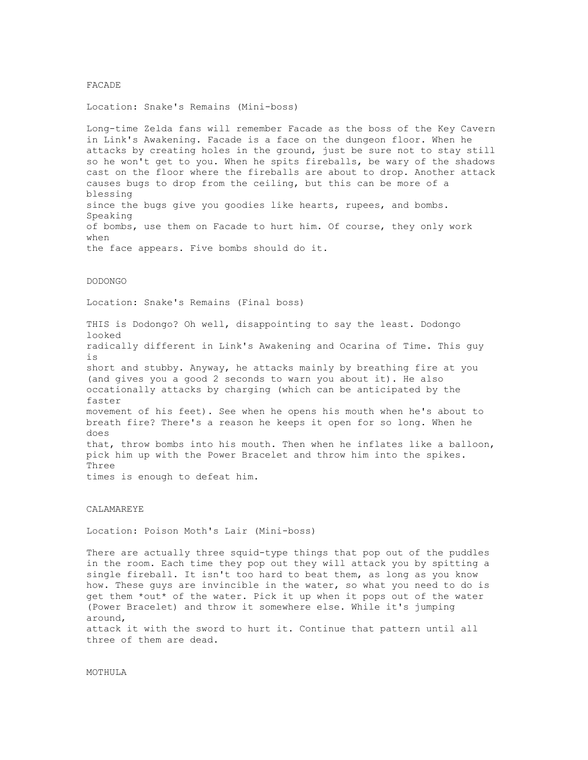# FACADE

Location: Snake's Remains (Mini-boss)

Long-time Zelda fans will remember Facade as the boss of the Key Cavern in Link's Awakening. Facade is a face on the dungeon floor. When he attacks by creating holes in the ground, just be sure not to stay still so he won't get to you. When he spits fireballs, be wary of the shadows cast on the floor where the fireballs are about to drop. Another attack causes bugs to drop from the ceiling, but this can be more of a blessing since the bugs give you goodies like hearts, rupees, and bombs. Speaking of bombs, use them on Facade to hurt him. Of course, they only work when the face appears. Five bombs should do it.

### DODONGO

Location: Snake's Remains (Final boss)

THIS is Dodongo? Oh well, disappointing to say the least. Dodongo looked radically different in Link's Awakening and Ocarina of Time. This guy is short and stubby. Anyway, he attacks mainly by breathing fire at you (and gives you a good 2 seconds to warn you about it). He also occationally attacks by charging (which can be anticipated by the faster movement of his feet). See when he opens his mouth when he's about to breath fire? There's a reason he keeps it open for so long. When he does that, throw bombs into his mouth. Then when he inflates like a balloon, pick him up with the Power Bracelet and throw him into the spikes. Three times is enough to defeat him.

# CALAMAREYE

Location: Poison Moth's Lair (Mini-boss)

There are actually three squid-type things that pop out of the puddles in the room. Each time they pop out they will attack you by spitting a single fireball. It isn't too hard to beat them, as long as you know how. These guys are invincible in the water, so what you need to do is get them \*out\* of the water. Pick it up when it pops out of the water (Power Bracelet) and throw it somewhere else. While it's jumping around, attack it with the sword to hurt it. Continue that pattern until all three of them are dead.

MOTHULA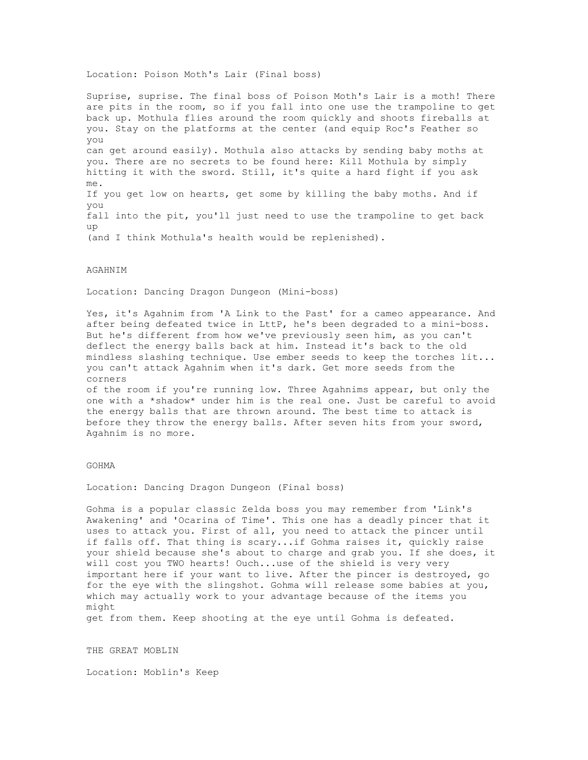Location: Poison Moth's Lair (Final boss)

Suprise, suprise. The final boss of Poison Moth's Lair is a moth! There are pits in the room, so if you fall into one use the trampoline to get back up. Mothula flies around the room quickly and shoots fireballs at you. Stay on the platforms at the center (and equip Roc's Feather so you can get around easily). Mothula also attacks by sending baby moths at you. There are no secrets to be found here: Kill Mothula by simply hitting it with the sword. Still, it's quite a hard fight if you ask me. If you get low on hearts, get some by killing the baby moths. And if you fall into the pit, you'll just need to use the trampoline to get back up (and I think Mothula's health would be replenished).

## AGAHNIM

Location: Dancing Dragon Dungeon (Mini-boss)

Yes, it's Agahnim from 'A Link to the Past' for a cameo appearance. And after being defeated twice in LttP, he's been degraded to a mini-boss. But he's different from how we've previously seen him, as you can't deflect the energy balls back at him. Instead it's back to the old mindless slashing technique. Use ember seeds to keep the torches lit... you can't attack Agahnim when it's dark. Get more seeds from the corners

of the room if you're running low. Three Agahnims appear, but only the one with a \*shadow\* under him is the real one. Just be careful to avoid the energy balls that are thrown around. The best time to attack is before they throw the energy balls. After seven hits from your sword, Agahnim is no more.

# GOHMA

Location: Dancing Dragon Dungeon (Final boss)

Gohma is a popular classic Zelda boss you may remember from 'Link's Awakening' and 'Ocarina of Time'. This one has a deadly pincer that it uses to attack you. First of all, you need to attack the pincer until if falls off. That thing is scary...if Gohma raises it, quickly raise your shield because she's about to charge and grab you. If she does, it will cost you TWO hearts! Ouch...use of the shield is very very important here if your want to live. After the pincer is destroyed, go for the eye with the slingshot. Gohma will release some babies at you, which may actually work to your advantage because of the items you might

get from them. Keep shooting at the eye until Gohma is defeated.

THE GREAT MOBLIN

Location: Moblin's Keep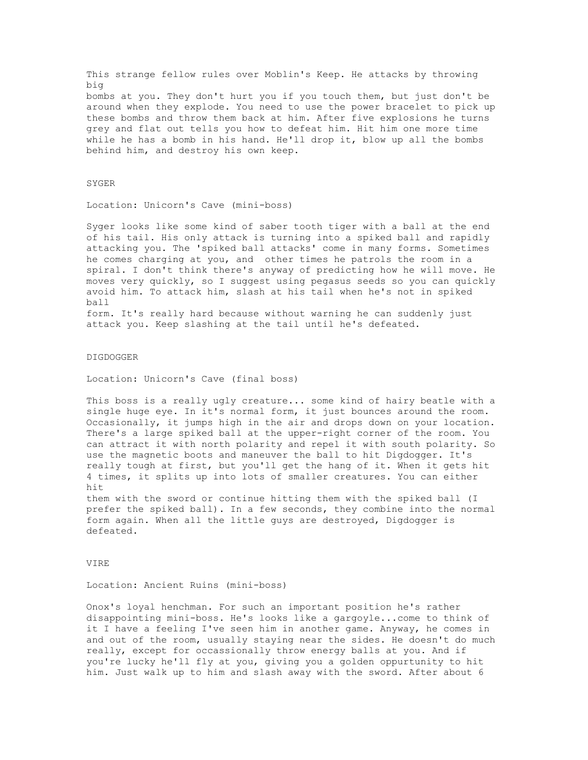This strange fellow rules over Moblin's Keep. He attacks by throwing big bombs at you. They don't hurt you if you touch them, but just don't be around when they explode. You need to use the power bracelet to pick up these bombs and throw them back at him. After five explosions he turns grey and flat out tells you how to defeat him. Hit him one more time while he has a bomb in his hand. He'll drop it, blow up all the bombs behind him, and destroy his own keep.

#### SYGER

Location: Unicorn's Cave (mini-boss)

Syger looks like some kind of saber tooth tiger with a ball at the end of his tail. His only attack is turning into a spiked ball and rapidly attacking you. The 'spiked ball attacks' come in many forms. Sometimes he comes charging at you, and other times he patrols the room in a spiral. I don't think there's anyway of predicting how he will move. He moves very quickly, so I suggest using pegasus seeds so you can quickly avoid him. To attack him, slash at his tail when he's not in spiked ball

form. It's really hard because without warning he can suddenly just attack you. Keep slashing at the tail until he's defeated.

#### DIGDOGGER

Location: Unicorn's Cave (final boss)

This boss is a really ugly creature... some kind of hairy beatle with a single huge eye. In it's normal form, it just bounces around the room. Occasionally, it jumps high in the air and drops down on your location. There's a large spiked ball at the upper-right corner of the room. You can attract it with north polarity and repel it with south polarity. So use the magnetic boots and maneuver the ball to hit Digdogger. It's really tough at first, but you'll get the hang of it. When it gets hit 4 times, it splits up into lots of smaller creatures. You can either hit

them with the sword or continue hitting them with the spiked ball (I prefer the spiked ball). In a few seconds, they combine into the normal form again. When all the little guys are destroyed, Digdogger is defeated.

VIRE

Location: Ancient Ruins (mini-boss)

Onox's loyal henchman. For such an important position he's rather disappointing mini-boss. He's looks like a gargoyle...come to think of it I have a feeling I've seen him in another game. Anyway, he comes in and out of the room, usually staying near the sides. He doesn't do much really, except for occassionally throw energy balls at you. And if you're lucky he'll fly at you, giving you a golden oppurtunity to hit him. Just walk up to him and slash away with the sword. After about 6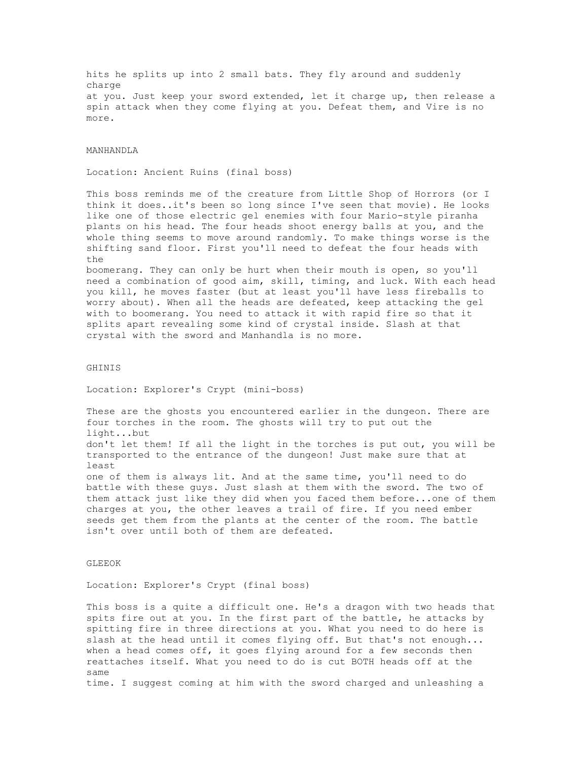hits he splits up into 2 small bats. They fly around and suddenly charge at you. Just keep your sword extended, let it charge up, then release a spin attack when they come flying at you. Defeat them, and Vire is no more.

### MANHANDI, A

Location: Ancient Ruins (final boss)

This boss reminds me of the creature from Little Shop of Horrors (or I think it does..it's been so long since I've seen that movie). He looks like one of those electric gel enemies with four Mario-style piranha plants on his head. The four heads shoot energy balls at you, and the whole thing seems to move around randomly. To make things worse is the shifting sand floor. First you'll need to defeat the four heads with the

boomerang. They can only be hurt when their mouth is open, so you'll need a combination of good aim, skill, timing, and luck. With each head you kill, he moves faster (but at least you'll have less fireballs to worry about). When all the heads are defeated, keep attacking the gel with to boomerang. You need to attack it with rapid fire so that it splits apart revealing some kind of crystal inside. Slash at that crystal with the sword and Manhandla is no more.

### GHINIS

Location: Explorer's Crypt (mini-boss)

These are the ghosts you encountered earlier in the dungeon. There are four torches in the room. The ghosts will try to put out the light...but don't let them! If all the light in the torches is put out, you will be transported to the entrance of the dungeon! Just make sure that at least one of them is always lit. And at the same time, you'll need to do battle with these guys. Just slash at them with the sword. The two of them attack just like they did when you faced them before...one of them charges at you, the other leaves a trail of fire. If you need ember seeds get them from the plants at the center of the room. The battle isn't over until both of them are defeated.

### GLEEOK

Location: Explorer's Crypt (final boss)

This boss is a quite a difficult one. He's a dragon with two heads that spits fire out at you. In the first part of the battle, he attacks by spitting fire in three directions at you. What you need to do here is slash at the head until it comes flying off. But that's not enough... when a head comes off, it goes flying around for a few seconds then reattaches itself. What you need to do is cut BOTH heads off at the same time. I suggest coming at him with the sword charged and unleashing a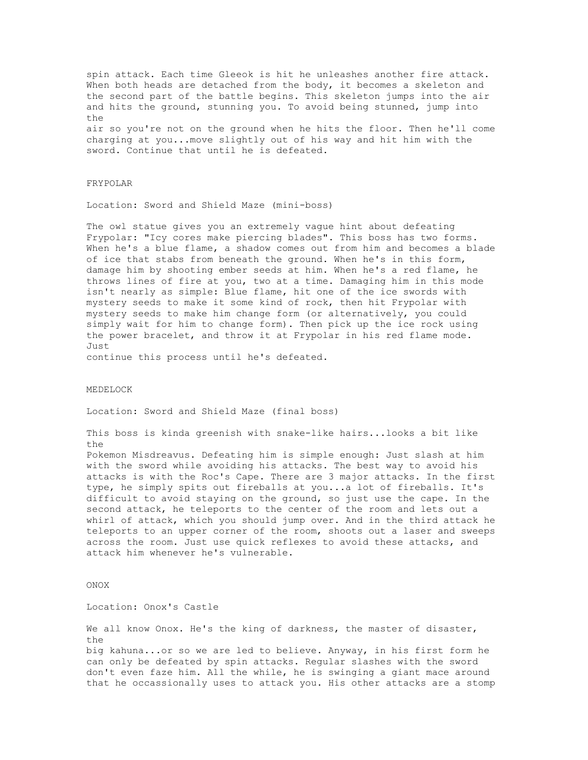spin attack. Each time Gleeok is hit he unleashes another fire attack. When both heads are detached from the body, it becomes a skeleton and the second part of the battle begins. This skeleton jumps into the air and hits the ground, stunning you. To avoid being stunned, jump into the air so you're not on the ground when he hits the floor. Then he'll come charging at you...move slightly out of his way and hit him with the sword. Continue that until he is defeated.

# FRYPOLAR

Location: Sword and Shield Maze (mini-boss)

The owl statue gives you an extremely vague hint about defeating Frypolar: "Icy cores make piercing blades". This boss has two forms. When he's a blue flame, a shadow comes out from him and becomes a blade of ice that stabs from beneath the ground. When he's in this form, damage him by shooting ember seeds at him. When he's a red flame, he throws lines of fire at you, two at a time. Damaging him in this mode isn't nearly as simple: Blue flame, hit one of the ice swords with mystery seeds to make it some kind of rock, then hit Frypolar with mystery seeds to make him change form (or alternatively, you could simply wait for him to change form). Then pick up the ice rock using the power bracelet, and throw it at Frypolar in his red flame mode. Just

continue this process until he's defeated.

### MEDELOCK

Location: Sword and Shield Maze (final boss)

This boss is kinda greenish with snake-like hairs...looks a bit like the Pokemon Misdreavus. Defeating him is simple enough: Just slash at him with the sword while avoiding his attacks. The best way to avoid his attacks is with the Roc's Cape. There are 3 major attacks. In the first type, he simply spits out fireballs at you...a lot of fireballs. It's difficult to avoid staying on the ground, so just use the cape. In the second attack, he teleports to the center of the room and lets out a whirl of attack, which you should jump over. And in the third attack he teleports to an upper corner of the room, shoots out a laser and sweeps across the room. Just use quick reflexes to avoid these attacks, and attack him whenever he's vulnerable.

ONOX

Location: Onox's Castle

We all know Onox. He's the king of darkness, the master of disaster, the big kahuna...or so we are led to believe. Anyway, in his first form he can only be defeated by spin attacks. Regular slashes with the sword don't even faze him. All the while, he is swinging a giant mace around that he occassionally uses to attack you. His other attacks are a stomp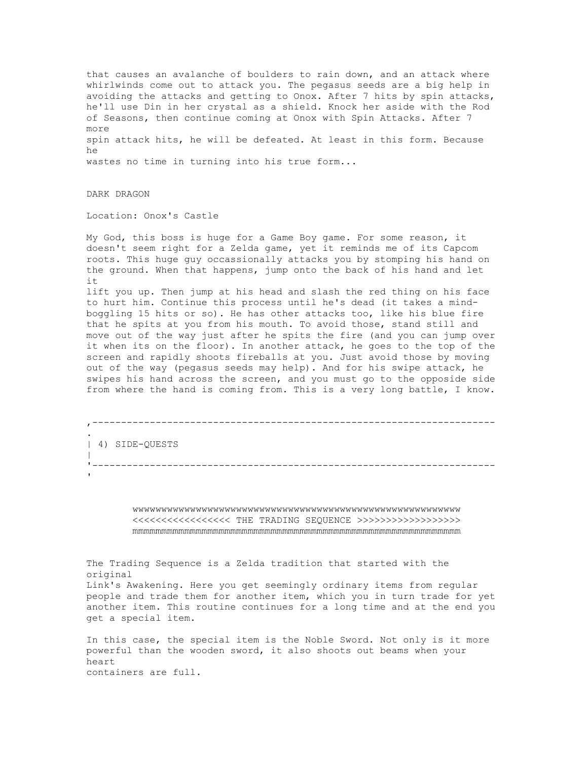that causes an avalanche of boulders to rain down, and an attack where whirlwinds come out to attack you. The pegasus seeds are a big help in avoiding the attacks and getting to Onox. After 7 hits by spin attacks, he'll use Din in her crystal as a shield. Knock her aside with the Rod of Seasons, then continue coming at Onox with Spin Attacks. After 7 more spin attack hits, he will be defeated. At least in this form. Because he wastes no time in turning into his true form...

DARK DRAGON

Location: Onox's Castle

My God, this boss is huge for a Game Boy game. For some reason, it doesn't seem right for a Zelda game, yet it reminds me of its Capcom roots. This huge guy occassionally attacks you by stomping his hand on the ground. When that happens, jump onto the back of his hand and let it

lift you up. Then jump at his head and slash the red thing on his face to hurt him. Continue this process until he's dead (it takes a mindboggling 15 hits or so). He has other attacks too, like his blue fire that he spits at you from his mouth. To avoid those, stand still and move out of the way just after he spits the fire (and you can jump over it when its on the floor). In another attack, he goes to the top of the screen and rapidly shoots fireballs at you. Just avoid those by moving out of the way (pegasus seeds may help). And for his swipe attack, he swipes his hand across the screen, and you must go to the opposide side from where the hand is coming from. This is a very long battle, I know.

| $\bullet$ | 4) SIDE-QUESTS |
|-----------|----------------|
|           |                |

 wwwwwwwwwwwwwwwwwwwwwwwwwwwwwwwwwwwwwwwwwwwwwwwwwwwwwwwww <<<<<<<<<<<<<<<<< THE TRADING SEQUENCE >>>>>>>>>>>>>>>>>> mmmmmmmmmmmmmmmmmmmmmmmmmmmmmmmmmmmmmmmmmmmmmmmmmmmmmmmmm

The Trading Sequence is a Zelda tradition that started with the original Link's Awakening. Here you get seemingly ordinary items from regular people and trade them for another item, which you in turn trade for yet another item. This routine continues for a long time and at the end you get a special item.

In this case, the special item is the Noble Sword. Not only is it more powerful than the wooden sword, it also shoots out beams when your heart containers are full.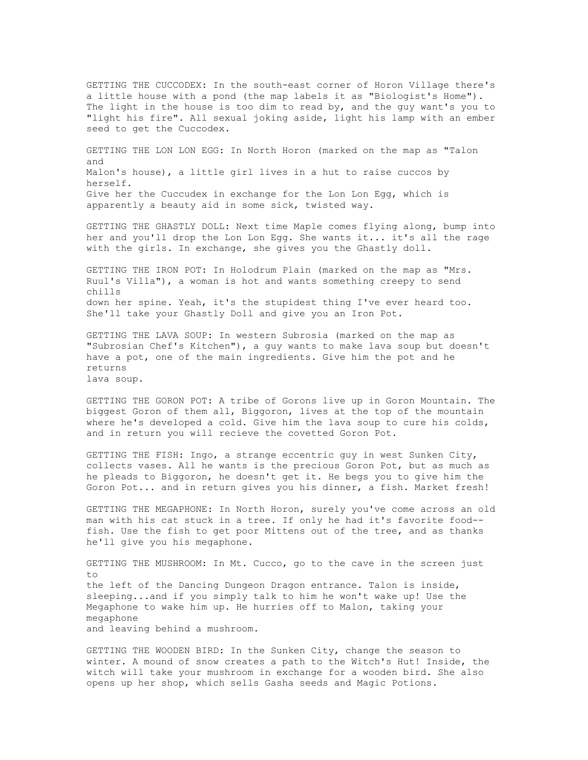GETTING THE CUCCODEX: In the south-east corner of Horon Village there's a little house with a pond (the map labels it as "Biologist's Home"). The light in the house is too dim to read by, and the guy want's you to "light his fire". All sexual joking aside, light his lamp with an ember seed to get the Cuccodex.

GETTING THE LON LON EGG: In North Horon (marked on the map as "Talon and Malon's house), a little girl lives in a hut to raise cuccos by herself. Give her the Cuccudex in exchange for the Lon Lon Egg, which is apparently a beauty aid in some sick, twisted way.

GETTING THE GHASTLY DOLL: Next time Maple comes flying along, bump into her and you'll drop the Lon Lon Egg. She wants it... it's all the rage with the girls. In exchange, she gives you the Ghastly doll.

GETTING THE IRON POT: In Holodrum Plain (marked on the map as "Mrs. Ruul's Villa"), a woman is hot and wants something creepy to send chills down her spine. Yeah, it's the stupidest thing I've ever heard too. She'll take your Ghastly Doll and give you an Iron Pot.

GETTING THE LAVA SOUP: In western Subrosia (marked on the map as "Subrosian Chef's Kitchen"), a guy wants to make lava soup but doesn't have a pot, one of the main ingredients. Give him the pot and he returns lava soup.

GETTING THE GORON POT: A tribe of Gorons live up in Goron Mountain. The biggest Goron of them all, Biggoron, lives at the top of the mountain where he's developed a cold. Give him the lava soup to cure his colds, and in return you will recieve the covetted Goron Pot.

GETTING THE FISH: Ingo, a strange eccentric guy in west Sunken City, collects vases. All he wants is the precious Goron Pot, but as much as he pleads to Biggoron, he doesn't get it. He begs you to give him the Goron Pot... and in return gives you his dinner, a fish. Market fresh!

GETTING THE MEGAPHONE: In North Horon, surely you've come across an old man with his cat stuck in a tree. If only he had it's favorite food- fish. Use the fish to get poor Mittens out of the tree, and as thanks he'll give you his megaphone.

GETTING THE MUSHROOM: In Mt. Cucco, go to the cave in the screen just to the left of the Dancing Dungeon Dragon entrance. Talon is inside, sleeping...and if you simply talk to him he won't wake up! Use the Megaphone to wake him up. He hurries off to Malon, taking your megaphone and leaving behind a mushroom.

GETTING THE WOODEN BIRD: In the Sunken City, change the season to winter. A mound of snow creates a path to the Witch's Hut! Inside, the witch will take your mushroom in exchange for a wooden bird. She also opens up her shop, which sells Gasha seeds and Magic Potions.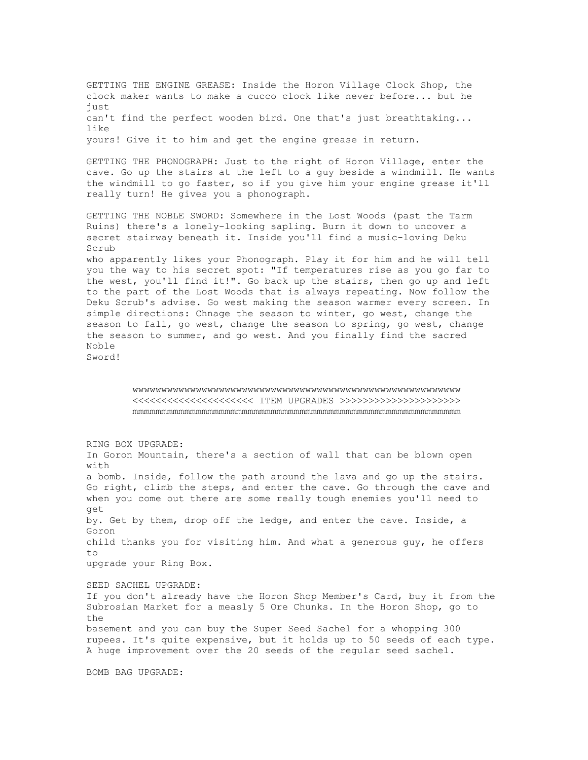GETTING THE ENGINE GREASE: Inside the Horon Village Clock Shop, the clock maker wants to make a cucco clock like never before... but he just can't find the perfect wooden bird. One that's just breathtaking... like yours! Give it to him and get the engine grease in return. GETTING THE PHONOGRAPH: Just to the right of Horon Village, enter the cave. Go up the stairs at the left to a guy beside a windmill. He wants the windmill to go faster, so if you give him your engine grease it'll really turn! He gives you a phonograph. GETTING THE NOBLE SWORD: Somewhere in the Lost Woods (past the Tarm Ruins) there's a lonely-looking sapling. Burn it down to uncover a secret stairway beneath it. Inside you'll find a music-loving Deku Scrub who apparently likes your Phonograph. Play it for him and he will tell you the way to his secret spot: "If temperatures rise as you go far to the west, you'll find it!". Go back up the stairs, then go up and left to the part of the Lost Woods that is always repeating. Now follow the Deku Scrub's advise. Go west making the season warmer every screen. In simple directions: Chnage the season to winter, go west, change the season to fall, go west, change the season to spring, go west, change the season to summer, and go west. And you finally find the sacred Noble Sword! wwwwwwwwwwwwwwwwwwwwwwwwwwwwwwwwwwwwwwwwwwwwwwwwwwwwwwwww <<<<<<<<<<<<<<<<<<<<< ITEM UPGRADES >>>>>>>>>>>>>>>>>>>>>  $\label{eq:opt1} \begin{minipage}[t]{0.75\textwidth} \begin{tabular}[t]{0.75\textwidth} \centering \textbf{m} & \textbf{m} & \textbf{m} & \textbf{m} & \textbf{m} & \textbf{m} & \textbf{m} & \textbf{m} & \textbf{m} & \textbf{m} & \textbf{m} & \textbf{m} & \textbf{m} & \textbf{m} & \textbf{m} & \textbf{m} & \textbf{m} & \textbf{m} & \textbf{m} & \textbf{m} & \textbf{m} & \textbf{m} & \textbf{m} & \textbf{m} & \textbf{m} & \$ RING BOX UPGRADE: In Goron Mountain, there's a section of wall that can be blown open with a bomb. Inside, follow the path around the lava and go up the stairs. Go right, climb the steps, and enter the cave. Go through the cave and when you come out there are some really tough enemies you'll need to get by. Get by them, drop off the ledge, and enter the cave. Inside, a Goron child thanks you for visiting him. And what a generous guy, he offers to upgrade your Ring Box. SEED SACHEL UPGRADE: If you don't already have the Horon Shop Member's Card, buy it from the Subrosian Market for a measly 5 Ore Chunks. In the Horon Shop, go to the basement and you can buy the Super Seed Sachel for a whopping 300 rupees. It's quite expensive, but it holds up to 50 seeds of each type. A huge improvement over the 20 seeds of the regular seed sachel. BOMB BAG UPGRADE: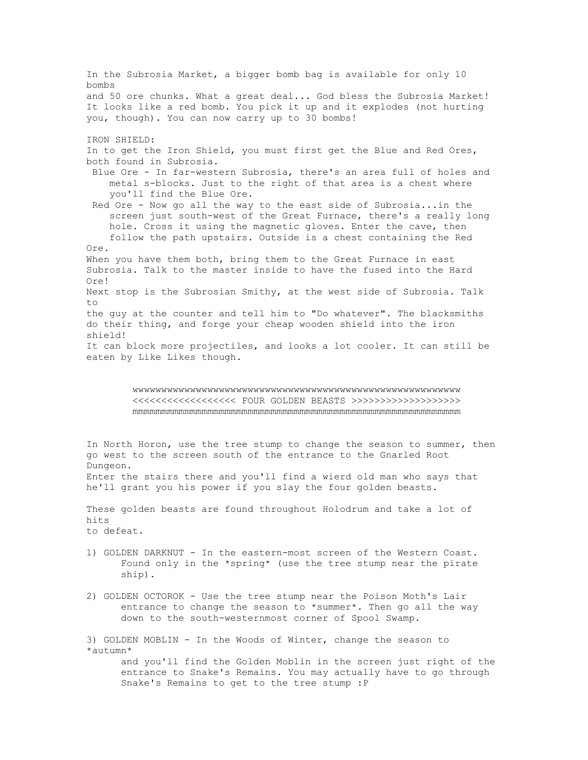In the Subrosia Market, a bigger bomb bag is available for only 10 bombs and 50 ore chunks. What a great deal... God bless the Subrosia Market! It looks like a red bomb. You pick it up and it explodes (not hurting you, though). You can now carry up to 30 bombs! IRON SHIELD: In to get the Iron Shield, you must first get the Blue and Red Ores, both found in Subrosia. Blue Ore - In far-western Subrosia, there's an area full of holes and metal s-blocks. Just to the right of that area is a chest where you'll find the Blue Ore. Red Ore - Now go all the way to the east side of Subrosia...in the screen just south-west of the Great Furnace, there's a really long hole. Cross it using the magnetic gloves. Enter the cave, then follow the path upstairs. Outside is a chest containing the Red Ore. When you have them both, bring them to the Great Furnace in east Subrosia. Talk to the master inside to have the fused into the Hard Ore! Next stop is the Subrosian Smithy, at the west side of Subrosia. Talk  $+\circ$ the guy at the counter and tell him to "Do whatever". The blacksmiths do their thing, and forge your cheap wooden shield into the iron shield! It can block more projectiles, and looks a lot cooler. It can still be eaten by Like Likes though.

> wwwwwwwwwwwwwwwwwwwwwwwwwwwwwwwwwwwwwwwwwwwwwwwwwwwwwwwww <<<<<<<<<<<<<<<<<< FOUR GOLDEN BEASTS >>>>>>>>>>>>>>>>>>>  $\label{eq:opt1} \begin{minipage}[t]{0.75\textwidth} \begin{tabular}[t]{0.75\textwidth} \centering \textbf{m} & \textbf{m} & \textbf{m} & \textbf{m} & \textbf{m} & \textbf{m} & \textbf{m} & \textbf{m} & \textbf{m} & \textbf{m} & \textbf{m} & \textbf{m} & \textbf{m} & \textbf{m} & \textbf{m} & \textbf{m} & \textbf{m} & \textbf{m} & \textbf{m} & \textbf{m} & \textbf{m} & \textbf{m} & \textbf{m} & \textbf{m} & \textbf{m} & \$

In North Horon, use the tree stump to change the season to summer, then go west to the screen south of the entrance to the Gnarled Root Dungeon. Enter the stairs there and you'll find a wierd old man who says that he'll grant you his power if you slay the four golden beasts.

These golden beasts are found throughout Holodrum and take a lot of hits to defeat.

- 1) GOLDEN DARKNUT In the eastern-most screen of the Western Coast. Found only in the \*spring\* (use the tree stump near the pirate ship).
- 2) GOLDEN OCTOROK Use the tree stump near the Poison Moth's Lair entrance to change the season to \*summer\*. Then go all the way down to the south-westernmost corner of Spool Swamp.

3) GOLDEN MOBLIN - In the Woods of Winter, change the season to \*autumn\* and you'll find the Golden Moblin in the screen just right of the entrance to Snake's Remains. You may actually have to go through Snake's Remains to get to the tree stump :P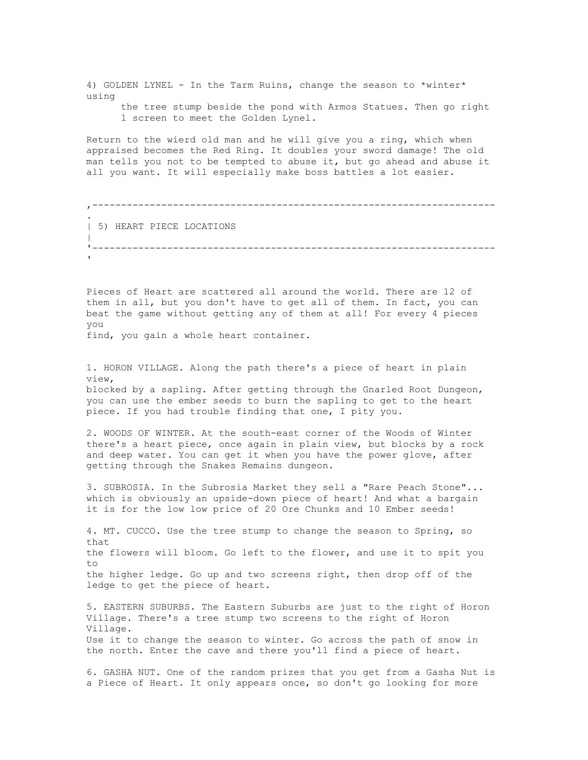4) GOLDEN LYNEL - In the Tarm Ruins, change the season to \*winter\* using the tree stump beside the pond with Armos Statues. Then go right 1 screen to meet the Golden Lynel.

Return to the wierd old man and he will give you a ring, which when appraised becomes the Red Ring. It doubles your sword damage! The old man tells you not to be tempted to abuse it, but go ahead and abuse it all you want. It will especially make boss battles a lot easier.

,---------------------------------------------------------------------- . | 5) HEART PIECE LOCATIONS | '---------------------------------------------------------------------- '

Pieces of Heart are scattered all around the world. There are 12 of them in all, but you don't have to get all of them. In fact, you can beat the game without getting any of them at all! For every 4 pieces you find, you gain a whole heart container.

1. HORON VILLAGE. Along the path there's a piece of heart in plain view, blocked by a sapling. After getting through the Gnarled Root Dungeon, you can use the ember seeds to burn the sapling to get to the heart piece. If you had trouble finding that one, I pity you.

2. WOODS OF WINTER. At the south-east corner of the Woods of Winter there's a heart piece, once again in plain view, but blocks by a rock and deep water. You can get it when you have the power glove, after getting through the Snakes Remains dungeon.

3. SUBROSIA. In the Subrosia Market they sell a "Rare Peach Stone"... which is obviously an upside-down piece of heart! And what a bargain it is for the low low price of 20 Ore Chunks and 10 Ember seeds!

4. MT. CUCCO. Use the tree stump to change the season to Spring, so that the flowers will bloom. Go left to the flower, and use it to spit you to the higher ledge. Go up and two screens right, then drop off of the ledge to get the piece of heart.

5. EASTERN SUBURBS. The Eastern Suburbs are just to the right of Horon Village. There's a tree stump two screens to the right of Horon Village. Use it to change the season to winter. Go across the path of snow in the north. Enter the cave and there you'll find a piece of heart.

6. GASHA NUT. One of the random prizes that you get from a Gasha Nut is a Piece of Heart. It only appears once, so don't go looking for more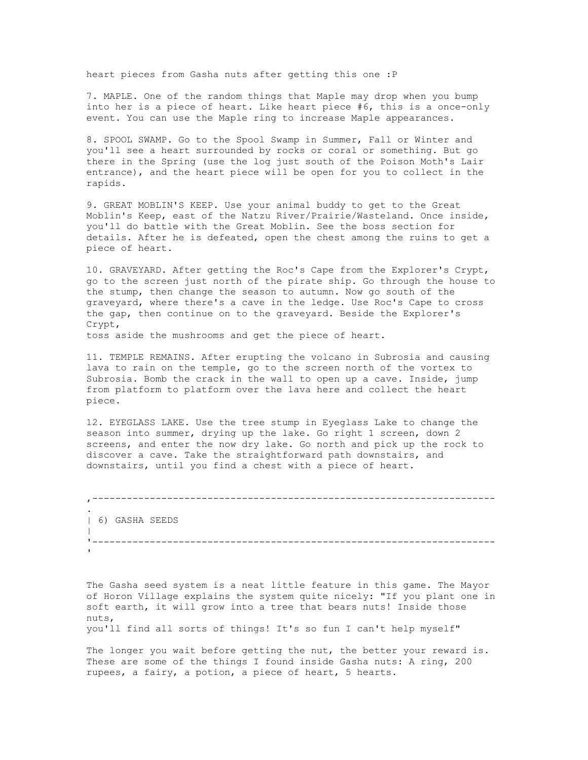heart pieces from Gasha nuts after getting this one :P

7. MAPLE. One of the random things that Maple may drop when you bump into her is a piece of heart. Like heart piece #6, this is a once-only event. You can use the Maple ring to increase Maple appearances.

8. SPOOL SWAMP. Go to the Spool Swamp in Summer, Fall or Winter and you'll see a heart surrounded by rocks or coral or something. But go there in the Spring (use the log just south of the Poison Moth's Lair entrance), and the heart piece will be open for you to collect in the rapids.

9. GREAT MOBLIN'S KEEP. Use your animal buddy to get to the Great Moblin's Keep, east of the Natzu River/Prairie/Wasteland. Once inside, you'll do battle with the Great Moblin. See the boss section for details. After he is defeated, open the chest among the ruins to get a piece of heart.

10. GRAVEYARD. After getting the Roc's Cape from the Explorer's Crypt, go to the screen just north of the pirate ship. Go through the house to the stump, then change the season to autumn. Now go south of the graveyard, where there's a cave in the ledge. Use Roc's Cape to cross the gap, then continue on to the graveyard. Beside the Explorer's Crypt, toss aside the mushrooms and get the piece of heart.

11. TEMPLE REMAINS. After erupting the volcano in Subrosia and causing lava to rain on the temple, go to the screen north of the vortex to Subrosia. Bomb the crack in the wall to open up a cave. Inside, jump from platform to platform over the lava here and collect the heart piece.

12. EYEGLASS LAKE. Use the tree stump in Eyeglass Lake to change the season into summer, drying up the lake. Go right 1 screen, down 2 screens, and enter the now dry lake. Go north and pick up the rock to discover a cave. Take the straightforward path downstairs, and downstairs, until you find a chest with a piece of heart.

```
,----------------------------------------------------------------------
. 
| 6) GASHA SEEDS 
| 
'----------------------------------------------------------------------
'
```
The Gasha seed system is a neat little feature in this game. The Mayor of Horon Village explains the system quite nicely: "If you plant one in soft earth, it will grow into a tree that bears nuts! Inside those nuts, you'll find all sorts of things! It's so fun I can't help myself"

The longer you wait before getting the nut, the better your reward is. These are some of the things I found inside Gasha nuts: A ring, 200 rupees, a fairy, a potion, a piece of heart, 5 hearts.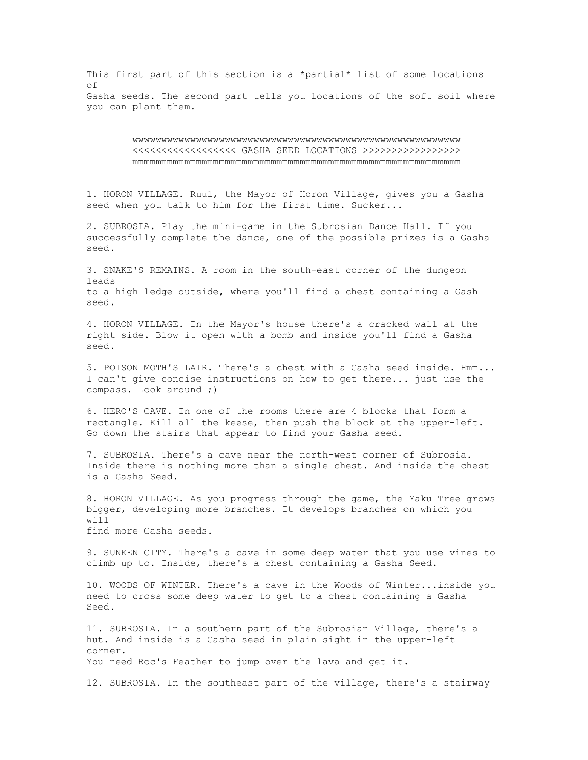This first part of this section is a \*partial\* list of some locations  $\cap f$ Gasha seeds. The second part tells you locations of the soft soil where you can plant them.

> wwwwwwwwwwwwwwwwwwwwwwwwwwwwwwwwwwwwwwwwwwwwwwwwwwwwwwwww <<<<<<<<<<<<<<<<<< GASHA SEED LOCATIONS >>>>>>>>>>>>>>>>> mmmmmmmmmmmmmmmmmmmmmmmmmmmmmmmmmmmmmmmmmmmmmmmmmmmmmmmmm

1. HORON VILLAGE. Ruul, the Mayor of Horon Village, gives you a Gasha seed when you talk to him for the first time. Sucker...

2. SUBROSIA. Play the mini-game in the Subrosian Dance Hall. If you successfully complete the dance, one of the possible prizes is a Gasha seed.

3. SNAKE'S REMAINS. A room in the south-east corner of the dungeon leads to a high ledge outside, where you'll find a chest containing a Gash seed.

4. HORON VILLAGE. In the Mayor's house there's a cracked wall at the right side. Blow it open with a bomb and inside you'll find a Gasha seed.

5. POISON MOTH'S LAIR. There's a chest with a Gasha seed inside. Hmm... I can't give concise instructions on how to get there... just use the compass. Look around ;)

6. HERO'S CAVE. In one of the rooms there are 4 blocks that form a rectangle. Kill all the keese, then push the block at the upper-left. Go down the stairs that appear to find your Gasha seed.

7. SUBROSIA. There's a cave near the north-west corner of Subrosia. Inside there is nothing more than a single chest. And inside the chest is a Gasha Seed.

8. HORON VILLAGE. As you progress through the game, the Maku Tree grows bigger, developing more branches. It develops branches on which you will find more Gasha seeds.

9. SUNKEN CITY. There's a cave in some deep water that you use vines to climb up to. Inside, there's a chest containing a Gasha Seed.

10. WOODS OF WINTER. There's a cave in the Woods of Winter...inside you need to cross some deep water to get to a chest containing a Gasha Seed.

11. SUBROSIA. In a southern part of the Subrosian Village, there's a hut. And inside is a Gasha seed in plain sight in the upper-left corner. You need Roc's Feather to jump over the lava and get it.

12. SUBROSIA. In the southeast part of the village, there's a stairway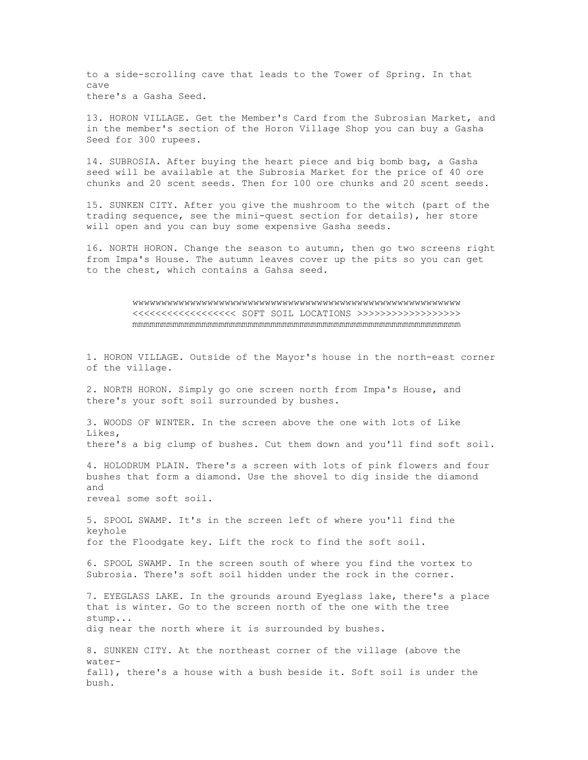to a side-scrolling cave that leads to the Tower of Spring. In that cave there's a Gasha Seed.

13. HORON VILLAGE. Get the Member's Card from the Subrosian Market, and in the member's section of the Horon Village Shop you can buy a Gasha Seed for 300 rupees.

14. SUBROSIA. After buying the heart piece and big bomb bag, a Gasha seed will be available at the Subrosia Market for the price of 40 ore chunks and 20 scent seeds. Then for 100 ore chunks and 20 scent seeds.

15. SUNKEN CITY. After you give the mushroom to the witch (part of the trading sequence, see the mini-quest section for details), her store will open and you can buy some expensive Gasha seeds.

16. NORTH HORON. Change the season to autumn, then go two screens right from Impa's House. The autumn leaves cover up the pits so you can get to the chest, which contains a Gahsa seed.

> wwwwwwwwwwwwwwwwwwwwwwwwwwwwwwwwwwwwwwwwwwwwwwwwwwwwwwwww <<<<<<<<<<<<<<<<<< SOFT SOIL LOCATIONS >>>>>>>>>>>>>>>>>> mmmmmmmmmmmmmmmmmmmmmmmmmmmmmmmmmmmmmmmmmmmmmmmmmmmmmmmmm

1. HORON VILLAGE. Outside of the Mayor's house in the north-east corner of the village.

2. NORTH HORON. Simply go one screen north from Impa's House, and there's your soft soil surrounded by bushes.

3. WOODS OF WINTER. In the screen above the one with lots of Like Likes, there's a big clump of bushes. Cut them down and you'll find soft soil.

4. HOLODRUM PLAIN. There's a screen with lots of pink flowers and four bushes that form a diamond. Use the shovel to dig inside the diamond and reveal some soft soil.

5. SPOOL SWAMP. It's in the screen left of where you'll find the keyhole for the Floodgate key. Lift the rock to find the soft soil.

6. SPOOL SWAMP. In the screen south of where you find the vortex to Subrosia. There's soft soil hidden under the rock in the corner.

7. EYEGLASS LAKE. In the grounds around Eyeglass lake, there's a place that is winter. Go to the screen north of the one with the tree stump... dig near the north where it is surrounded by bushes.

8. SUNKEN CITY. At the northeast corner of the village (above the waterfall), there's a house with a bush beside it. Soft soil is under the bush.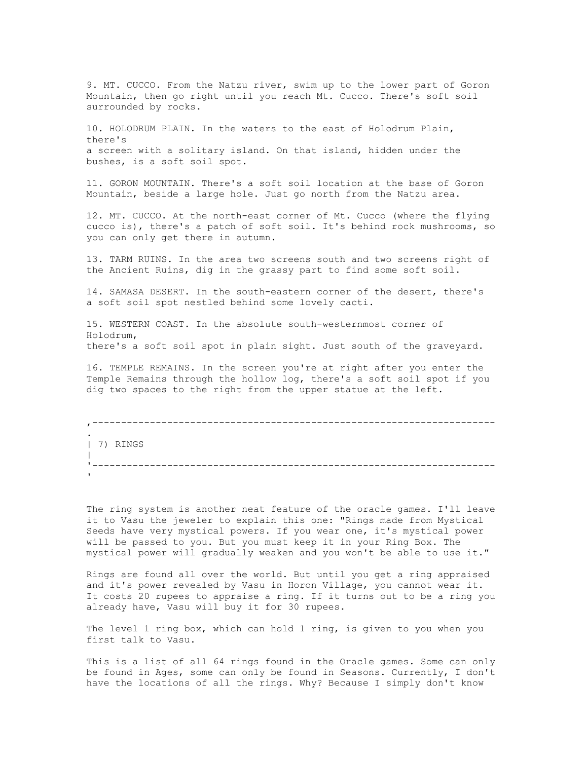9. MT. CUCCO. From the Natzu river, swim up to the lower part of Goron Mountain, then go right until you reach Mt. Cucco. There's soft soil surrounded by rocks.

10. HOLODRUM PLAIN. In the waters to the east of Holodrum Plain, there's a screen with a solitary island. On that island, hidden under the bushes, is a soft soil spot.

11. GORON MOUNTAIN. There's a soft soil location at the base of Goron Mountain, beside a large hole. Just go north from the Natzu area.

12. MT. CUCCO. At the north-east corner of Mt. Cucco (where the flying cucco is), there's a patch of soft soil. It's behind rock mushrooms, so you can only get there in autumn.

13. TARM RUINS. In the area two screens south and two screens right of the Ancient Ruins, dig in the grassy part to find some soft soil.

14. SAMASA DESERT. In the south-eastern corner of the desert, there's a soft soil spot nestled behind some lovely cacti.

15. WESTERN COAST. In the absolute south-westernmost corner of Holodrum, there's a soft soil spot in plain sight. Just south of the graveyard.

16. TEMPLE REMAINS. In the screen you're at right after you enter the Temple Remains through the hollow log, there's a soft soil spot if you dig two spaces to the right from the upper statue at the left.

| ,         |          |
|-----------|----------|
| $\bullet$ | 7) RINGS |
|           |          |

The ring system is another neat feature of the oracle games. I'll leave it to Vasu the jeweler to explain this one: "Rings made from Mystical Seeds have very mystical powers. If you wear one, it's mystical power will be passed to you. But you must keep it in your Ring Box. The mystical power will gradually weaken and you won't be able to use it."

Rings are found all over the world. But until you get a ring appraised and it's power revealed by Vasu in Horon Village, you cannot wear it. It costs 20 rupees to appraise a ring. If it turns out to be a ring you already have, Vasu will buy it for 30 rupees.

The level 1 ring box, which can hold 1 ring, is given to you when you first talk to Vasu.

This is a list of all 64 rings found in the Oracle games. Some can only be found in Ages, some can only be found in Seasons. Currently, I don't have the locations of all the rings. Why? Because I simply don't know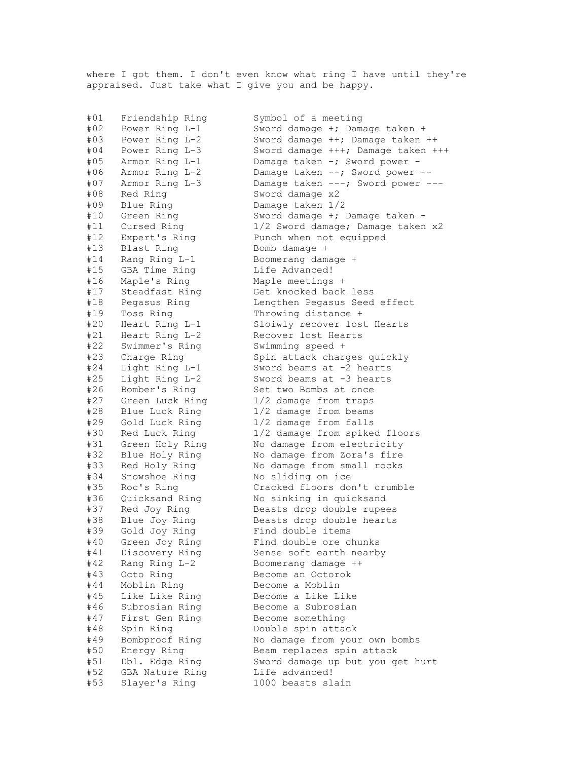where I got them. I don't even know what ring I have until they're appraised. Just take what I give you and be happy.

#08 Red Ring Sword damage x2 #09 Blue Ring Damage taken 1/2 #13 Blast Ring Bomb damage + #14 Rang Ring L-1 Boomerang damage + #15 GBA Time Ring Life Advanced! #16 Maple's Ring Maple meetings + #19 Toss Ring Throwing distance + #21 Heart Ring L-2 Recover lost Hearts #22 Swimmer's Ring Swimming speed + #34 Snowshoe Ring No sliding on ice #39 Gold Joy Ring Find double items #42 Rang Ring L-2 Boomerang damage ++ #43 Octo Ring Become an Octorok #44 Moblin Ring Become a Moblin #45 Like Like Ring Become a Like Like #46 Subrosian Ring Become a Subrosian #47 First Gen Ring Become something #48 Spin Ring Double spin attack #52 GBA Nature Ring Life advanced! #53 Slayer's Ring 1000 beasts slain

#01 Friendship Ring Symbol of a meeting #02 Power Ring L-1 Sword damage +; Damage taken + #03 Power Ring L-2 Sword damage ++; Damage taken ++ #04 Power Ring L-3 Sword damage +++; Damage taken +++ #05 Armor Ring L-1 Damage taken -; Sword power - #06 Armor Ring L-2 Damage taken --; Sword power -- #07 Armor Ring L-3 Damage taken ---; Sword power --- #10 Green Ring Sword damage +; Damage taken - #11 Cursed Ring 1/2 Sword damage; Damage taken x2 #12 Expert's Ring Punch when not equipped #17 Steadfast Ring Get knocked back less #18 Pegasus Ring Lengthen Pegasus Seed effect #20 Heart Ring L-1 Sloiwly recover lost Hearts #23 Charge Ring Spin attack charges quickly #24 Light Ring L-1 Sword beams at -2 hearts #25 Light Ring L-2 Sword beams at -3 hearts #26 Bomber's Ring Set two Bombs at once #27 Green Luck Ring 1/2 damage from traps #28 Blue Luck Ring 1/2 damage from beams #29 Gold Luck Ring 1/2 damage from falls #30 Red Luck Ring 1/2 damage from spiked floors #31 Green Holy Ring No damage from electricity #32 Blue Holy Ring No damage from Zora's fire #33 Red Holy Ring No damage from small rocks #35 Roc's Ring Cracked floors don't crumble #36 Quicksand Ring No sinking in quicksand #37 Red Joy Ring Beasts drop double rupees #38 Blue Joy Ring Beasts drop double hearts #40 Green Joy Ring Find double ore chunks #41 Discovery Ring Sense soft earth nearby #49 Bombproof Ring No damage from your own bombs #50 Energy Ring Beam replaces spin attack #51 Dbl. Edge Ring Sword damage up but you get hurt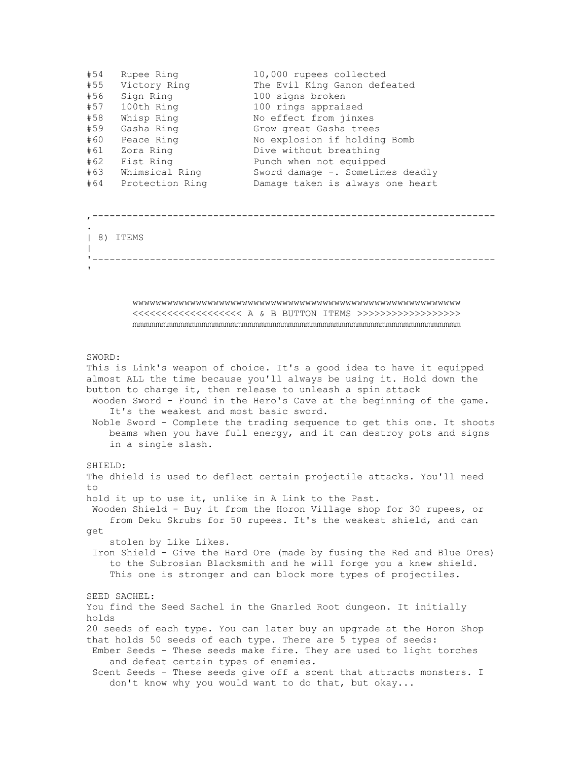| #54 | Rupee Ring      | 10,000 rupees collected          |
|-----|-----------------|----------------------------------|
| #55 | Victory Ring    | The Evil King Ganon defeated     |
| #56 | Sign Ring       | 100 signs broken                 |
| #57 | 100th Ring      | 100 rings appraised              |
| #58 | Whisp Ring      | No effect from jinxes            |
| #59 | Gasha Ring      | Grow great Gasha trees           |
| #60 | Peace Ring      | No explosion if holding Bomb     |
| #61 | Zora Ring       | Dive without breathing           |
| #62 | Fist Ring       | Punch when not equipped          |
| #63 | Whimsical Ring  | Sword damage -. Sometimes deadly |
| #64 | Protection Ring | Damage taken is always one heart |
|     |                 |                                  |
|     |                 |                                  |
|     |                 |                                  |
|     |                 |                                  |
| 8)  | ITEMS           |                                  |
|     |                 |                                  |
|     |                 |                                  |
|     |                 |                                  |

 wwwwwwwwwwwwwwwwwwwwwwwwwwwwwwwwwwwwwwwwwwwwwwwwwwwwwwwww <<<<<<<<<<<<<<<<<<< A & B BUTTON ITEMS >>>>>>>>>>>>>>>>>> mmmmmmmmmmmmmmmmmmmmmmmmmmmmmmmmmmmmmmmmmmmmmmmmmmmmmmmmm

#### SWORD:

This is Link's weapon of choice. It's a good idea to have it equipped almost ALL the time because you'll always be using it. Hold down the button to charge it, then release to unleash a spin attack Wooden Sword - Found in the Hero's Cave at the beginning of the game. It's the weakest and most basic sword. Noble Sword - Complete the trading sequence to get this one. It shoots beams when you have full energy, and it can destroy pots and signs in a single slash. SHIELD: The dhield is used to deflect certain projectile attacks. You'll need  $+\circ$ hold it up to use it, unlike in A Link to the Past. Wooden Shield - Buy it from the Horon Village shop for 30 rupees, or from Deku Skrubs for 50 rupees. It's the weakest shield, and can get stolen by Like Likes. Iron Shield - Give the Hard Ore (made by fusing the Red and Blue Ores) to the Subrosian Blacksmith and he will forge you a knew shield. This one is stronger and can block more types of projectiles. SEED SACHEL: You find the Seed Sachel in the Gnarled Root dungeon. It initially holds 20 seeds of each type. You can later buy an upgrade at the Horon Shop that holds 50 seeds of each type. There are 5 types of seeds: Ember Seeds - These seeds make fire. They are used to light torches and defeat certain types of enemies. Scent Seeds - These seeds give off a scent that attracts monsters. I don't know why you would want to do that, but okay...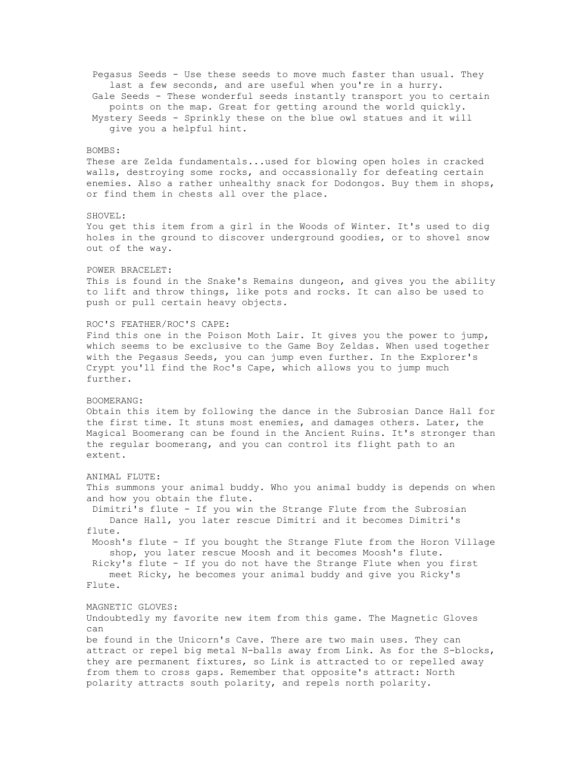Pegasus Seeds - Use these seeds to move much faster than usual. They last a few seconds, and are useful when you're in a hurry. Gale Seeds - These wonderful seeds instantly transport you to certain points on the map. Great for getting around the world quickly. Mystery Seeds - Sprinkly these on the blue owl statues and it will give you a helpful hint. BOMBS: These are Zelda fundamentals...used for blowing open holes in cracked walls, destroying some rocks, and occassionally for defeating certain enemies. Also a rather unhealthy snack for Dodongos. Buy them in shops, or find them in chests all over the place. SHOVEL: You get this item from a girl in the Woods of Winter. It's used to dig holes in the ground to discover underground goodies, or to shovel snow out of the way. POWER BRACELET: This is found in the Snake's Remains dungeon, and gives you the ability to lift and throw things, like pots and rocks. It can also be used to push or pull certain heavy objects. ROC'S FEATHER/ROC'S CAPE: Find this one in the Poison Moth Lair. It gives you the power to jump, which seems to be exclusive to the Game Boy Zeldas. When used together with the Pegasus Seeds, you can jump even further. In the Explorer's Crypt you'll find the Roc's Cape, which allows you to jump much further. BOOMERANG: Obtain this item by following the dance in the Subrosian Dance Hall for the first time. It stuns most enemies, and damages others. Later, the Magical Boomerang can be found in the Ancient Ruins. It's stronger than the regular boomerang, and you can control its flight path to an extent. ANIMAL FLUTE: This summons your animal buddy. Who you animal buddy is depends on when and how you obtain the flute. Dimitri's flute - If you win the Strange Flute from the Subrosian Dance Hall, you later rescue Dimitri and it becomes Dimitri's flute. Moosh's flute - If you bought the Strange Flute from the Horon Village shop, you later rescue Moosh and it becomes Moosh's flute. Ricky's flute - If you do not have the Strange Flute when you first meet Ricky, he becomes your animal buddy and give you Ricky's Flute. MAGNETIC GLOVES: Undoubtedly my favorite new item from this game. The Magnetic Gloves can be found in the Unicorn's Cave. There are two main uses. They can attract or repel big metal N-balls away from Link. As for the S-blocks, they are permanent fixtures, so Link is attracted to or repelled away from them to cross gaps. Remember that opposite's attract: North polarity attracts south polarity, and repels north polarity.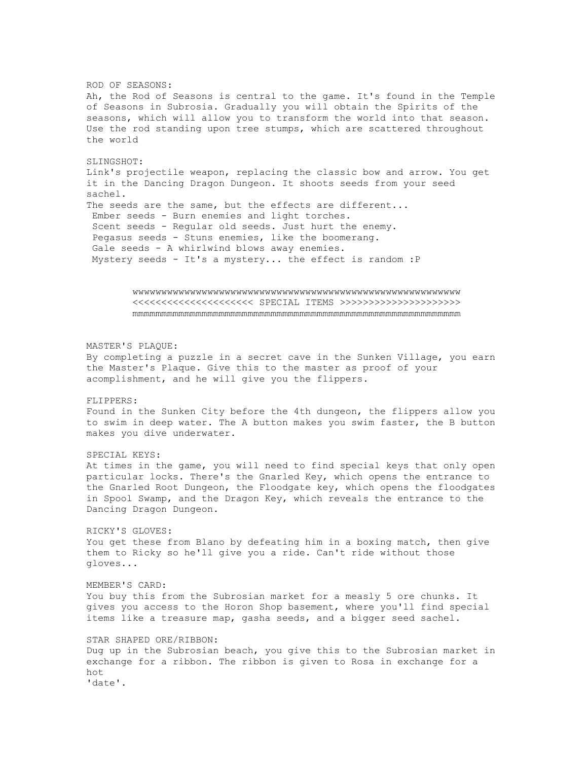ROD OF SEASONS: Ah, the Rod of Seasons is central to the game. It's found in the Temple of Seasons in Subrosia. Gradually you will obtain the Spirits of the seasons, which will allow you to transform the world into that season. Use the rod standing upon tree stumps, which are scattered throughout the world SLINGSHOT: Link's projectile weapon, replacing the classic bow and arrow. You get it in the Dancing Dragon Dungeon. It shoots seeds from your seed sachel. The seeds are the same, but the effects are different... Ember seeds - Burn enemies and light torches. Scent seeds - Regular old seeds. Just hurt the enemy. Pegasus seeds - Stuns enemies, like the boomerang. Gale seeds - A whirlwind blows away enemies. Mystery seeds - It's a mystery... the effect is random :P wwwwwwwwwwwwwwwwwwwwwwwwwwwwwwwwwwwwwwwwwwwwwwwwwwwwwwwww <<<<<<<<<<<<<<<<<<<<< SPECIAL ITEMS >>>>>>>>>>>>>>>>>>>>> mmmmmmmmmmmmmmmmmmmmmmmmmmmmmmmmmmmmmmmmmmmmmmmmmmmmmmmmm MASTER'S PLAQUE: By completing a puzzle in a secret cave in the Sunken Village, you earn the Master's Plaque. Give this to the master as proof of your acomplishment, and he will give you the flippers. FLIPPERS: Found in the Sunken City before the 4th dungeon, the flippers allow you to swim in deep water. The A button makes you swim faster, the B button makes you dive underwater. SPECIAL KEYS: At times in the game, you will need to find special keys that only open particular locks. There's the Gnarled Key, which opens the entrance to the Gnarled Root Dungeon, the Floodgate key, which opens the floodgates in Spool Swamp, and the Dragon Key, which reveals the entrance to the Dancing Dragon Dungeon. RICKY'S GLOVES: You get these from Blano by defeating him in a boxing match, then give them to Ricky so he'll give you a ride. Can't ride without those gloves... MEMBER'S CARD: You buy this from the Subrosian market for a measly 5 ore chunks. It gives you access to the Horon Shop basement, where you'll find special items like a treasure map, gasha seeds, and a bigger seed sachel. STAR SHAPED ORE/RIBBON: Dug up in the Subrosian beach, you give this to the Subrosian market in exchange for a ribbon. The ribbon is given to Rosa in exchange for a hot 'date'.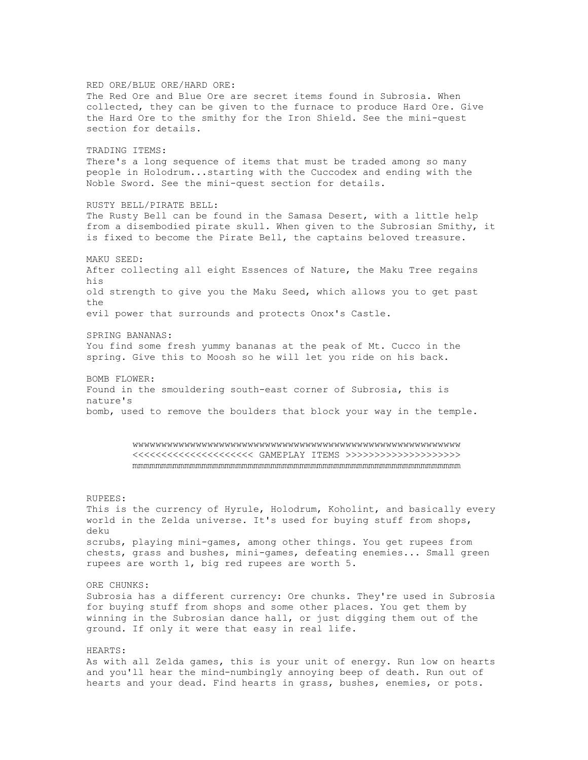RED ORE/BLUE ORE/HARD ORE: The Red Ore and Blue Ore are secret items found in Subrosia. When collected, they can be given to the furnace to produce Hard Ore. Give the Hard Ore to the smithy for the Iron Shield. See the mini-quest section for details. TRADING ITEMS: There's a long sequence of items that must be traded among so many people in Holodrum...starting with the Cuccodex and ending with the Noble Sword. See the mini-quest section for details. RUSTY BELL/PIRATE BELL: The Rusty Bell can be found in the Samasa Desert, with a little help from a disembodied pirate skull. When given to the Subrosian Smithy, it is fixed to become the Pirate Bell, the captains beloved treasure. MAKU SEED: After collecting all eight Essences of Nature, the Maku Tree regains his old strength to give you the Maku Seed, which allows you to get past the evil power that surrounds and protects Onox's Castle. SPRING BANANAS: You find some fresh yummy bananas at the peak of Mt. Cucco in the spring. Give this to Moosh so he will let you ride on his back. BOMB FLOWER: Found in the smouldering south-east corner of Subrosia, this is nature's bomb, used to remove the boulders that block your way in the temple. wwwwwwwwwwwwwwwwwwwwwwwwwwwwwwwwwwwwwwwwwwwwwwwwwwwwwwwww <<<<<<<<<<<<<<<<<<<<< GAMEPLAY ITEMS >>>>>>>>>>>>>>>>>>>> mmmmmmmmmmmmmmmmmmmmmmmmmmmmmmmmmmmmmmmmmmmmmmmmmmmmmmmmm RUPEES: This is the currency of Hyrule, Holodrum, Koholint, and basically every world in the Zelda universe. It's used for buying stuff from shops, deku scrubs, playing mini-games, among other things. You get rupees from chests, grass and bushes, mini-games, defeating enemies... Small green rupees are worth 1, big red rupees are worth 5. ORE CHUNKS: Subrosia has a different currency: Ore chunks. They're used in Subrosia for buying stuff from shops and some other places. You get them by winning in the Subrosian dance hall, or just digging them out of the ground. If only it were that easy in real life. HEARTS: As with all Zelda games, this is your unit of energy. Run low on hearts and you'll hear the mind-numbingly annoying beep of death. Run out of

hearts and your dead. Find hearts in grass, bushes, enemies, or pots.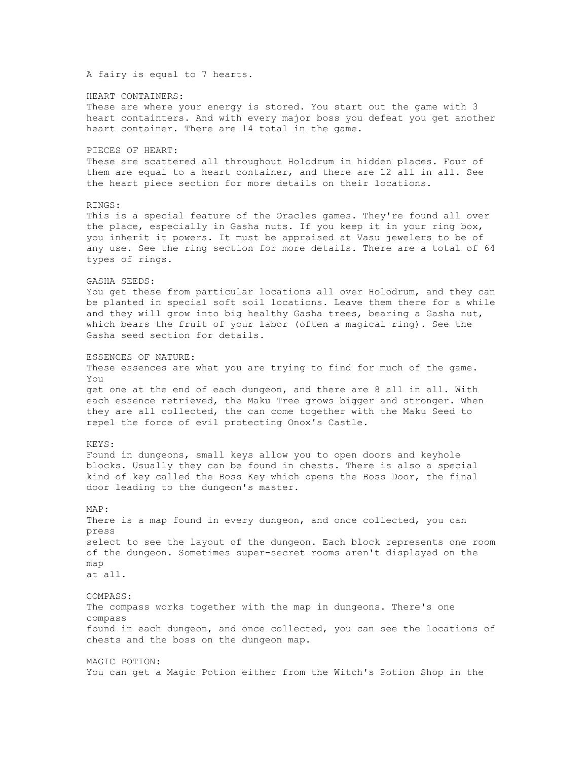HEART CONTAINERS: These are where your energy is stored. You start out the game with 3 heart containters. And with every major boss you defeat you get another heart container. There are 14 total in the game. PIECES OF HEART: These are scattered all throughout Holodrum in hidden places. Four of them are equal to a heart container, and there are 12 all in all. See the heart piece section for more details on their locations. RINGS: This is a special feature of the Oracles games. They're found all over the place, especially in Gasha nuts. If you keep it in your ring box, you inherit it powers. It must be appraised at Vasu jewelers to be of any use. See the ring section for more details. There are a total of 64 types of rings. GASHA SEEDS: You get these from particular locations all over Holodrum, and they can be planted in special soft soil locations. Leave them there for a while and they will grow into big healthy Gasha trees, bearing a Gasha nut, which bears the fruit of your labor (often a magical ring). See the Gasha seed section for details. ESSENCES OF NATURE: These essences are what you are trying to find for much of the game. You get one at the end of each dungeon, and there are 8 all in all. With each essence retrieved, the Maku Tree grows bigger and stronger. When they are all collected, the can come together with the Maku Seed to repel the force of evil protecting Onox's Castle. KEYS: Found in dungeons, small keys allow you to open doors and keyhole blocks. Usually they can be found in chests. There is also a special kind of key called the Boss Key which opens the Boss Door, the final door leading to the dungeon's master. MAP: There is a map found in every dungeon, and once collected, you can press select to see the layout of the dungeon. Each block represents one room of the dungeon. Sometimes super-secret rooms aren't displayed on the map at all. COMPASS: The compass works together with the map in dungeons. There's one compass found in each dungeon, and once collected, you can see the locations of chests and the boss on the dungeon map. MAGIC POTION: You can get a Magic Potion either from the Witch's Potion Shop in the

A fairy is equal to 7 hearts.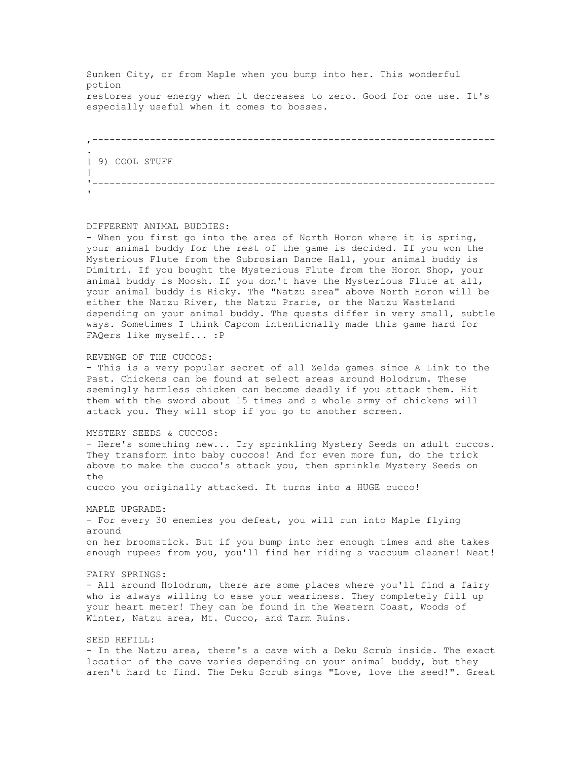Sunken City, or from Maple when you bump into her. This wonderful potion restores your energy when it decreases to zero. Good for one use. It's especially useful when it comes to bosses.

,---------------------------------------------------------------------- . | 9) COOL STUFF | '---------------------------------------------------------------------- '

# DIFFERENT ANIMAL BUDDIES:

- When you first go into the area of North Horon where it is spring, your animal buddy for the rest of the game is decided. If you won the Mysterious Flute from the Subrosian Dance Hall, your animal buddy is Dimitri. If you bought the Mysterious Flute from the Horon Shop, your animal buddy is Moosh. If you don't have the Mysterious Flute at all, your animal buddy is Ricky. The "Natzu area" above North Horon will be either the Natzu River, the Natzu Prarie, or the Natzu Wasteland depending on your animal buddy. The quests differ in very small, subtle ways. Sometimes I think Capcom intentionally made this game hard for FAQers like myself... :P

## REVENGE OF THE CUCCOS:

- This is a very popular secret of all Zelda games since A Link to the Past. Chickens can be found at select areas around Holodrum. These seemingly harmless chicken can become deadly if you attack them. Hit them with the sword about 15 times and a whole army of chickens will attack you. They will stop if you go to another screen.

### MYSTERY SEEDS & CUCCOS:

- Here's something new... Try sprinkling Mystery Seeds on adult cuccos. They transform into baby cuccos! And for even more fun, do the trick above to make the cucco's attack you, then sprinkle Mystery Seeds on the cucco you originally attacked. It turns into a HUGE cucco!

MAPLE UPGRADE: - For every 30 enemies you defeat, you will run into Maple flying around on her broomstick. But if you bump into her enough times and she takes enough rupees from you, you'll find her riding a vaccuum cleaner! Neat!

FAIRY SPRINGS:

- All around Holodrum, there are some places where you'll find a fairy who is always willing to ease your weariness. They completely fill up your heart meter! They can be found in the Western Coast, Woods of Winter, Natzu area, Mt. Cucco, and Tarm Ruins.

# SEED REFILL:

- In the Natzu area, there's a cave with a Deku Scrub inside. The exact location of the cave varies depending on your animal buddy, but they aren't hard to find. The Deku Scrub sings "Love, love the seed!". Great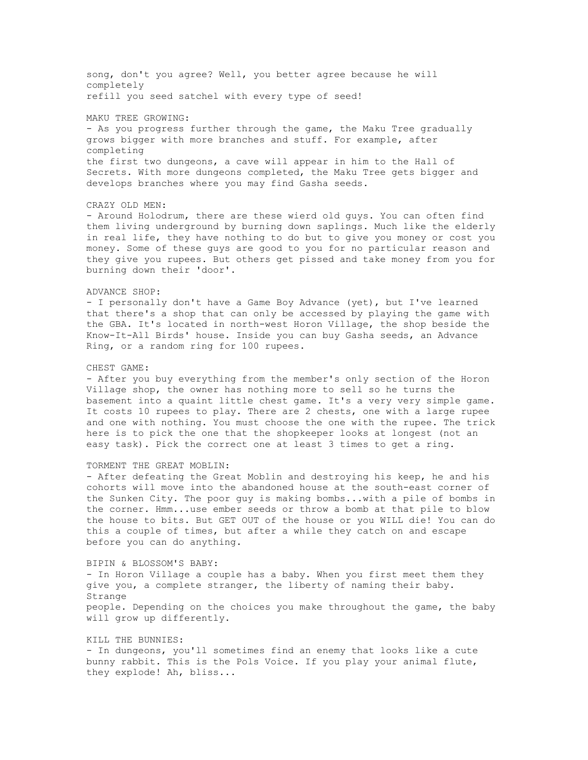song, don't you agree? Well, you better agree because he will completely refill you seed satchel with every type of seed! MAKU TREE GROWING: - As you progress further through the game, the Maku Tree gradually grows bigger with more branches and stuff. For example, after completing the first two dungeons, a cave will appear in him to the Hall of Secrets. With more dungeons completed, the Maku Tree gets bigger and develops branches where you may find Gasha seeds. CRAZY OLD MEN: - Around Holodrum, there are these wierd old guys. You can often find them living underground by burning down saplings. Much like the elderly in real life, they have nothing to do but to give you money or cost you money. Some of these guys are good to you for no particular reason and they give you rupees. But others get pissed and take money from you for burning down their 'door'. ADVANCE SHOP: - I personally don't have a Game Boy Advance (yet), but I've learned that there's a shop that can only be accessed by playing the game with the GBA. It's located in north-west Horon Village, the shop beside the Know-It-All Birds' house. Inside you can buy Gasha seeds, an Advance Ring, or a random ring for 100 rupees. CHEST GAME: - After you buy everything from the member's only section of the Horon Village shop, the owner has nothing more to sell so he turns the basement into a quaint little chest game. It's a very very simple game. It costs 10 rupees to play. There are 2 chests, one with a large rupee and one with nothing. You must choose the one with the rupee. The trick here is to pick the one that the shopkeeper looks at longest (not an easy task). Pick the correct one at least 3 times to get a ring. TORMENT THE GREAT MOBLIN: - After defeating the Great Moblin and destroying his keep, he and his cohorts will move into the abandoned house at the south-east corner of the Sunken City. The poor guy is making bombs...with a pile of bombs in the corner. Hmm...use ember seeds or throw a bomb at that pile to blow the house to bits. But GET OUT of the house or you WILL die! You can do this a couple of times, but after a while they catch on and escape before you can do anything.

BIPIN & BLOSSOM'S BABY: - In Horon Village a couple has a baby. When you first meet them they give you, a complete stranger, the liberty of naming their baby. Strange people. Depending on the choices you make throughout the game, the baby will grow up differently.

KILL THE BUNNIES: - In dungeons, you'll sometimes find an enemy that looks like a cute bunny rabbit. This is the Pols Voice. If you play your animal flute, they explode! Ah, bliss...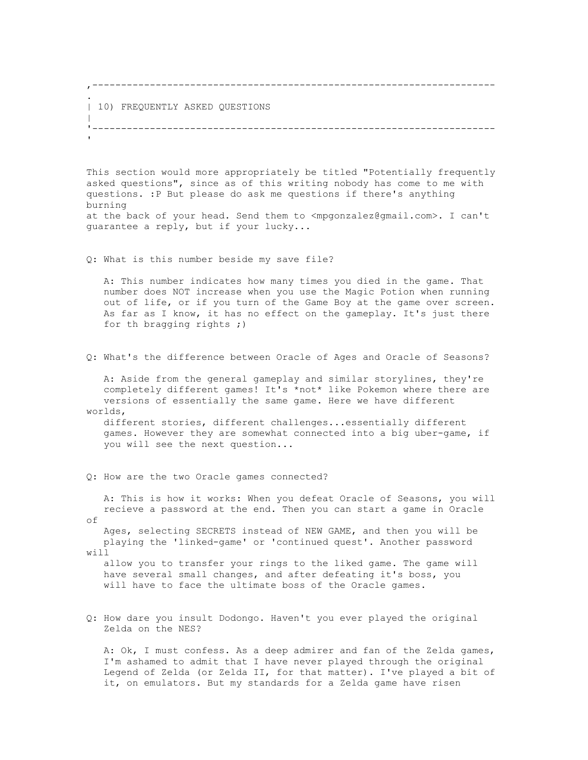|  | 10) FREQUENTLY ASKED QUESTIONS |  |
|--|--------------------------------|--|
|  |                                |  |
|  |                                |  |

This section would more appropriately be titled "Potentially frequently asked questions", since as of this writing nobody has come to me with questions. :P But please do ask me questions if there's anything burning at the back of your head. Send them to <mpgonzalez@gmail.com>. I can't guarantee a reply, but if your lucky...

Q: What is this number beside my save file?

 A: This number indicates how many times you died in the game. That number does NOT increase when you use the Magic Potion when running out of life, or if you turn of the Game Boy at the game over screen. As far as I know, it has no effect on the gameplay. It's just there for th bragging rights ;)

Q: What's the difference between Oracle of Ages and Oracle of Seasons?

 A: Aside from the general gameplay and similar storylines, they're completely different games! It's \*not\* like Pokemon where there are versions of essentially the same game. Here we have different worlds,

 different stories, different challenges...essentially different games. However they are somewhat connected into a big uber-game, if you will see the next question...

Q: How are the two Oracle games connected?

 A: This is how it works: When you defeat Oracle of Seasons, you will recieve a password at the end. Then you can start a game in Oracle of

 Ages, selecting SECRETS instead of NEW GAME, and then you will be playing the 'linked-game' or 'continued quest'. Another password will

 allow you to transfer your rings to the liked game. The game will have several small changes, and after defeating it's boss, you will have to face the ultimate boss of the Oracle games.

Q: How dare you insult Dodongo. Haven't you ever played the original Zelda on the NES?

 A: Ok, I must confess. As a deep admirer and fan of the Zelda games, I'm ashamed to admit that I have never played through the original Legend of Zelda (or Zelda II, for that matter). I've played a bit of it, on emulators. But my standards for a Zelda game have risen